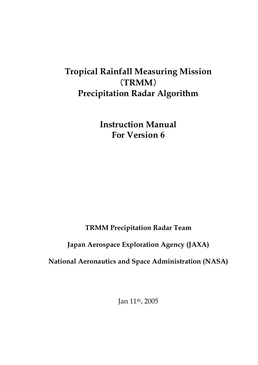# **Tropical Rainfall Measuring Mission**  (**TRMM**) **Precipitation Radar Algorithm**

**Instruction Manual For Version 6** 

**TRMM Precipitation Radar Team** 

# **Japan Aerospace Exploration Agency (JAXA)**

**National Aeronautics and Space Administration (NASA)** 

Jan 11th, 2005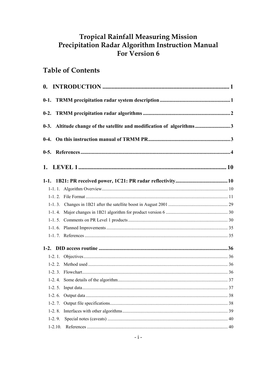# **Tropical Rainfall Measuring Mission** Precipitation Radar Algorithm Instruction Manual<br>For Version 6

# **Table of Contents**

|             | 0-3. Altitude change of the satellite and modification of algorithms3 |  |
|-------------|-----------------------------------------------------------------------|--|
|             |                                                                       |  |
|             |                                                                       |  |
|             |                                                                       |  |
|             |                                                                       |  |
|             |                                                                       |  |
|             |                                                                       |  |
|             |                                                                       |  |
|             |                                                                       |  |
|             |                                                                       |  |
|             |                                                                       |  |
|             |                                                                       |  |
|             |                                                                       |  |
|             |                                                                       |  |
|             |                                                                       |  |
|             |                                                                       |  |
|             |                                                                       |  |
| $1-2.5.$    |                                                                       |  |
| $1-2.6$ .   |                                                                       |  |
| $1-2.7.$    |                                                                       |  |
| $1-2.8$ .   |                                                                       |  |
| $1-2.9.$    |                                                                       |  |
| $1 - 2.10.$ |                                                                       |  |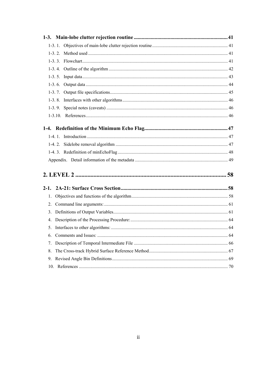| $\mathbf{1}$ . |  |
|----------------|--|
| 2 <sub>1</sub> |  |
| 3 <sub>1</sub> |  |
| 4.             |  |
|                |  |
| 6.             |  |
| 7.             |  |
| 8.             |  |
| 9.             |  |
| 10.            |  |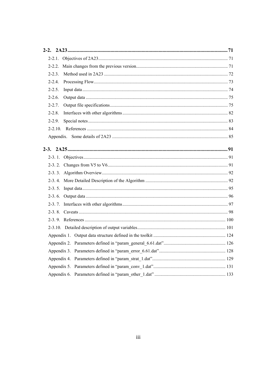| $2 - 2.2$   |  |
|-------------|--|
| $2 - 2.3$   |  |
| $2 - 2.4$   |  |
| $2 - 2.5$ . |  |
| $2 - 2.6$ . |  |
| $2 - 2.7$ . |  |
| $2 - 2.8$   |  |
| $2 - 2.9$ . |  |
|             |  |
|             |  |
|             |  |
|             |  |
|             |  |
|             |  |
|             |  |
|             |  |
|             |  |
|             |  |
|             |  |
|             |  |
|             |  |
|             |  |
|             |  |
|             |  |
|             |  |
|             |  |
|             |  |
|             |  |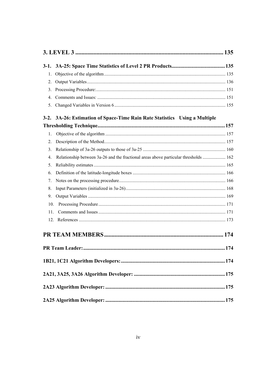| 1.                                                                                                       |  |
|----------------------------------------------------------------------------------------------------------|--|
| 2.                                                                                                       |  |
| 3.                                                                                                       |  |
| 4 <sub>1</sub>                                                                                           |  |
| 5.                                                                                                       |  |
| 3-2. 3A-26: Estimation of Space-Time Rain Rate Statistics Using a Multiple                               |  |
|                                                                                                          |  |
| $\mathbf{1}$ .                                                                                           |  |
| 2.                                                                                                       |  |
| 3.                                                                                                       |  |
| Relationship between 3a-26 and the fractional areas above particular thresholds  162<br>$\overline{4}$ . |  |
| 5.                                                                                                       |  |
| 6.                                                                                                       |  |
| 7.                                                                                                       |  |
| 8.                                                                                                       |  |
| 9.                                                                                                       |  |
| 10.                                                                                                      |  |
| 11.                                                                                                      |  |
|                                                                                                          |  |
|                                                                                                          |  |
|                                                                                                          |  |
|                                                                                                          |  |
|                                                                                                          |  |
|                                                                                                          |  |
|                                                                                                          |  |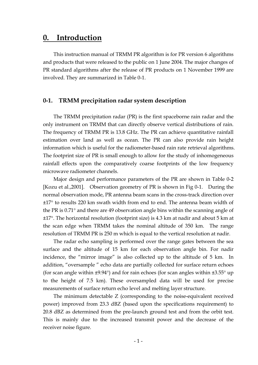# **0. Introduction**

This instruction manual of TRMM PR algorithm is for PR version 6 algorithms and products that were released to the public on 1 June 2004. The major changes of PR standard algorithms after the release of PR products on 1 November 1999 are involved. They are summarized in Table 0-1.

#### **0-1. TRMM precipitation radar system description**

The TRMM precipitation radar (PR) is the first spaceborne rain radar and the only instrument on TRMM that can directly observe vertical distributions of rain. The frequency of TRMM PR is 13.8 GHz. The PR can achieve quantitative rainfall estimation over land as well as ocean. The PR can also provide rain height information which is useful for the radiometer-based rain rate retrieval algorithms. The footprint size of PR is small enough to allow for the study of inhomogeneous rainfall effects upon the comparatively coarse footprints of the low frequency microwave radiometer channels.

Major design and performance parameters of the PR are shown in Table 0-2 [Kozu et al.,2001]. Observation geometry of PR is shown in Fig 0-1. During the normal observation mode, PR antenna beam scans in the cross-track direction over ±17° to results 220 km swath width from end to end. The antenna beam width of the PR is 0.71° and there are 49 observation angle bins within the scanning angle of ±17°. The horizontal resolution (footprint size) is 4.3 km at nadir and about 5 km at the scan edge when TRMM takes the nominal altitude of 350 km. The range resolution of TRMM PR is 250 m which is equal to the vertical resolution at nadir.

The radar echo sampling is performed over the range gates between the sea surface and the altitude of 15 km for each observation angle bin. For nadir incidence, the "mirror image" is also collected up to the altitude of 5 km. In addition, "oversample " echo data are partially collected for surface return echoes (for scan angle within  $\pm 9.94^{\circ}$ ) and for rain echoes (for scan angles within  $\pm 3.55^{\circ}$  up to the height of 7.5 km). These oversampled data will be used for precise measurements of surface return echo level and melting layer structure.

The minimum detectable Z (corresponding to the noise-equivalent received power) improved from 23.3 dBZ (based upon the specifications requirement) to 20.8 dBZ as determined from the pre-launch ground test and from the orbit test. This is mainly due to the increased transmit power and the decrease of the receiver noise figure.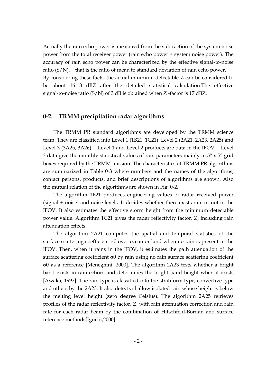Actually the rain echo power is measured from the subtraction of the system noise power from the total receiver power (rain echo power + system noise power). The accuracy of rain echo power can be characterized by the effective signal-to-noise ratio (S/N), that is the ratio of mean to standard deviation of rain echo power. By considering these facts, the actual minimum detectable Z can be considered to be about 16-18 dBZ after the detailed statistical calculation.The effective signal-to-noise ratio (S/N) of 3 dB is obtained when Z -factor is 17 dBZ.

#### **0-2. TRMM precipitation radar algorithms**

The TRMM PR standard algorithms are developed by the TRMM science team. They are classified into Level 1 (1B21, 1C21), Level 2 (2A21, 2A23, 2A25) and Level 3 (3A25, 3A26). Level 1 and Level 2 products are data in the IFOV. Level 3 data give the monthly statistical values of rain parameters mainly in  $5^\circ \times 5^\circ$  grid boxes required by the TRMM mission. The characteristics of TRMM PR algorithms are summarized in Table 0-3 where numbers and the names of the algorithms, contact persons, products, and brief descriptions of algorithms are shown. Also the mutual relation of the algorithms are shown in Fig. 0-2.

The algorithm 1B21 produces engineering values of radar received power (signal + noise) and noise levels. It decides whether there exists rain or not in the IFOV. It also estimates the effective storm height from the minimum detectable power value. Algorithm 1C21 gives the radar reflectivity factor, Z, including rain attenuation effects.

The algorithm 2A21 computes the spatial and temporal statistics of the surface scattering coefficient σ0 over ocean or land when no rain is present in the IFOV. Then, when it rains in the IFOV, it estimates the path attenuation of the surface scattering coefficient σ0 by rain using no rain surface scattering coefficient σ0 as a reference [Meneghini, 2000]. The algorithm 2A23 tests whether a bright band exists in rain echoes and determines the bright band height when it exists [Awaka, 1997] .The rain type is classified into the stratiform type, convective type and others by the 2A23. It also detects shallow isolated rain whose height is below the melting level height (zero degree Celsius). The algorithm 2A25 retrieves profiles of the radar reflectivity factor, Z, with rain attenuation correction and rain rate for each radar beam by the combination of Hitschfeld-Bordan and surface reference methods[Iguchi,2000].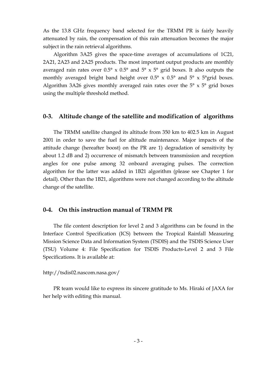As the 13.8 GHz frequency band selected for the TRMM PR is fairly heavily attenuated by rain, the compensation of this rain attenuation becomes the major subject in the rain retrieval algorithms.

Algorithm 3A25 gives the space-time averages of accumulations of 1C21, 2A21, 2A23 and 2A25 products. The most important output products are monthly averaged rain rates over  $0.5^{\circ} \times 0.5^{\circ}$  and  $5^{\circ} \times 5^{\circ}$  grid boxes. It also outputs the monthly averaged bright band height over  $0.5^{\circ} \times 0.5^{\circ}$  and  $5^{\circ} \times 5^{\circ}$ grid boxes. Algorithm 3A26 gives monthly averaged rain rates over the  $5^\circ \times 5^\circ$  grid boxes using the multiple threshold method.

### **0-3. Altitude change of the satellite and modification of algorithms**

The TRMM satellite changed its altitude from 350 km to 402.5 km in August 2001 in order to save the fuel for altitude maintenance. Major impacts of the attitude change (hereafter boost) on the PR are 1) degradation of sensitivity by about 1.2 dB and 2) occurrence of mismatch between transmission and reception angles for one pulse among 32 onboard averaging pulses. The correction algorithm for the latter was added in 1B21 algorithm (please see Chapter 1 for detail). Other than the 1B21, algorithms were not changed according to the altitude change of the satellite.

#### **0-4. On this instruction manual of TRMM PR**

The file content description for level 2 and 3 algorithms can be found in the Interface Control Specification (ICS) between the Tropical Rainfall Measuring Mission Science Data and Information System (TSDIS) and the TSDIS Science User (TSU) Volume 4: File Specification for TSDIS Products-Level 2 and 3 File Specifications. It is available at:

#### http://tsdis02.nascom.nasa.gov/

PR team would like to express its sincere gratitude to Ms. Hiraki of JAXA for her help with editing this manual.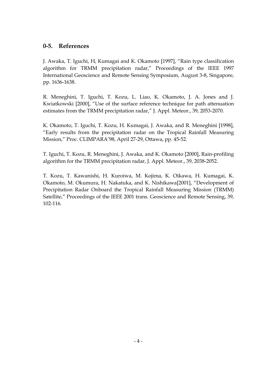# **0-5. References**

J. Awaka, T. Iguchi, H, Kumagai and K. Okamoto [1997], "Rain type classification algorithm for TRMM precipitation radar," Proceedings of the IEEE 1997 International Geoscience and Remote Sensing Symposium, August 3-8, Singapore, pp. 1636-1638.

R. Meneghini, T. Iguchi, T. Kozu, L. Liao, K. Okamoto, J. A. Jones and J. Kwiatkowski [2000], "Use of the surface reference technique for path attenuation estimates from the TRMM precipitation radar," J. Appl. Meteor., 39, 2053-2070.

K. Okamoto, T. Iguchi, T. Kozu, H. Kumagai, J. Awaka, and R. Meneghini [1998], "Early results from the precipitation radar on the Tropical Rainfall Measuring Mission," Proc. CLIMPARA'98, April 27-29, Ottawa, pp. 45-52.

T. Iguchi, T. Kozu, R. Meneghini, J. Awaka, and K. Okamoto [2000], Rain-profiling algorithm for the TRMM precipitation radar, J. Appl. Meteor., 39, 2038-2052.

T. Kozu, T. Kawanishi, H. Kuroiwa, M. Kojima, K. Oikawa, H. Kumagai, K. Okamoto, M. Okumura, H. Nakatuka, and K. Nishikawa[2001], "Development of Precipitation Radar Onboard the Tropical Rainfall Measuring Mission (TRMM) Satellite," Proceedings of the IEEE 2001 trans. Geoscience and Remote Sensing, 39, 102-116.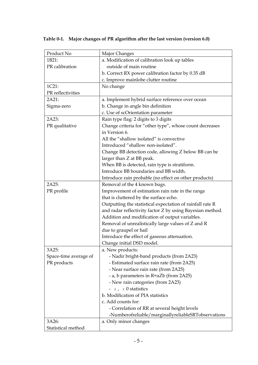| Product No            | Major Changes                                                                    |
|-----------------------|----------------------------------------------------------------------------------|
| 1B21:                 | a. Modification of calibration look up tables                                    |
| PR calibration        | outside of main routine                                                          |
|                       | b. Correct RX power calibration factor by 0.35 dB                                |
|                       | c. Improve mainlobe clutter routine                                              |
| 1C21:                 | No change                                                                        |
| PR reflectivities     |                                                                                  |
| 2A21:                 | a. Implement hybrid surface reference over ocean                                 |
| Sigma-zero            | b. Change in angle bin definition                                                |
|                       | c. Use of scOrientation parameter                                                |
| 2A23:                 | Rain type flag: 2 digits to 3 digits                                             |
| PR qualitative        | Change criteria for "other type", whose count decreases                          |
|                       | in Version 6.                                                                    |
|                       | All the "shallow isolated" is convective                                         |
|                       | Introduced "shallow non-isolated".                                               |
|                       | Change BB detection code, allowing Z below BB can be                             |
|                       | larger than Z at BB peak.                                                        |
|                       | When BB is detected, rain type is stratiform.                                    |
|                       | Introduce BB boundaries and BB width.                                            |
|                       | Introduce rain probable (no effect on other products)                            |
| 2A25:                 | Removal of the 4 known bugs.                                                     |
| PR profile            | Improvement of estimation rain rate in the range                                 |
|                       | that is cluttered by the surface echo.                                           |
|                       | Outputting the statistical expectation of rainfall rate R                        |
|                       | and radar reflectivity factor Z by using Bayesian method.                        |
|                       | Addition and modification of output variables.                                   |
|                       | Removal of unrealistically large values of Z and R                               |
|                       | due to graupel or hail                                                           |
|                       | Introduce the effect of gaseous attenuation.                                     |
|                       | Change initial DSD model.                                                        |
| 3A25:                 | a. New products:                                                                 |
| Space-time average of | - Nadir bright-band products (from 2A23)                                         |
| PR products           | - Estimated surface rain rate (from 2A25)                                        |
|                       | - Near surface rain rate (from 2A25)                                             |
|                       | - a, b parameters in R=aZb (from 2A25)                                           |
|                       | - New rain categories (from 2A23)                                                |
|                       | $-\varepsilon$ , $\varepsilon$ 0 statistics<br>b. Modification of PIA statistics |
|                       | c. Add counts for:                                                               |
|                       | - Correlation of RR at several height levels                                     |
|                       | -Numberofreliable/marginallyreliableSRTobservations                              |
| 3A26:                 | a. Only minor changes                                                            |
| Statistical method    |                                                                                  |
|                       |                                                                                  |

**Table 0-1. Major changes of PR algorithm after the last version (version 6.0)**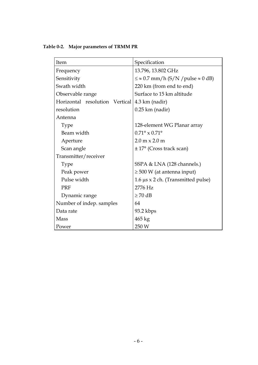**Table 0-2. Major parameters of TRMM PR** 

| Item                           | Specification                                        |  |
|--------------------------------|------------------------------------------------------|--|
| Frequency                      | 13.796, 13.802 GHz                                   |  |
| Sensitivity                    | $\leq \approx 0.7$ mm/h (S/N / pulse $\approx 0$ dB) |  |
| Swath width                    | 220 km (from end to end)                             |  |
| Observable range               | Surface to 15 km altitude                            |  |
| Horizontal resolution Vertical | $4.3 \text{ km}$ (nadir)                             |  |
| resolution                     | $0.25$ km (nadir)                                    |  |
| Antenna                        |                                                      |  |
| <b>Type</b>                    | 128-element WG Planar array                          |  |
| Beam width                     | $0.71^{\circ} \times 0.71^{\circ}$                   |  |
| Aperture                       | $2.0 \text{ m} \times 2.0 \text{ m}$                 |  |
| Scan angle                     | $\pm$ 17° (Cross track scan)                         |  |
| Transmitter/receiver           |                                                      |  |
| <b>Type</b>                    | SSPA & LNA (128 channels.)                           |  |
| Peak power                     | $\geq$ 500 W (at antenna input)                      |  |
| Pulse width                    | $1.6 \mu s \times 2$ ch. (Transmitted pulse)         |  |
| <b>PRF</b>                     | 2776 Hz                                              |  |
| Dynamic range                  | $\geq 70$ dB                                         |  |
| Number of indep. samples       | 64                                                   |  |
| Data rate                      | $93.2$ kbps                                          |  |
| <b>Mass</b>                    | 465 kg                                               |  |
| Power                          | 250 W                                                |  |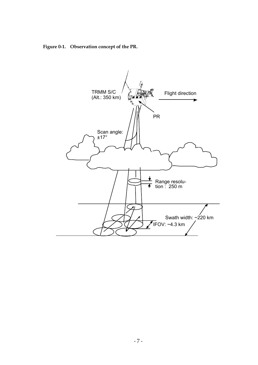**Figure 0-1. Observation concept of the PR.** 

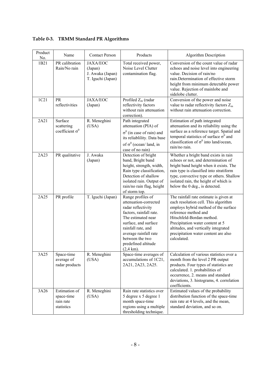| Product<br>No. | Name                                                   | <b>Contact Person</b>                                               | Products                                                                                                                                                                                                                                                   | <b>Algorithm Description</b>                                                                                                                                                                                                                                                                                   |
|----------------|--------------------------------------------------------|---------------------------------------------------------------------|------------------------------------------------------------------------------------------------------------------------------------------------------------------------------------------------------------------------------------------------------------|----------------------------------------------------------------------------------------------------------------------------------------------------------------------------------------------------------------------------------------------------------------------------------------------------------------|
| 1B21           | PR calibration<br>Rain/No rain                         | <b>JAXA/EOC</b><br>(Japan)<br>J. Awaka (Japan)<br>T. Iguchi (Japan) | Total received power,<br>Noise Level Clutter<br>contamination flag.                                                                                                                                                                                        | Conversion of the count value of radar<br>echoes and noise level into engineering<br>value. Decision of rain/no<br>rain.Determination of effective storm<br>height from minimum detectable power<br>value. Rejection of mainlobe and<br>sidelobe clutter.                                                      |
| 1C21           | <b>PR</b><br>reflectivities                            | <b>JAXA/EOC</b><br>(Japan)                                          | Profiled $Z_m$ (radar<br>reflectivity factors<br>without rain attenuation<br>correction).                                                                                                                                                                  | Conversion of the power and noise<br>value to radar reflectivity factors $Z_m$<br>without rain attenuation correction.                                                                                                                                                                                         |
| 2A21           | Surface<br>scattering<br>coefficient $\sigma^0$        | R. Meneghini<br>(USA)                                               | Path integrated<br>attenuation (PIA) of<br>$\sigma^0$ (in case of rain) and<br>its reliablility. Data base<br>of $\sigma^0$ (ocean/land, in<br>case of no rain)                                                                                            | Estimation of path integrated<br>attenuation and its reliability using the<br>surface as a reference target. Spatial and<br>temporal statistics of surface $\sigma^0$ and<br>classification of $\sigma^0$ into land/ocean,<br>rain/no rain.                                                                    |
| 2A23           | PR qualitative                                         | J. Awaka<br>(Japan)                                                 | Detection of bright<br>band, Bright band<br>height, strength, width,<br>Rain type classification,<br>Detection of shallow<br>isolated rain. Output of<br>rain/no rain flag, height<br>of storm top.                                                        | Whether a bright band exists in rain<br>echoes or not, and determination of<br>bright band height when it exists. The<br>rain type is classified into stratiform<br>type, convective type or others. Shallow<br>isolated rain, the height of which is<br>below the 0 deg., is detected.                        |
| 2A25           | PR profile                                             | T. Iguchi (Japan)                                                   | Range profiles of<br>attenuation-corrected<br>radar reflectivity<br>factors, rainfall rate.<br>The estimated near<br>surface, and surface<br>rainfall rate, and<br>average rainfall rate<br>between the two<br>predefined altitude<br>$(2,4 \text{ km})$ . | The rainfall rate estimate is given at<br>each resolution cell. This algorithm<br>employs hybrid method of the surface<br>reference method and<br>Hitschfeld-Bordan method.<br>Precipitation water content at 5<br>altitudes, and vertically integrated<br>precipitation water content are also<br>calculated. |
| 3A25           | Space-time<br>average of<br>radar products             | R. Meneghini<br>(USA)                                               | Space-time averages of<br>accumulations of 1C21,<br>2A21, 2A23, 2A25.                                                                                                                                                                                      | Calculation of various statistics over a<br>month from the level 2 PR output<br>products. Four types of statistics are<br>calculated. 1. probabilities of<br>occurrence, 2. means and standard<br>deviations, 3. histograms, 4. correlation<br>coefficients.                                                   |
| 3A26           | Estimation of<br>space-time<br>rain rate<br>statistics | R. Meneghini<br>(USA)                                               | Rain rate statistics over<br>5 degree x 5 degree 1<br>month space-time<br>regions using a multiple<br>thresholding technique.                                                                                                                              | Estimated values of the probability<br>distribution function of the space-time<br>rain rate at 4 levels, and the mean,<br>standard deviation, and so on.                                                                                                                                                       |

**Table 0-3. TRMM Standard PR Algorithms**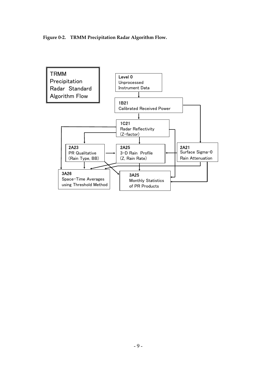**Figure 0-2. TRMM Precipitation Radar Algorithm Flow.** 

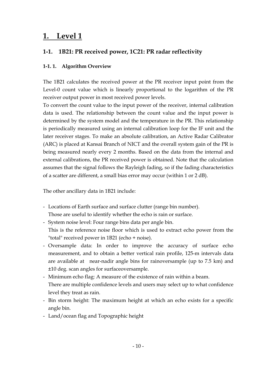# **1. Level 1**

# **1-1. 1B21: PR received power, 1C21: PR radar reflectivity**

# **1-1. 1. Algorithm Overview**

The 1B21 calculates the received power at the PR receiver input point from the Level-0 count value which is linearly proportional to the logarithm of the PR receiver output power in most received power levels.

To convert the count value to the input power of the receiver, internal calibration data is used. The relationship between the count value and the input power is determined by the system model and the temperature in the PR. This relationship is periodically measured using an internal calibration loop for the IF unit and the later receiver stages. To make an absolute calibration, an Active Radar Calibrator (ARC) is placed at Kansai Branch of NICT and the overall system gain of the PR is being measured nearly every 2 months. Based on the data from the internal and external calibrations, the PR received power is obtained. Note that the calculation assumes that the signal follows the Rayleigh fading, so if the fading characteristics of a scatter are different, a small bias error may occur (within 1 or 2 dB).

The other ancillary data in 1B21 include:

- Locations of Earth surface and surface clutter (range bin number). Those are useful to identify whether the echo is rain or surface.
- System noise level: Four range bins data per angle bin. This is the reference noise floor which is used to extract echo power from the "total" received power in 1B21 (echo + noise).
- Oversample data: In order to improve the accuracy of surface echo measurement, and to obtain a better vertical rain profile, 125-m intervals data are available at near-nadir angle bins for rainoversample (up to 7.5 km) and ±10 deg. scan angles for surfaceoversample.
- Minimum echo flag: A measure of the existence of rain within a beam. There are multiple confidence levels and users may select up to what confidence level they treat as rain.
- Bin storm height: The maximum height at which an echo exists for a specific angle bin.
- Land/ocean flag and Topographic height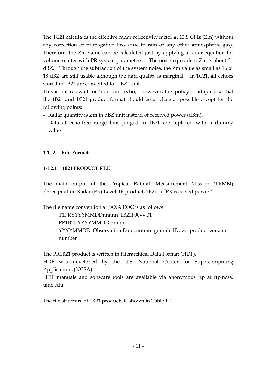The 1C21 calculates the effective radar reflectivity factor at 13.8 GHz (Zm) without any correction of propagation loss (due to rain or any other atmospheric gas). Therefore, the Zm value can be calculated just by applying a radar equation for volume scatter with PR system parameters. The noise-equivalent Zm is about 21 dBZ. Through the subtraction of the system noise, the Zm value as small as 16 or 18 dBZ are still usable although the data quality is marginal. In 1C21, all echoes stored in 1B21 are converted to "dBZ" unit.

This is not relevant for "non-rain" echo; however, this policy is adopted so that the 1B21 and 1C21 product format should be as close as possible except for the following points:

- Radar quantity is Zm in dBZ unit instead of received power (dBm).
- Data at echo-free range bins judged in 1B21 are replaced with a dummy value.

### **1-1. 2. File Format**

### **1-1.2.1. 1B21 PRODUCT FILE**

The main output of the Tropical Rainfall Measurement Mission (TRMM) /Precipitation Radar (PR) Level-1B product, 1B21 is "PR received power."

The file name convention at JAXA EOC is as follows:

 T1PRYYYYMMDDnnnnn\_1B21F00vv.01 PR1B21.YYYYMMDD.nnnnn YYYYMMDD: Observation Date, nnnnn: granule ID, vv: product version number

The PR1B21 product is written in Hierarchical Data Format (HDF).

HDF was developed by the U.S. National Center for Supercomputing Applications (NCSA).

HDF manuals and software tools are available via anonymous ftp at ftp.ncsa. uiuc.edu.

The file structure of 1B21 products is shown in Table 1-1.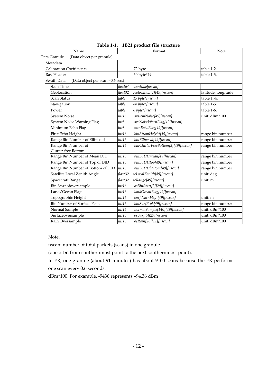| Name                                           |         | Format                             | Note                |
|------------------------------------------------|---------|------------------------------------|---------------------|
| Data Granule<br>(Data object per granule)      |         |                                    |                     |
| Metadata                                       |         |                                    |                     |
| <b>Calibration Coefficients</b>                |         | 72 byte                            | table 1-2.          |
| Ray Header                                     |         | 60 byte*49                         | table 1-3.          |
| Swath Data<br>(Data object per scan =0.6 sec.) |         |                                    |                     |
| <b>Scan Time</b>                               | float64 | scantime[nscan]                    |                     |
| Geolocation                                    | float32 | geolocation[2][49][nscan]          | latitude, longitude |
| <b>Scan Status</b>                             | table   | 15 byte*[nscan]                    | table 1.-4.         |
| Navigation                                     | table   | 88 byte*[nscan]                    | table 1-5.          |
| Power                                          | table   | 6 byte*[nscan]                     | table 1-6.          |
| <b>System Noise</b>                            | int16   | systemNoise[49][nscan]             | unit: dBm*100       |
| System Noise Warning Flag                      | int8    | sysNoiseWarnFlag[49][nscan]        |                     |
| Minimum Echo Flag                              | int8    | minEchoFlag[49][nscan]             |                     |
| First Echo Height                              | int16   | binStromHeight[49][nscan]          | range bin number    |
| Range Bin Number of Ellipsoid                  | int16   | binElliposid[49][nscan]            | range bin number    |
| Range Bin Number of                            | int16   | binClutterFreeBottom[2][49][nscan] | range bin number    |
| Clutter-free Bottom                            |         |                                    |                     |
| Range Bin Number of Mean DID                   | int16   | binDIDHmean[49][nscan]             | range bin number    |
| Range Bin Number of Top of DID                 | int16   | binDIDHtop[49][nscan]              | range bin number    |
| Range Bin Number of Bottom of DID              | int16   | binDIDHbottom[49][nscan]           | range bin number    |
| Satellite Local Zenith Angle                   | float32 | scLocalZenith[49][nscan]           | unit: deg           |
| Spacecraft Range                               | float32 | scRange[49][nscan]                 | unit: m             |
| Bin Start ofoversample                         | int16   | osBinStart[2][29][nscan]           |                     |
| Land/Ocean Flag                                | int16   | landOceanFlag[49][nscan]           |                     |
| Topographic Height                             | int16   | surfWarnFlag [49][nscan]           | unit: m             |
| <b>Bin Number of Surface Peak</b>              | int16   | binSurfPeak[49][nscan]             | range bin number    |
| Normal Sample                                  | int16   | normalSample[140][49][nscan]       | unit: dBm*100       |
| Surfaceoversample                              | int16   | osSurf[5][29][nscan]               | unit: dBm*100       |
| Rain Oversample                                | int16   | osRain[28][11][nscan]              | unit: dBm*100       |

**Table 1-1. 1B21 product file structure** 

Note.

nscan: number of total packets (scans) in one granule

(one orbit from southernmost point to the next southernmost point).

 In PR, one granule (about 91 minutes) has about 9100 scans because the PR performs one scan every 0.6 seconds.

dBm\*100: For example, -9436 represents –94.36 dBm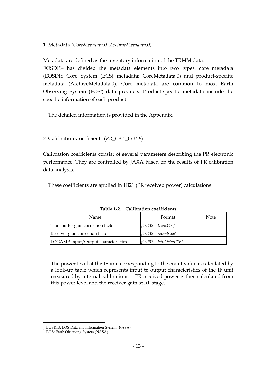## 1. Metadata *(CoreMetadata.0, ArchiveMetadata.0)*

Metadata are defined as the inventory information of the TRMM data.

EOSDIS1 has divided the metadata elements into two types: core metadata (EOSDIS Core System (ECS) metadata; CoreMetadata.0) and product-specific metadata (ArchiveMetadata.0). Core metadata are common to most Earth Observing System (EOS2) data products. Product-specific metadata include the specific information of each product.

The detailed information is provided in the Appendix.

# 2. Calibration Coefficients (*PR\_CAL\_COEF*)

Calibration coefficients consist of several parameters describing the PR electronic performance. They are controlled by JAXA based on the results of PR calibration data analysis.

These coefficients are applied in 1B21 (PR received power) calculations.

| Name.                               | Format                 | <b>Note</b> |  |
|-------------------------------------|------------------------|-------------|--|
| Transmitter gain correction factor  | float32 transCoef      |             |  |
| Receiver gain correction factor     | float32 receptCoef     |             |  |
| LOGAMP Input/Output characteristics | float32 fcifIOchar[16] |             |  |

**Table 1-2. Calibration coefficients** 

The power level at the IF unit corresponding to the count value is calculated by a look-up table which represents input to output characteristics of the IF unit measured by internal calibrations. PR received power is then calculated from this power level and the receiver gain at RF stage.

 $\overline{a}$ <sup>1</sup> EOSDIS: EOS Data and Information System (NASA)

<sup>&</sup>lt;sup>2</sup> EOS: Earth Observing System (NASA)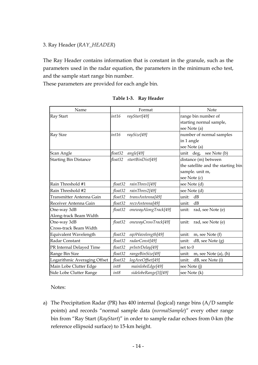## 3. Ray Header (*RAY\_HEADER*)

The Ray Header contains information that is constant in the granule, such as the parameters used in the radar equation, the parameters in the minimum echo test, and the sample start range bin number.

These parameters are provided for each angle bin.

| Name                         | Format                          | Note                               |
|------------------------------|---------------------------------|------------------------------------|
| <b>Ray Start</b>             | rayStart[49]<br>int16           | range bin number of                |
|                              |                                 | starting normal sample,            |
|                              |                                 | see Note (a)                       |
| <b>Ray Size</b>              | int16<br>raySize[49]            | number of normal samples           |
|                              |                                 | in 1 angle                         |
|                              |                                 | see Note (a)                       |
| Scan Angle                   | float32<br>angle[49]            | unit deg, see Note (b)             |
| <b>Starting Bin Distance</b> | float32<br>startBinDist[49]     | distance (m) between               |
|                              |                                 | the satellite and the starting bin |
|                              |                                 | sample. unit m,                    |
|                              |                                 | see Note (c)                       |
| Rain Threshold #1            | float32<br>rainThres1[49]       | see Note (d)                       |
| Rain Threshold #2            | rainThres2[49]<br>float32       | see Note (d)                       |
| Transmitter Antenna Gain     | transAntenna[49]<br>float32     | dB<br>unit:                        |
| Receiver Antenna Gain        | recvAntenna[49]<br>float32      | dB<br>unit:                        |
| One-way 3dB                  | onewayAlongTrack[49]<br>float32 | rad, see Note (e)<br>unit:         |
| Along-track Beam Width       |                                 |                                    |
| One-way 3dB                  | onewayCrossTrack[49]<br>float32 | unit:<br>rad, see Note (e)         |
| Cross-track Beam Width       |                                 |                                    |
| Equivalent Wavelength        | float32<br>eqvWavelength[49]    | unit:<br>m, see Note (f)           |
| Radar Constant               | float32<br>radarConst[49]       | unit:<br>dB, see Note (g)          |
| PR Internal Delayed Time     | prIntrDelay[49]<br>float32      | set to $0$                         |
| Range Bin Size               | float32<br>rangeBinSize[49]     | m, see Note $(a)$ , $(h)$<br>unit: |
| Logarithmic Averaging Offset | logAveOffset[49]<br>float32     | dB, see Note (i)<br>unit:          |
| Main Lobe Clutter Edge       | int8<br>mainlobeEdge[49]        | see Note (j)                       |
| Side Lobe Clutter Range      | int8<br>sidelobeRange[3][49]    | see Note (k)                       |

**Table 1-3. Ray Header** 

Notes:

a) The Precipitation Radar (PR) has 400 internal (logical) range bins (A/D sample points) and records "normal sample data (*normalSample*)" every other range bin from "Ray Start (*RayStart*)" in order to sample radar echoes from 0-km (the reference ellipsoid surface) to 15-km height.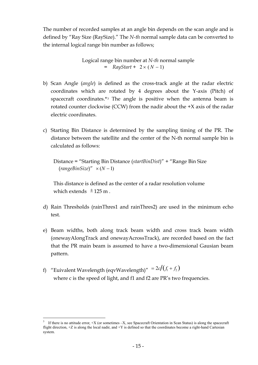The number of recorded samples at an angle bin depends on the scan angle and is defined by "Ray Size (RaySize)." The *N-th* normal sample data can be converted to the internal logical range bin number as follows;

> Logical range bin number at *N-th* normal sample  $=$  RayStart + 2 × (N – 1)

- b) Scan Angle (*angle*) is defined as the cross-track angle at the radar electric coordinates which are rotated by 4 degrees about the Y-axis (Pitch) of spacecraft coordinates.\* $3$  The angle is positive when the antenna beam is rotated counter clockwise (CCW) from the nadir about the +X axis of the radar electric coordinates.
- c) Starting Bin Distance is determined by the sampling timing of the PR. The distance between the satellite and the center of the N-th normal sample bin is calculated as follows:

 Distance = "Starting Bin Distance (*startBinDist*)" + "Range Bin Size  $(rangeBinSize" \times (N-1)$ 

 This distance is defined as the center of a radar resolution volume which extends  $\pm$ 125 m.

- d) Rain Thresholds (rainThres1 and rainThres2) are used in the minimum echo test.
- e) Beam widths, both along track beam width and cross track beam width (onewayAlongTrack and onewayAcrossTrack), are recorded based on the fact that the PR main beam is assumed to have a two-dimensional Gausian beam pattern.
- f) "Euivalent Wavelength (eqvWavelength)" =  $2c/(f_1 + f_2)$ where c is the speed of light, and f1 and f2 are PR's two frequencies.

 $\overline{a}$ 

<sup>&</sup>lt;sup>3</sup> If there is no attitude error,  $+X$  (or sometimes  $-X$ , see Spacecraft Orientation in Scan Status) is along the spacecraft flight direction,  $+Z$  is along the local nadir, and  $+Y$  is defined so that the coordinates become a right-hand Cartesian system.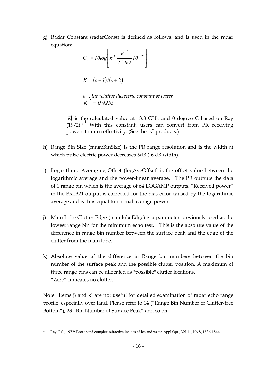g) Radar Constant (radarConst) is defined as follows, and is used in the radar equation:

$$
C_0 = I0log\left[\pi^3 \frac{|K|^2}{2^{10}ln2} 10^{-18}\right]
$$

$$
K = (\varepsilon - 1)/(\varepsilon + 2)
$$

<sup>ε</sup> *: the relative dielectric constant of water*  $K \vert^{2} = 0.9255$ 

 $K^2$  is the calculated value at 13.8 GHz and 0 degree C based on Ray  $(1972).$ <sup>4</sup> With this constant, users can convert from PR receiving powers to rain reflectivity. (See the 1C products.)

- h) Range Bin Size (rangeBinSize) is the PR range resolution and is the width at which pulse electric power decreases 6dB (-6 dB width).
- i) Logarithmic Averaging Offset (logAveOffset) is the offset value between the logarithmic average and the power-linear average. The PR outputs the data of 1 range bin which is the average of 64 LOGAMP outputs. "Received power" in the PR1B21 output is corrected for the bias error caused by the logarithmic average and is thus equal to normal average power.
- j) Main Lobe Clutter Edge (mainlobeEdge) is a parameter previously used as the lowest range bin for the minimum echo test. This is the absolute value of the difference in range bin number between the surface peak and the edge of the clutter from the main lobe.
- k) Absolute value of the difference in Range bin numbers between the bin number of the surface peak and the possible clutter position. A maximum of three range bins can be allocated as "possible" clutter locations. "Zero" indicates no clutter.

Note: Items j) and k) are not useful for detailed examination of radar echo range profile, especially over land. Please refer to 14 ("Range Bin Number of Clutter-free Bottom"), 23 "Bin Number of Surface Peak" and so on.

 $\overline{a}$ 4 Ray, P.S., 1972: Broadband complex refractive indices of ice and water. Appl.Opt., Vol.11, No.8, 1836-1844.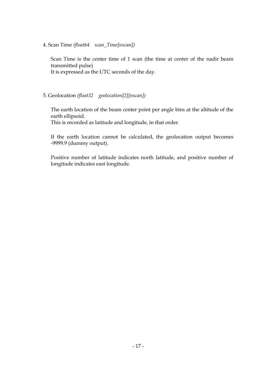4. Scan Time *(float64 scan\_Time[nscan])*

Scan Time is the center time of 1 scan (the time at center of the nadir beam transmitted pulse) It is expressed as the UTC seconds of the day.

#### 5. Geolocation *(float32 geolocation[2][nscan])*

The earth location of the beam center point per angle bins at the altitude of the earth ellipsoid.

This is recorded as latitude and longitude, in that order.

If the earth location cannot be calculated, the geolocation output becomes -9999.9 (dummy output).

Positive number of latitude indicates north latitude, and positive number of longitude indicates east longitude.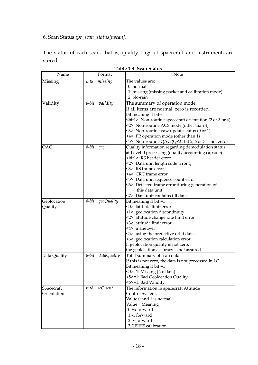# 6. Scan Status *(pr\_scan\_status[nscan])*

The status of each scan, that is, quality flags of spacecraft and instrument, are stored.

| Name         | Format               | Note                                                                       |
|--------------|----------------------|----------------------------------------------------------------------------|
| Missing      | int8<br>missing      | The values are:                                                            |
|              |                      | 0: normal                                                                  |
|              |                      | 1: missing (missing packet and calibration mode)                           |
|              |                      | 2: No-rain                                                                 |
| Validity     | validity<br>8-bit    | The summary of operation mode.                                             |
|              |                      | If all items are normal, zero is recorded.                                 |
|              |                      | Bit meaning if bit=1                                                       |
|              |                      | <br>bit1>: Non-routine spacecraft orientation (2 or 3 or 4)                |
|              |                      | <2>: Non-routine ACS mode (other than 4)                                   |
|              |                      | $\leq$ 3>: Non-routine yaw update status (0 or 1)                          |
|              |                      | <4>: PR operation mode (other than 1)                                      |
|              |                      | <5>: Non-routine QAC (QAC bit 2, 6 or 7 is not zero)                       |
| QAC          | 8-bit<br>qac         | Quality information regarding demodulation status                          |
|              |                      | at Level-0 processing (quality accounting capsule)                         |
|              |                      | <bit1>: RS header error</bit1>                                             |
|              |                      | <2>: Data unit length code wrong                                           |
|              |                      | <3>: RS frame error                                                        |
|              |                      | <4>: CRC frame error                                                       |
|              |                      | <5>: Data unit sequence count error                                        |
|              |                      | <6>: Detected frame error during generation of                             |
|              |                      | this data unit                                                             |
|              |                      | <7>: Data unit contains fill data                                          |
| Geolocation  | 8-bit<br>geoQuality  | Bit meaning if bit =1                                                      |
| Quality      |                      | <0>: latitude limit error                                                  |
|              |                      | <1>: geolocation discontinuity                                             |
|              |                      | <2>: attitude change rate limit error                                      |
|              |                      | <3>: attitude limit error<br><4>: maneuver                                 |
|              |                      |                                                                            |
|              |                      | <5>: using the predictive orbit data<br><6>: geolocation calculation error |
|              |                      | If geolocation quality is not zero,                                        |
|              |                      | the geolocation accuracy is not assured.                                   |
| Data Quality | dataQuality<br>8-bit | Total summary of scan data.                                                |
|              |                      | If this is not zero, the data is not processed in 1C.                      |
|              |                      | Bit meaning if $bit = 1$                                                   |
|              |                      | <0>=1: Missing (No data)                                                   |
|              |                      | <5>=1: Bad Geolocation Quality                                             |
|              |                      | <6>=1: Bad Validity                                                        |
| Spacecraft   | scOrient<br>int8     | The information in spacecraft Attitude                                     |
| Orientation  |                      | Control System.                                                            |
|              |                      | Value 0 and 1 is normal.                                                   |
|              |                      | Value Meaning                                                              |
|              |                      | $0$ :+x forward                                                            |
|              |                      | 1:-x forward                                                               |
|              |                      | 2:-y forward                                                               |
|              |                      | 3:CERES calibration                                                        |

| Table 1-4. Scan Status |  |  |
|------------------------|--|--|
|------------------------|--|--|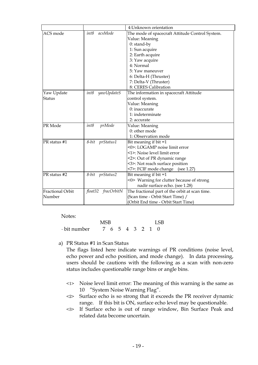|                         |                                                                    | 4: Unknown orientation                         |  |
|-------------------------|--------------------------------------------------------------------|------------------------------------------------|--|
| ACS mode                | int8<br>acsMode<br>The mode of spacecraft Attitude Control System. |                                                |  |
|                         |                                                                    | Value: Meaning                                 |  |
|                         |                                                                    | $0:$ stand-by                                  |  |
|                         |                                                                    | 1: Sun acquire                                 |  |
|                         |                                                                    | 2: Earth acquire                               |  |
|                         |                                                                    | 3: Yaw acquire                                 |  |
|                         |                                                                    | 4: Normal                                      |  |
|                         |                                                                    | 5: Yaw maneuver                                |  |
|                         |                                                                    | 6: Delta-H (Thruster)                          |  |
|                         |                                                                    | 7: Delta-V (Thruster)                          |  |
|                         |                                                                    | 8: CERES Calibration                           |  |
| Yaw Update              | yawUpdateS<br>int8                                                 | The information in spacecraft Attitude         |  |
| <b>Status</b>           |                                                                    | control system.                                |  |
|                         |                                                                    | Value: Meaning                                 |  |
|                         |                                                                    | 0: inaccurate                                  |  |
|                         |                                                                    | 1: indeterminate                               |  |
|                         |                                                                    | 2: accurate                                    |  |
| PR Mode                 | int8<br>prMode                                                     | Value: Meaning                                 |  |
|                         |                                                                    | 0: other mode                                  |  |
|                         |                                                                    | 1: Observation mode                            |  |
| PR status #1            | 8-bit prStatus1                                                    | Bit meaning if $bit = 1$                       |  |
|                         |                                                                    | <0>: LOGAMP noise limit error                  |  |
|                         |                                                                    | <1>: Noise level limit error                   |  |
|                         |                                                                    | <2>: Out of PR dynamic range                   |  |
|                         |                                                                    | <3>: Not reach surface position                |  |
|                         |                                                                    | <7>: FCIF mode change (see 1.27)               |  |
| PR status #2            | 8-bit prStatus2                                                    | Bit meaning if $bit = 1$                       |  |
|                         |                                                                    | <0> Warning for clutter because of strong      |  |
|                         |                                                                    | nadir surface echo. (see 1.28)                 |  |
| <b>Fractional Orbit</b> | float32<br>fracOrbitN                                              | The fractional part of the orbit at scan time. |  |
| Number                  |                                                                    | (Scan time - Orbit Start Time) /               |  |
|                         |                                                                    | (Orbit End time - Orbit Start Time)            |  |

Notes:

 MSB LSB · bit number 7 6 5 4 3 2 1 0

a) PR Status #1 in Scan Status

The flags listed here indicate warnings of PR conditions (noise level, echo power and echo position, and mode change). In data processing, users should be cautions with the following as a scan with non-zero status includes questionable range bins or angle bins.

- <1> Noise level limit error: The meaning of this warning is the same as 10 "System Noise Warning Flag".
- <2> Surface echo is so strong that it exceeds the PR receiver dynamic range. If this bit is ON, surface echo level may be questionable.
- <3> If Surface echo is out of range window, Bin Surface Peak and related data become uncertain.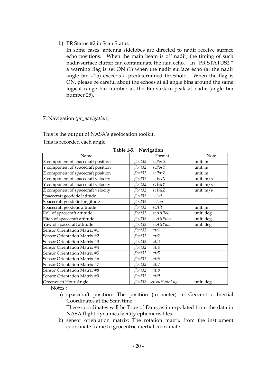b) PR Status #2 in Scan Status

In some cases, antenna sidelobes are directed to nadir receive surface echo positions. When the main beam is off nadir, the timing of such nadir-surface clutter can contaminate the rain echo. In "PR STATUS2," a warning flag is set ON (1) when the nadir surface echo (at the nadir angle bin #25) exceeds a predetermined threshold. When the flag is ON, please be careful about the echoes at all angle bins around the same logical range bin number as the Bin-surface-peak at nadir (angle bin number 25).

#### 7. Navigation *(pr\_navigation)*

This is the output of NASA's geolocation toolkit.

This is recorded each angle.

| Table 1-5.<br>Navigation           |                         |             |  |  |  |  |  |
|------------------------------------|-------------------------|-------------|--|--|--|--|--|
| Name                               | Format                  | Note        |  |  |  |  |  |
| X component of spacecraft position | scPosX<br>float32       | unit: m     |  |  |  |  |  |
| Y component of spacecraft position | scPosY<br>float32       | unit: m     |  |  |  |  |  |
| Z component of spacecraft position | scPosZ<br>float32       | unit: m     |  |  |  |  |  |
| X component of spacecraft velocity | float32<br>scVelX       | unit: $m/s$ |  |  |  |  |  |
| Y component of spacecraft velocity | $scVelY$<br>float32     | unit: $m/s$ |  |  |  |  |  |
| Z component of spacecraft velocity | float32<br>scVelZ       | unit: $m/s$ |  |  |  |  |  |
| Spacecraft geodetic latitude       | float32<br>scLat        |             |  |  |  |  |  |
| Spacecraft geodetic longitude      | float32<br>scLon        |             |  |  |  |  |  |
| Spacecraft geodetic altitude       | float32<br>scAlt        | unit: m     |  |  |  |  |  |
| Roll of spacecraft attitude        | float32<br>scAttRoll    | unit: deg   |  |  |  |  |  |
| Pitch of spacecraft attitude       | float32<br>scAttPitch   | unit: deg   |  |  |  |  |  |
| Yaw of spacecraft attitude         | float32<br>scAttYaw     | unit: deg   |  |  |  |  |  |
| Sensor Orientation Matrix #1       | float32<br>att1         |             |  |  |  |  |  |
| Sensor Orientation Matrix #2       | float32<br>att2         |             |  |  |  |  |  |
| Sensor Orientation Matrix #3       | float32<br>att3         |             |  |  |  |  |  |
| Sensor Orientation Matrix #4       | float32<br>att4         |             |  |  |  |  |  |
| Sensor Orientation Matrix #5       | float32<br>att5         |             |  |  |  |  |  |
| Sensor Orientation Matrix #6       | float32<br>att6         |             |  |  |  |  |  |
| Sensor Orientation Matrix #7       | float32<br>att7         |             |  |  |  |  |  |
| Sensor Orientation Matrix #8       | float32<br>att8         |             |  |  |  |  |  |
| Sensor Orientation Matrix #9       | float32<br>att9         |             |  |  |  |  |  |
| Greenwich Hour Angle               | float32<br>greenHourAng | unit: deg   |  |  |  |  |  |

**Table 1-5. Navigation** 

Notes :

a) spacecraft position: The position (in meter) in Geocentric Inertial Coordinates at the Scan time.

These coordinates will be True of Date, as interpolated from the data in NASA flight dynamics facility ephemeris files.

b) sensor orientation matrix: The rotation matrix from the instrument coordinate frame to geocentric inertial coordinate.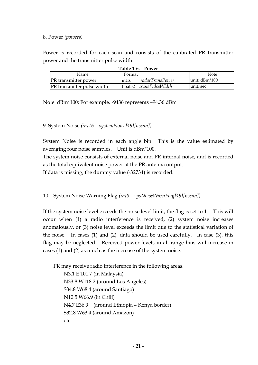#### 8. Power *(powers)*

Power is recorded for each scan and consists of the calibrated PR transmitter power and the transmitter pulse width.

| $1401C + 0.101C1$          |        |                         |                |  |  |  |  |
|----------------------------|--------|-------------------------|----------------|--|--|--|--|
| Name.                      | Format |                         | Note           |  |  |  |  |
| PR transmitter power       | int16  | radarTransPower         | lunit: dBm*100 |  |  |  |  |
| PR transmitter pulse width |        | float32 transPulseWidth | lunit: sec     |  |  |  |  |
|                            |        |                         |                |  |  |  |  |

Note: dBm\*100: For example, -9436 represents –94.36 dBm

#### 9. System Noise *(int16 systemNoise[49][nscan])*

System Noise is recorded in each angle bin. This is the value estimated by averaging four noise samples. Unit is dBm\*100.

The system noise consists of external noise and PR internal noise, and is recorded as the total equivalent noise power at the PR antenna output.

If data is missing, the dummy value (-32734) is recorded.

10. System Noise Warning Flag *(int8 sysNoiseWarnFlag[49][nscan])*

If the system noise level exceeds the noise level limit, the flag is set to 1. This will occur when (1) a radio interference is received, (2) system noise increases anomalously, or (3) noise level exceeds the limit due to the statistical variation of the noise. In cases (1) and (2), data should be used carefully. In case (3), this flag may be neglected. Received power levels in all range bins will increase in cases (1) and (2) as much as the increase of the system noise.

PR may receive radio interference in the following areas.

```
 N3.1 E 101.7 (in Malaysia) 
N33.8 W118.2 (around Los Angeles)
```
 S34.8 W68.4 (around Santiago) N10.5 W66.9 (in Chili) N4.7 E36.9 (around Ethiopia – Kenya border) S32.8 W63.4 (around Amazon) etc.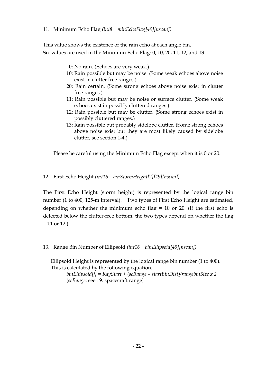#### 11. Minimum Echo Flag *(int8 minEchoFlag[49][nscan])*

This value shows the esistence of the rain echo at each angle bin. Six values are used in the Minumun Echo Flag: 0, 10, 20, 11, 12, and 13.

- 0: No rain. (Echoes are very weak.)
- 10: Rain possible but may be noise. (Some weak echoes above noise exist in clutter free ranges.)
- 20: Rain certain. (Some strong echoes above noise exist in clutter free ranges.)
- 11: Rain possible but may be noise or surface clutter. (Some weak echoes exist in possibly cluttered ranges.)
- 12: Rain possible but may be clutter. (Some strong echoes exist in possibly cluttered ranges.)
- 13: Rain possible but probably sidelobe clutter. (Some strong echoes above noise exist but they are most likely caused by sidelobe clutter, see section 1-4.)

Please be careful using the Minimum Echo Flag except when it is 0 or 20.

#### 12. First Echo Height *(int16 binStormHeight[2][49][nscan])*

The First Echo Height (storm height) is represented by the logical range bin number (1 to 400, 125-m interval). Two types of First Echo Height are estimated, depending on whether the minimum echo flag  $= 10$  or 20. (If the first echo is detected below the clutter-free bottom, the two types depend on whether the flag  $= 11$  or 12.)

13. Range Bin Number of Ellipsoid *(int16 binEllipsoid[49][nscan])*

Ellipsoid Height is represented by the logical range bin number (1 to 400). This is calculated by the following equation.

*binEllipsoid[j] = RayStart + (scRange – startBinDist)/rangebinSize x 2*  (*scRange*: see 19. spacecraft range)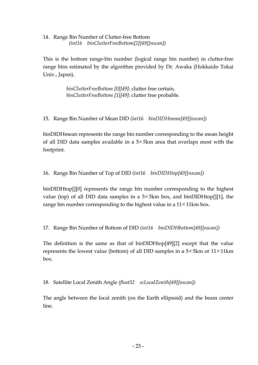14. Range Bin Number of Clutter-free Bottom  *(int16 binClutterFreeBottom[2][49][nscan])*

This is the bottom range-bin number (logical range bin number) in clutter-free range bins estimated by the algorithm provided by Dr. Awaka (Hokkaido Tokai Univ., Japan).

> *binClutterFreeBottom [0][49]*: clutter free certain, *binClutterFreeBottom [1][49]*: clutter free probable.

15. Range Bin Number of Mean DID *(int16 binDIDHmean[49][nscan])*

binDIDHmean represents the range bin number corresponding to the mean height of all DID data samples available in a 5× 5km area that overlaps most with the footprint.

16. Range Bin Number of Top of DID *(int16 binDIDHtop[49][nscan])*

binDIDHtop[][0] represents the range bin number corresponding to the highest value (top) of all DID data samples in a  $5 \times 5$ km box, and binDIDHtop[][1], the range bin number corresponding to the highest value in a  $11 \times 11$  km box.

17. Range Bin Number of Bottom of DID *(int16 binDIDHbottom[49][nscan])*

The definition is the same as that of binDIDHtop[49][2] except that the value represents the lowest value (bottom) of all DID samples in a  $5\times 5$ km or  $11\times 11$ km box.

18. Satellite Local Zenith Angle *(float32 scLocalZenith[49][nscan])*

The angle between the local zenith (on the Earth ellipsoid) and the beam center line.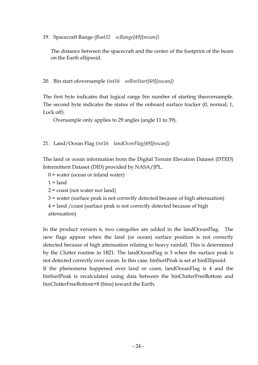19. Spacecraft Range *(float32 scRange[49][nscan])*

The distance between the spacecraft and the center of the footprint of the beam on the Earth ellipsoid.

20. Bin start ofoversample *(int16 osBinStart[49][nscan])*

The first byte indicates that logical range bin number of starting theoversample. The second byte indicates the status of the onboard surface tracker (0, normal; 1, Lock off).

Oversample only applies to 29 angles (angle 11 to 39).

21. Land/Ocean Flag *(int16 landOcenFlag[49][nscan])*

The land or ocean information from the Digital Terrain Elevation Dataset (DTED) Intermittent Dataset (DID) provided by NASA/JPL.

 $0 =$  water (ocean or inland water)

binClutterFreeBottom+8 (bins) toward the Earth.

 $1 =$ land

- 2 = coast (not water nor land)
- 3 = water (surface peak is not correctly detected because of high attenuation)
- 4 = land /coast (surface peak is not correctly detected because of high

attenuation)

In the product version 6, two categolies are added in the landOceanFlag. The new flags appear when the land (or ocean) surface position is not correctly detected because of high attenuation relating to heavy rainfall. This is determined by the Clutter routine in 1B21. The landOceanFlag is 3 when the surface peak is not detected correctly over ocean. In this case, binSurfPeak is set at binEllipsoid. If the phenomena happened over land or coast, landOceanFlag is 4 and the binSurfPeak is recalculated using data between the binClutterFreeBottom and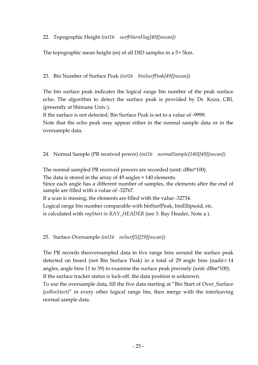22. Topographic Height *(int16 surfWarnFlag[49][nscan])*

The topographic mean height (m) of all DID samples in a 5× 5km.

# 23. Bin Number of Surface Peak *(int16 binSurfPeak[49][nscan])*

The bin surface peak indicates the logical range bin number of the peak surface echo. The algorithm to detect the surface peak is provided by Dr. Kozu, CRL (presently at Shimane Univ.).

If the surface is not detected, Bin Surface Peak is set to a value of -9999.

Note that the echo peak may appear either in the normal sample data or in the oversample data.

# 24. Normal Sample (PR received power) *(int16 normalSample[140][49][nscan])*

The normal sampled PR received powers are recorded (unit: dBm\*100).

The data is stored in the array of 49 angles \* 140 elements.

Since each angle has a different number of samples, the elements after the end of sample are filled with a value of -32767.

If a scan is missing, the elements are filled with the value -32734.

Logical range bin number comparable with binSurfPeak, binEllipsoid, etc. is calculated with *rayStart in RAY\_HEADER* (see 3. Ray Header, Note a ).

# 25. Surface Oversample *(int16 osSurf[5][29][nscan])*

The PR records theoversampled data in five range bins around the surface peak detected on board (not Bin Surface Peak) in a total of 29 angle bins (nadir± 14 angles, angle bins 11 to 39) to examine the surface peak precisely (unit: dBm\*100). If the surface tracker status is lock-off, the data position is unknown.

To use the oversample data, fill the five data starting at "Bin Start of Over\_Surface (*osBinStart)*" in every other logical range bin, then merge with the interleaving normal sample data.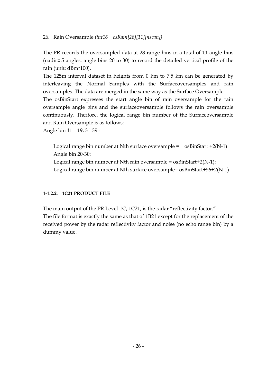#### 26. Rain Oversample *(int16 osRain[28][11][nscan])*

The PR records the oversampled data at 28 range bins in a total of 11 angle bins (nadir $\pm$  5 angles: angle bins 20 to 30) to record the detailed vertical profile of the rain (unit: dBm\*100).

The 125m interval dataset in heights from 0 km to 7.5 km can be generated by interleaving the Normal Samples with the Surfaceoversamples and rain oversamples. The data are merged in the same way as the Surface Oversample.

The osBinStart expresses the start angle bin of rain oversample for the rain oversample angle bins and the surfaceoversample follows the rain oversample continuously. Therfore, the logical range bin number of the Surfaceoversample and Rain Oversample is as follows:

Angle bin 11 – 19, 31-39 :

Logical range bin number at Nth surface oversample =  $\cos \theta$  os BinStart +2(N-1) Angle bin 20-30:

Logical range bin number at Nth rain oversample = osBinStart+2(N-1):

Logical range bin number at Nth surface oversample= osBinStart+56+2(N-1)

### **1-1.2.2. 1C21 PRODUCT FILE**

The main output of the PR Level-1C, 1C21, is the radar "reflectivity factor." The file format is exactly the same as that of 1B21 except for the replacement of the received power by the radar reflectivity factor and noise (no echo range bin) by a dummy value.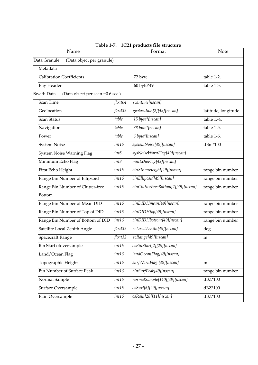| Name                                           |         | Format                             | Note                |  |  |  |
|------------------------------------------------|---------|------------------------------------|---------------------|--|--|--|
| (Data object per granule)<br>Data Granule      |         |                                    |                     |  |  |  |
| Metadata                                       |         |                                    |                     |  |  |  |
| <b>Calibration Coefficients</b>                |         | 72 byte                            | table 1-2.          |  |  |  |
| Ray Header                                     |         | 60 byte*49                         | table 1-3.          |  |  |  |
| Swath Data<br>(Data object per scan =0.6 sec.) |         |                                    |                     |  |  |  |
| <b>Scan Time</b>                               | float64 | scantime[nscan]                    |                     |  |  |  |
| Geolocation                                    | float32 | geolocation[2][49][nscan]          | latitude, longitude |  |  |  |
| <b>Scan Status</b>                             | table   | 15 byte*[nscan]                    | table 1.-4.         |  |  |  |
| Navigation                                     | table   | 88 byte*[nscan]                    | table 1-5.          |  |  |  |
| Power                                          | table   | 6 byte*[nscan]                     | table 1-6.          |  |  |  |
| <b>System Noise</b>                            | int16   | systemNoise[49][nscan]             | dBm*100             |  |  |  |
| System Noise Warning Flag                      | int8    | sysNoiseWarnFlag[49][nscan]        |                     |  |  |  |
| Minimum Echo Flag                              | int8    | minEchoFlag[49][nscan]             |                     |  |  |  |
| First Echo Height                              | int16   | binStromHeight[49][nscan]          | range bin number    |  |  |  |
| Range Bin Number of Ellipsoid                  | int16   | binElliposid[49][nscan]            | range bin number    |  |  |  |
| Range Bin Number of Clutter-free               | int16   | binClutterFreeBottom[2][49][nscan] | range bin number    |  |  |  |
| Bottom                                         |         |                                    |                     |  |  |  |
| Range Bin Number of Mean DID                   | int16   | binDIDHmean[49][nscan]             | range bin number    |  |  |  |
| Range Bin Number of Top of DID                 | int16   | binDIDHtop[49][nscan]              | range bin number    |  |  |  |
| Range Bin Number of Bottom of DID              | int16   | binDIDHbottom[49][nscan]           | range bin number    |  |  |  |
| Satellite Local Zenith Angle                   | float32 | scLocalZenith[49][nscan]           | deg                 |  |  |  |
| <b>Spacecraft Range</b>                        | float32 | scRange[49][nscan]                 | m                   |  |  |  |
| <b>Bin Start ofoversample</b>                  | int16   | osBinStart[2][29][nscan]           |                     |  |  |  |
| Land/Ocean Flag                                | int16   | landOceanFlag[49][nscan]           |                     |  |  |  |
| Topographic Height                             | int16   | surfWarnFlag [49][nscan]           | m                   |  |  |  |
| <b>Bin Number of Surface Peak</b>              | int16   | binSurfPeak[49][nscan]             | range bin number    |  |  |  |
| Normal Sample                                  | int16   | normalSample[140][49][nscan]       | dBZ*100             |  |  |  |
| Surface Oversample                             | int16   | osSurf[5][29][nscan]               | dBZ*100             |  |  |  |
| Rain Oversample                                | int16   | osRain[28][11][nscan]              | dBZ*100             |  |  |  |

**Table 1-7. 1C21 products file structure**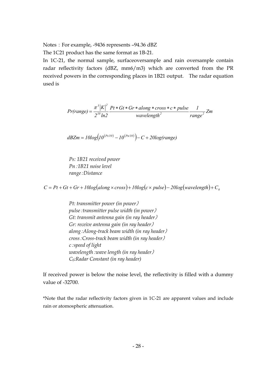Notes: For example, -9436 represents -94.36 dBZ

The 1C21 product has the same format as 1B-21.

In 1C-21, the normal sample, surfaceoversample and rain oversample contain radar reflectivity factors (dBZ, mm6/m3) which are converted from the PR received powers in the corresponding places in 1B21 output. The radar equation used is

$$
Pr(range) = \frac{\pi^3 |K|^2}{2^{10} \ln 2} \frac{Pt * Gt * Gr * along * cross * c * pulse}{wavelength^2} \frac{1}{range^2} Zm
$$

$$
dBZm = 10log(10^{(Ps/10)} - 10^{(Pn/10)}) - C + 20log(range)
$$

*Ps: 1B21 received power Pn*:*1B21 noise level range*:*Distance* 

 $C = Pt + Gt + Gr + I0log(along \times cross) + I0log(c \times pulse) - 20log(wavelength) + C_0$ 

*Pt: transmitter power (in power*) *pulse*:*transmitter pulse width (in power*) *Gt: transmit antenna gain (in ray header*) *Gr: receive antenna gain (in ray header*) *along*:*Along-track beam width (in ray header*) *cross*:*Cross-track beam width (in ray header*) *c*:*speed of light wavelength*:*wave length (in ray header*) *C0:Radar Constant (in ray header)* 

If received power is below the noise level, the reflectivity is filled with a dummy value of -32700.

\*Note that the radar reflectivity factors given in 1C-21 are apparent values and include rain or atomospheric attenuation.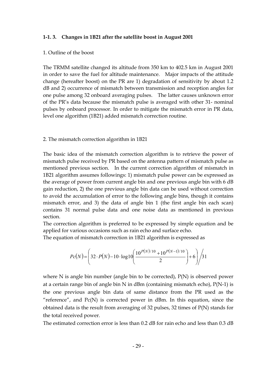#### **1-1. 3. Changes in 1B21 after the satellite boost in August 2001**

#### 1. Outline of the boost

The TRMM satellite changed its altitude from 350 km to 402.5 km in August 2001 in order to save the fuel for altitude maintenance. Major impacts of the attitude change (hereafter boost) on the PR are 1) degradation of sensitivity by about 1.2 dB and 2) occurrence of mismatch between transmission and reception angles for one pulse among 32 onboard averaging pulses. The latter causes unknown error of the PR's data because the mismatch pulse is averaged with other 31- nominal pulses by onboard processor. In order to mitigate the mismatch error in PR data, level one algorithm (1B21) added mismatch correction routine.

#### 2. The mismatch correction algorithm in 1B21

The basic idea of the mismatch correction algorithm is to retrieve the power of mismatch pulse received by PR based on the antenna pattern of mismatch pulse as mentioned previous section. In the current correction algorithm of mismatch in 1B21 algorithm assumes followings: 1) mismatch pulse power can be expressed as the average of power from current angle bin and one previous angle bin with 6 dB gain reduction, 2) the one previous angle bin data can be used without correction to avoid the accumulation of error to the following angle bins, though it contains mismatch error, and 3) the data of angle bin 1 (the first angle bin each scan) contains 31 normal pulse data and one noise data as mentioned in previous section.

The correction algorithm is preferred to be expressed by simple equation and be applied for various occasions such as rain echo and surface echo.

The equation of mismatch correction in 1B21 algorithm is expressed as

$$
Pc(N) = \left(32 \cdot P(N) - 10 \cdot \log 10 \left( \frac{10^{P(N)/10} + 10^{P(N-1)/10}}{2} \right) + 6 \right) / 31
$$

where N is angle bin number (angle bin to be corrected), P(N) is observed power at a certain range bin of angle bin N in dBm (containing mismatch echo), P(N-1) is the one previous angle bin data of same distance from the PR used as the "reference", and  $Pc(N)$  is corrected power in dBm. In this equation, since the obtained data is the result from averaging of 32 pulses, 32 times of P(N) stands for the total received power.

The estimated correction error is less than 0.2 dB for rain echo and less than 0.3 dB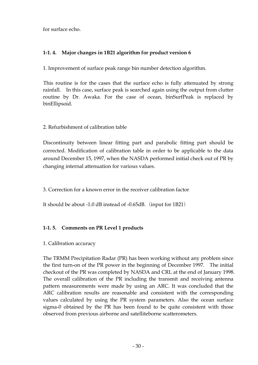for surface echo.

## **1-1. 4. Major changes in 1B21 algorithm for product version 6**

1. Improvement of surface peak range bin number detection algorithm.

This routine is for the cases that the surface echo is fully attenuated by strong rainfall. In this case, surface peak is searched again using the output from clutter routine by Dr. Awaka. For the case of ocean, binSurfPeak is replaced by binEllipsoid.

# 2. Refurbishment of calibration table

Discontinuity between linear fitting part and parabolic fitting part should be corrected. Modification of calibration table in order to be applicable to the data around December 15, 1997, when the NASDA performed initial check out of PR by changing internal attenuation for various values.

3. Correction for a known error in the receiver calibration factor

It should be about -1.0 dB instead of -0.65dB. (input for 1B21)

# **1-1. 5. Comments on PR Level 1 products**

1. Calibration accuracy

The TRMM Precipitation Radar (PR) has been working without any problem since the first turn-on of the PR power in the beginning of December 1997. The initial checkout of the PR was completed by NASDA and CRL at the end of January 1998. The overall calibration of the PR including the transmit and receiving antenna pattern measurements were made by using an ARC. It was concluded that the ARC calibration results are reasonable and consistent with the corresponding values calculated by using the PR system parameters. Also the ocean surface sigma-0 obtained by the PR has been found to be quite consistent with those observed from previous airborne and satelliteborne scatterometers.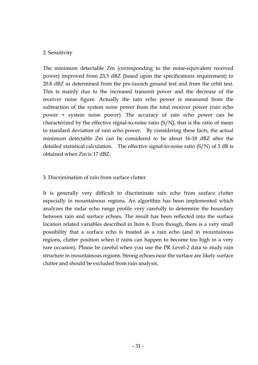#### 2. Sensitivity

The minimum detectable Zm (corresponding to the noise-equivalent received power) improved from 23.3 dBZ (based upon the specifications requirement) to 20.8 dBZ as determined from the pre-launch ground test and from the orbit test. This is mainly due to the increased transmit power and the decrease of the receiver noise figure. Actually the rain echo power is measured from the subtraction of the system noise power from the total receiver power (rain echo power + system noise power). The accuracy of rain echo power can be characterized by the effective signal-to-noise ratio  $(S/N)$ , that is the ratio of mean to standard deviation of rain echo power. By considering these facts, the actual minimum detectable Zm can be considered to be about 16-18 dBZ after the detailed statistical calculation. The effective signal-to-noise ratio  $(S/N)$  of 3 dB is obtained when Zm is 17 dBZ.

#### 3. Discrimination of rain from surface clutter

It is generally very difficult to discriminate rain echo from surface clutter especially in mountainous regions. An algorithm has been implemented which analyzes the radar echo range profile very carefully to determine the boundary between rain and surface echoes. The result has been reflected into the surface location related variables described in Item 6. Even though, there is a very small possibility that a surface echo is treated as a rain echo (and in mountainous regions, clutter position when it rains can happen to become too high in a very rare occasion). Please be careful when you use the PR Level-2 data to study rain structure in mountainous regions. Strong echoes near the surface are likely surface clutter and should be excluded from rain analysis.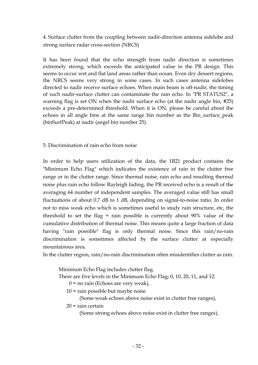4. Surface clutter from the coupling between nadir-direction antenna sidelobe and strong surface radar cross-section (NRCS)

It has been found that the echo strength from nadir direction is sometimes extremely strong, which exceeds the anticipated value in the PR design. This seems to occur wet and flat land areas rather than ocean. Even dry dessert regions, the NRCS seems very strong in some cases. In such cases antenna sidelobes directed to nadir receive surface echoes. When main beam is off-nadir, the timing of such nadir-surface clutter can contaminate the rain echo. In "PR STATUS2", a warning flag is set ON when the nadir surface echo (at the nadir angle bin, #25) exceeds a pre-determined threshold. When it is ON, please be careful about the echoes in all angle bins at the same range bin number as the Bin\_surface\_peak (binSurfPeak) at nadir (angel bin number 25).

5. Discrimination of rain echo from noise

In order to help users utilization of the data, the 1B21 product contains the "Minimum Echo Flag" which indicates the existence of rain in the clutter free range or in the clutter range. Since thermal noise, rain echo and resulting thermal noise plus rain echo follow Rayleigh fading, the PR received echo is a result of the averaging 64 number of independent samples. The averaged value still has small fluctuations of about 0.7 dB to 1 dB, depending on signal-to-noise ratio. In order not to miss weak echo which is sometimes useful to study rain structure, etc, the threshold to set the flag = rain possible is currently about 90% value of the cumulative distribution of thermal noise. This means quite a large fraction of data having "rain possible" flag is only thermal noise. Since this rain/no-rain discrimination is sometimes affected by the surface clutter at especially mountainous area.

In the clutter region, rain/no-rain discrimination often misidentifies clutter as rain.

Minimum Echo Flag includes clutter flag.

There are five levels in the Minimum Echo Flag; 0, 10, 20, 11, and 12:

 $0 =$  no rain (Echoes are very weak),

10 = rain possible but maybe noise

(Some weak echoes above noise exist in clutter free ranges),

 $20$  = rain certain

(Some strong echoes above noise exist in clutter free ranges),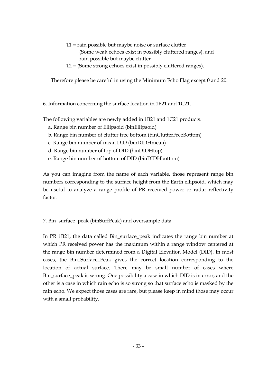- 11 = rain possible but maybe noise or surface clutter (Some weak echoes exist in possibly cluttered ranges), and rain possible but maybe clutter
- 12 = (Some strong echoes exist in possibly cluttered ranges).

Therefore please be careful in using the Minimum Echo Flag except 0 and 20.

6. Information concerning the surface location in 1B21 and 1C21.

The following variables are newly added in 1B21 and 1C21 products.

- a. Range bin number of Ellipsoid (binEllipsoid)
- b. Range bin number of clutter free bottom (binClutterFreeBottom)
- c. Range bin number of mean DID (binDIDHmean)
- d. Range bin number of top of DID (binDIDHtop)
- e. Range bin number of bottom of DID (binDIDHbottom)

As you can imagine from the name of each variable, those represent range bin numbers corresponding to the surface height from the Earth ellipsoid, which may be useful to analyze a range profile of PR received power or radar reflectivity factor.

## 7. Bin\_surface\_peak (binSurfPeak) and oversample data

In PR 1B21, the data called Bin\_surface\_peak indicates the range bin number at which PR received power has the maximum within a range window centered at the range bin number determined from a Digital Elevation Model (DID). In most cases, the Bin\_Surface\_Peak gives the correct location corresponding to the location of actual surface. There may be small number of cases where Bin\_surface\_peak is wrong. One possibility a case in which DID is in error, and the other is a case in which rain echo is so strong so that surface echo is masked by the rain echo. We expect those cases are rare, but please keep in mind those may occur with a small probability.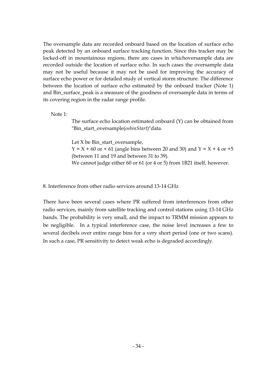The oversample data are recorded onboard based on the location of surface echo peak detected by an onboard surface tracking function. Since this tracker may be locked-off in mountainous regions, there are cases in whichoversample data are recorded outside the location of surface echo. In such cases the oversample data may not be useful because it may not be used for improving the accuracy of surface echo power or for detailed study of vertical storm structure. The difference between the location of surface echo estimated by the onboard tracker (Note 1) and Bin surface peak is a measure of the goodness of oversample data in terms of its covering region in the radar range profile.

Note 1:

 The surface echo location estimated onboard (Y) can be obtained from "Bin\_start\_oversample(*osbinStart*)"data.

Let X be Bin\_start\_oversample,

 $Y = X + 60$  or  $+ 61$  (angle bins between 20 and 30) and  $Y = X + 4$  or  $+5$ (between 11 and 19 and between 31 to 39).

We cannot judge either 60 or 61 (or 4 or 5) from 1B21 itself, however.

8. Interference from other radio services around 13-14 GHz

There have been several cases where PR suffered from interferences from other radio services, mainly from satellite tracking and control stations using 13-14 GHz bands. The probability is very small, and the impact to TRMM mission appears to be negligible. In a typical interference case, the noise level increases a few to several decibels over entire range bins for a very short period (one or two scans). In such a case, PR sensitivity to detect weak echo is degraded accordingly.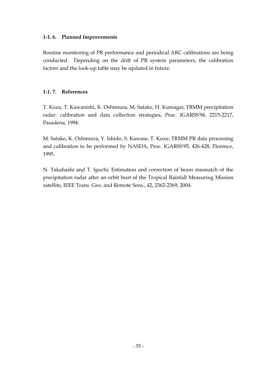### **1-1. 6. Planned Improvements**

Routine monitoring of PR performance and periodical ARC calibrations are being conducted. Depending on the drift of PR system parameters, the calibration factors and the look-up table may be updated in future.

### **1-1. 7. References**

T. Kozu, T. Kawanishi, K. Oshimura, M. Satake, H. Kumagai; TRMM precipitation radar: calibration and data collection strategies, Proc. IGARSS'94, 2215-2217, Pasadena, 1994.

M. Satake, K. Oshimura, Y. Ishido, S. Kawase, T. Kozu: TRMM PR data processing and calibration to be performed by NASDA, Proc. IGARSS'95, 426-428, Florence, 1995.

N. Takahashi and T. Iguchi; Estimation and correction of beam mismatch of the precipitation radar after an orbit boot of the Tropical Rainfall Measuring Mission satellite, IEEE Trans. Geo. and Remote Sens., 42, 2362-2369, 2004.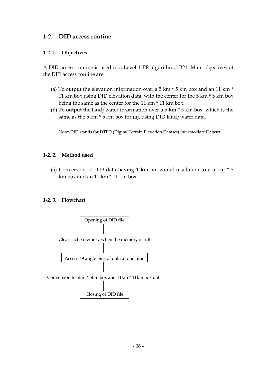# **1-2. DID access routine**

#### **1-2. 1. Objectives**

A DID access routine is used in a Level-1 PR algorithm, 1B21. Main objectives of the DID access routine are:

- (a) To output the elevation information over a 5 km  $*$  5 km box and an 11 km  $*$ 11 km box using DID elevation data, with the center for the 5 km \* 5 km box being the same as the center for the 11 km \* 11 km box.
- (b) To output the land/water information over a 5 km \* 5 km box, which is the same as the 5 km  $*$  5 km box for (a), using DID land/water data.

Note: DID stands for DTED (Digital Terrain Elevation Dataset) Intermediate Dataset.

### **1-2. 2. Method used**

(a) Conversion of DID data having 1 km horizontal resolution to a 5 km \* 5 km box and an 11 km \* 11 km box.

### **1-2. 3. Flowchart**

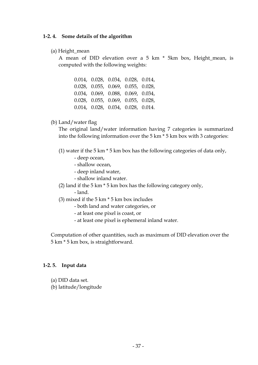#### **1-2. 4. Some details of the algorithm**

(a) Height\_mean

A mean of DID elevation over a 5 km \* 5km box, Height\_mean, is computed with the following weights:

0.014, 0.028, 0.034, 0.028, 0.014, 0.028, 0.055, 0.069, 0.055, 0.028, 0.034, 0.069, 0.088, 0.069, 0.034, 0.028, 0.055, 0.069, 0.055, 0.028, 0.014, 0.028, 0.034, 0.028, 0.014.

#### (b) Land/water flag

The original land/water information having 7 categories is summarized into the following information over the 5 km \* 5 km box with 3 categories:

(1) water if the 5 km \* 5 km box has the following categories of data only,

- deep ocean,
- shallow ocean,
- deep inland water,
- shallow inland water.
- (2) land if the 5 km \* 5 km box has the following category only,
	- land.
- (3) mixed if the 5 km \* 5 km box includes
	- both land and water categories, or
	- at least one pixel is coast, or
	- at least one pixel is ephemeral inland water.

Computation of other quantities, such as maximum of DID elevation over the 5 km \* 5 km box, is straightforward.

#### **1-2. 5. Input data**

- (a) DID data set.
- (b) latitude/longitude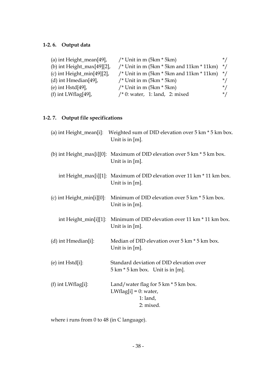# **1-2. 6. Output data**

| (a) int Height_mean $[49]$ ,   | /* Unit in m $(5km * 5km)$                        | $*$ /     |
|--------------------------------|---------------------------------------------------|-----------|
| (b) int Height_max $[49][2]$ , | /* Unit in m $(5km * 5km$ and $11km * 11km)$ $*/$ |           |
| (c) int Height_min $[49][2]$ , | /* Unit in m $(5km * 5km$ and $11km * 11km)$ */   |           |
| $(d)$ int Hmedian[49],         | /* Unit in m $(5km * 5km)$                        | $\star$ / |
| (e) int $Hstd[49]$ ,           | /* Unit in m $(5km * 5km)$                        | $\star$ / |
| (f) int LWflag[49],            | $\prime$ * 0: water, 1: land, 2: mixed            | $^*/$     |

# **1-2. 7. Output file specifications**

|                           | (a) int Height_mean[i]: Weighted sum of DID elevation over 5 km * 5 km box.<br>Unit is in $[m]$ .             |
|---------------------------|---------------------------------------------------------------------------------------------------------------|
|                           | (b) int Height_max[i][0]: Maximum of DID elevation over 5 km * 5 km box.<br>Unit is in $[m]$ .                |
|                           | int Height_max[i][1]: Maximum of DID elevation over 11 km * 11 km box.<br>Unit is in $[m]$ .                  |
| (c) int Height_min[i][0]: | Minimum of DID elevation over 5 km $*$ 5 km box.<br>Unit is in $[m]$ .                                        |
| int Height_min[i][1]:     | Minimum of DID elevation over 11 km * 11 km box.<br>Unit is in $[m]$ .                                        |
| $(d)$ int Hmedian[i]:     | Median of DID elevation over 5 km * 5 km box.<br>Unit is in $[m]$ .                                           |
| $(e)$ int Hstd $[i]$ :    | Standard deviation of DID elevation over<br>$5 \text{ km} * 5 \text{ km}$ box. Unit is in [m].                |
| $(f)$ int LWflag[i]:      | Land/water flag for $5 \text{ km} * 5 \text{ km}$ box.<br>LWflag[i] = $0$ : water,<br>$1:$ land,<br>2: mixed. |

where i runs from 0 to 48 (in C language).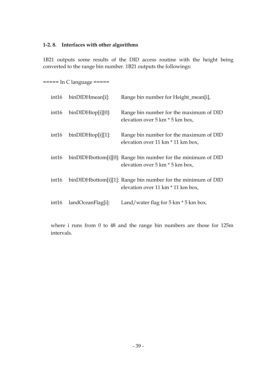### **1-2. 8. Interfaces with other algorithms**

1B21 outputs some results of the DID access routine with the height being converted to the range bin number. 1B21 outputs the followings:

===== In C language =====

| int16 | binDIDHmean[i]:       | Range bin number for Height_mean[i],                                                              |
|-------|-----------------------|---------------------------------------------------------------------------------------------------|
| int16 | $binDiDHHtop[i][0]$ : | Range bin number for the maximum of DID<br>elevation over 5 km * 5 km box,                        |
| int16 | $binDiDHHtop[i][1]$ : | Range bin number for the maximum of DID<br>elevation over 11 km $*$ 11 km box,                    |
| int16 |                       | binDIDHbottom[i][0]: Range bin number for the minimum of DID<br>elevation over 5 km $*$ 5 km box, |
| int16 |                       | binDIDHbottom[i][1]: Range bin number for the minimum of DID<br>elevation over 11 km * 11 km box, |
| int16 | landOceanFlag[i]:     | Land/water flag for $5 \text{ km} * 5 \text{ km}$ box.                                            |

where i runs from 0 to 48 and the range bin numbers are those for 125m intervals.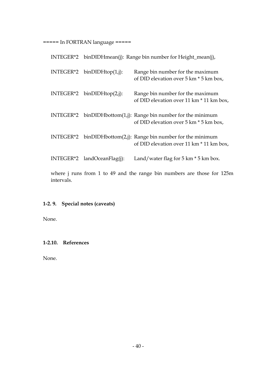===== In FORTRAN language =====

|                               | INTEGER*2 binDIDHmean(j): Range bin number for Height_mean(j),                                                 |
|-------------------------------|----------------------------------------------------------------------------------------------------------------|
| $INTEGR*2$ binDIDHtop(1,j):   | Range bin number for the maximum<br>of DID elevation over 5 km $*$ 5 km box,                                   |
| INTEGER*2 $binDIDHtop(2,j)$ : | Range bin number for the maximum<br>of DID elevation over 11 km * 11 km box,                                   |
|                               | INTEGER*2 binDIDHbottom $(1,j)$ : Range bin number for the minimum<br>of DID elevation over 5 km $*$ 5 km box, |
|                               | INTEGER*2 binDIDHbottom(2,j): Range bin number for the minimum<br>of DID elevation over 11 km * 11 km box,     |
| $INTEGR*2$ landOceanFlag(j):  | Land/water flag for $5 \text{ km} * 5 \text{ km}$ box.                                                         |
|                               | where j runs from 1 to 49 and the range bin numbers are those for 125                                          |

where j runs from 1 to 49 and the range bin numbers are those for 125m intervals.

# **1-2. 9. Special notes (caveats)**

None.

## **1-2.10. References**

None.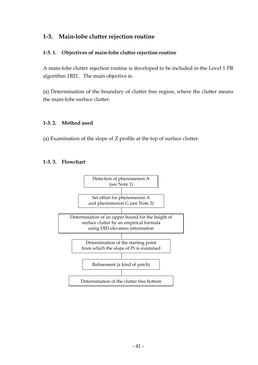# **1-3. Main-lobe clutter rejection routine**

## **1-3. 1. Objectives of main-lobe clutter rejection routine**

A main-lobe clutter rejection routine is developed to be included in the Level 1 PR algorithm 1B21. The main objective is:

(a) Determination of the boundary of clutter free region, where the clutter means the main-lobe surface clutter.

### **1-3. 2. Method used**

(a) Examination of the slope of Z profile at the top of surface clutter.

## **1-3. 3. Flowchart**

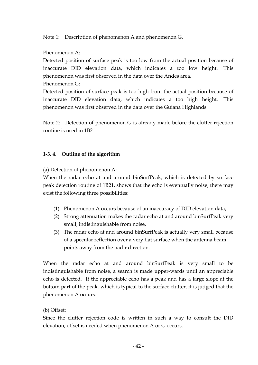Note 1: Description of phenomenon A and phenomenon G.

## Phenomenon A:

Detected position of surface peak is too low from the actual position because of inaccurate DID elevation data, which indicates a too low height. This phenomenon was first observed in the data over the Andes area.

Phenomenon G:

Detected position of surface peak is too high from the actual position because of inaccurate DID elevation data, which indicates a too high height. This phenomenon was first observed in the data over the Guiana Highlands.

Note 2: Detection of phenomenon G is already made before the clutter rejection routine is used in 1B21.

## **1-3. 4. Outline of the algorithm**

(a) Detection of phenomenon A:

When the radar echo at and around binSurfPeak, which is detected by surface peak detection routine of 1B21, shows that the echo is eventually noise, there may exist the following three possibilities:

- (1) Phenomenon A occurs because of an inaccuracy of DID elevation data,
- (2) Strong attenuation makes the radar echo at and around binSurfPeak very small, indistinguishable from noise,
- (3) The radar echo at and around binSurfPeak is actually very small because of a specular reflection over a very flat surface when the antenna beam points away from the nadir direction.

When the radar echo at and around binSurfPeak is very small to be indistinguishable from noise, a search is made upper-wards until an appreciable echo is detected. If the appreciable echo has a peak and has a large slope at the bottom part of the peak, which is typical to the surface clutter, it is judged that the phenomenon A occurs.

# (b) Offset:

Since the clutter rejection code is written in such a way to consult the DID elevation, offset is needed when phenomenon A or G occurs.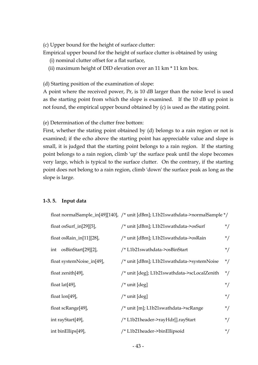(c) Upper bound for the height of surface clutter:

Empirical upper bound for the height of surface clutter is obtained by using

- (i) nominal clutter offset for a flat surface,
- (ii) maximum height of DID elevation over an 11 km \* 11 km box.

(d) Starting position of the examination of slope:

A point where the received power, Pr, is 10 dB larger than the noise level is used as the starting point from which the slope is examined. If the 10 dB up point is not found, the empirical upper bound obtained by (c) is used as the stating point.

(e) Determination of the clutter free bottom:

First, whether the stating point obtained by (d) belongs to a rain region or not is examined; if the echo above the starting point has appreciable value and slope is small, it is judged that the starting point belongs to a rain region. If the starting point belongs to a rain region, climb 'up' the surface peak until the slope becomes very large, which is typical to the surface clutter. On the contrary, if the starting point does not belong to a rain region, climb 'down' the surface peak as long as the slope is large.

#### **1-3. 5. Input data**

float normalSample\_in[49][140], /\* unit [dBm]; L1b21swathdata->normalSample \*/

| float osSurf_in $[29][5]$ , | /* unit [dBm]; L1b21swathdata->osSurf        |                      |  |  |  |  |
|-----------------------------|----------------------------------------------|----------------------|--|--|--|--|
| float osRain_in[11][28],    | /* unit [dBm]; L1b21swathdata->osRain        | $\frac{1}{\sqrt{2}}$ |  |  |  |  |
| int osBinStart[29][2],      | /* L1b21swathdata->osBinStart                |                      |  |  |  |  |
| float systemNoise_in[49],   | /* unit [dBm]; L1b21swathdata->systemNoise   | $\frac{1}{\sqrt{2}}$ |  |  |  |  |
| float zenith[49],           | /* unit [deg]; L1b21swathdata->scLocalZenith |                      |  |  |  |  |
| float $lat[49]$ ,           | $/*$ unit [deg]                              | $^*/$                |  |  |  |  |
| float $\text{lon}[49]$ ,    | $/*$ unit [deg]                              | $^*/$                |  |  |  |  |
| float scRange[49],          | /* unit [m]; L1b21swathdata->scRange         | $^*/$                |  |  |  |  |
| int rayStart[49],           | /* L1b21header->rayHdr[].rayStart            | $^*/$                |  |  |  |  |
| int binEllips[49],          | /* L1b21header->binEllipsoid                 | $^*/$                |  |  |  |  |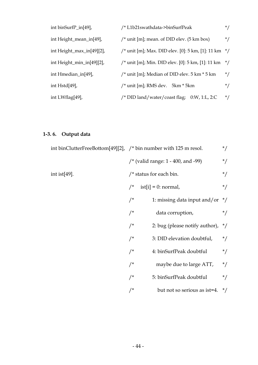| int binSurfP_in[49],      | /* L1b21swathdata->binSurfPeak<br>$^*/$                                      |       |  |  |  |  |
|---------------------------|------------------------------------------------------------------------------|-------|--|--|--|--|
| int Height_mean_in[49],   | /* unit [m]; mean. of DID elev. $(5 \text{ km box})$<br>$\frac{1}{\sqrt{2}}$ |       |  |  |  |  |
| int Height_max_in[49][2], | /* unit [m]; Max. DID elev. [0]: 5 km, [1]: 11 km $*/$                       |       |  |  |  |  |
| int Height_min_in[49][2], | /* unit [m]; Min. DID elev. [0]: 5 km, [1]: 11 km $*/$                       |       |  |  |  |  |
| int Hmedian_in[49],       | /* unit [m]; Median of DID elev. 5 km * 5 km                                 | $^*/$ |  |  |  |  |
| int Hstd[49],             | $\frac{1}{2}$ unit [m]; RMS dev. 5 km $*$ 5 km                               | $^*/$ |  |  |  |  |
| int LWflag[49],           | $/*$ DID land/water/coast flag; 0:W, 1:L, 2:C                                | $*$ / |  |  |  |  |

# **1-3. 6. Output data**

|                  | int binClutterFreeBottom[49][2], $\prime$ * bin number with 125 m resol.<br>$^*/$ |                                       |            |  |
|------------------|-----------------------------------------------------------------------------------|---------------------------------------|------------|--|
|                  |                                                                                   | /* (valid range: $1 - 400$ , and -99) | $^*/$      |  |
| int ist $[49]$ . |                                                                                   | $/*$ status for each bin.             | $^*/$      |  |
|                  | $/$ *                                                                             | ist[i] = 0: normal,                   | $^*/$      |  |
|                  | /                                                                                 | 1: missing data input and/or          | $\cdot$ */ |  |
|                  | /                                                                                 | data corruption,                      | $^*/$      |  |
|                  | /                                                                                 | 2: bug (please notify author),        | $\cdot$ /  |  |
|                  | /                                                                                 | 3: DID elevation doubtful,            | $^*/$      |  |
|                  | /                                                                                 | 4: binSurfPeak doubtful               | $^*/$      |  |
|                  | /                                                                                 | maybe due to large ATT,               | $^*/$      |  |
|                  | /                                                                                 | 5: binSurfPeak doubtful               | $^*/$      |  |
|                  | /                                                                                 | but not so serious as is t=4. $*/$    |            |  |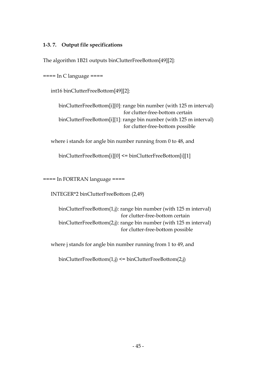## **1-3. 7. Output file specifications**

The algorithm 1B21 outputs binClutterFreeBottom[49][2]:

 $====$  In C language  $====$ 

int16 binClutterFreeBottom[49][2]:

binClutterFreeBottom[i][0]: range bin number (with 125 m interval) for clutter-free-bottom certain binClutterFreeBottom[i][1]: range bin number (with 125 m interval) for clutter-free-bottom possible

where i stands for angle bin number running from 0 to 48, and

binClutterFreeBottom[i][0] <= binClutterFreeBottom[i][1]

==== In FORTRAN language ====

INTEGER\*2 binClutterFreeBottom (2,49)

binClutterFreeBottom(1,j): range bin number (with 125 m interval) for clutter-free-bottom certain binClutterFreeBottom(2,j): range bin number (with 125 m interval) for clutter-free-bottom possible

where j stands for angle bin number running from 1 to 49, and

 $binClutterFreeBottom(1,j) \leq binClutterFreeBottom(2,j)$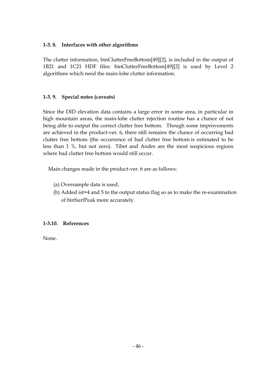## **1-3. 8. Interfaces with other algorithms**

The clutter information, binClutterFreeBottom[49][2], is included in the output of 1B21 and 1C21 HDF files: binClutterFreeBottom[49][2] is used by Level 2 algorithms which need the main-lobe clutter information.

## **1-3. 9. Special notes (caveats)**

Since the DID elevation data contains a large error in some area, in particular in high mountain areas, the main-lobe clutter rejection routine has a chance of not being able to output the correct clutter free bottom. Though some improvements are achieved in the product-ver. 6, there still remains the chance of occurring bad clutter free bottom (the occurrence of bad clutter free bottom is estimated to be less than 1 %, but not zero). Tibet and Andes are the most suspicious regions where bad clutter free bottom would still occur.

Main changes made in the product-ver. 6 are as follows:

- (a) Oversample data is used,
- (b) Added ist=4 and 5 to the output status flag so as to make the re-examination of binSurfPeak more accurately.

### **1-3.10. References**

None.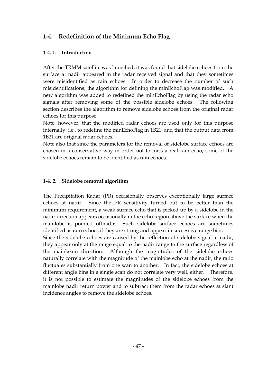# **1-4. Redefinition of the Minimum Echo Flag**

# **1-4. 1. Introduction**

After the TRMM satellite was launched, it was found that sidelobe echoes from the surface at nadir appeared in the radar received signal and that they sometimes were misidentified as rain echoes. In order to decrease the number of such misidentifications, the algorithm for defining the minEchoFlag was modified. A new algorithm was added to redefined the minEchoFlag by using the radar echo signals after removing some of the possible sidelobe echoes. The following section describes the algorithm to remove sidelobe echoes from the original radar echoes for this purpose.

Note, however, that the modified radar echoes are used only for this purpose internally, i.e., to redefine the minEchoFlag in 1B21, and that the output data from 1B21 are original radar echoes.

Note also that since the parameters for the removal of sidelobe surface echoes are chosen in a conservative way in order not to miss a real rain echo, some of the sidelobe echoes remain to be identified as rain echoes.

# **1-4. 2. Sidelobe removal algorithm**

The Precipitation Radar (PR) occasionally observes exceptionally large surface echoes at nadir. Since the PR sensitivity turned out to be better than the minimum requirement, a weak surface echo that is picked up by a sidelobe in the nadir direction appears occasionally in the echo region above the surface when the mainlobe is pointed offnadir. Such sidelobe surface echoes are sometimes identified as rain echoes if they are strong and appear in successive range bins.

Since the sidelobe echoes are caused by the reflection of sidelobe signal at nadir, they appear only at the range equal to the nadir range to the surface regardless of the mainbeam direction. Although the magnitudes of the sidelobe echoes naturally correlate with the magnitude of the mainlobe echo at the nadir, the ratio fluctuates substantially from one scan to another. In fact, the sidelobe echoes at different angle bins in a single scan do not correlate very well, either. Therefore, it is not possible to estimate the magnitudes of the sidelobe echoes from the mainlobe nadir return power and to subtract them from the radar echoes at slant incidence angles to remove the sidelobe echoes.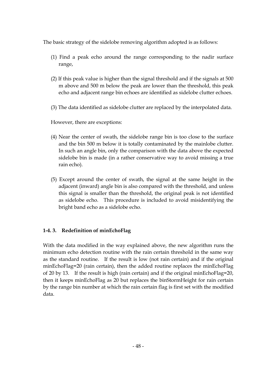The basic strategy of the sidelobe removing algorithm adopted is as follows:

- (1) Find a peak echo around the range corresponding to the nadir surface range,
- (2) If this peak value is higher than the signal threshold and if the signals at 500 m above and 500 m below the peak are lower than the threshold, this peak echo and adjacent range bin echoes are identified as sidelobe clutter echoes.
- (3) The data identified as sidelobe clutter are replaced by the interpolated data.

However, there are exceptions:

- (4) Near the center of swath, the sidelobe range bin is too close to the surface and the bin 500 m below it is totally contaminated by the mainlobe clutter. In such an angle bin, only the comparison with the data above the expected sidelobe bin is made (in a rather conservative way to avoid missing a true rain echo).
- (5) Except around the center of swath, the signal at the same height in the adjacent (inward) angle bin is also compared with the threshold, and unless this signal is smaller than the threshold, the original peak is not identified as sidelobe echo. This procedure is included to avoid misidentifying the bright band echo as a sidelobe echo.

## **1-4. 3. Redefinition of minEchoFlag**

With the data modified in the way explained above, the new algorithm runs the minimum echo detection routine with the rain certain threshold in the same way as the standard routine. If the result is low (not rain certain) and if the original minEchoFlag=20 (rain certain), then the added routine replaces the minEchoFlag of 20 by 13. If the result is high (rain certain) and if the original minEchoFlag=20, then it keeps minEchoFlag as 20 but replaces the binStormHeight for rain certain by the range bin number at which the rain certain flag is first set with the modified data.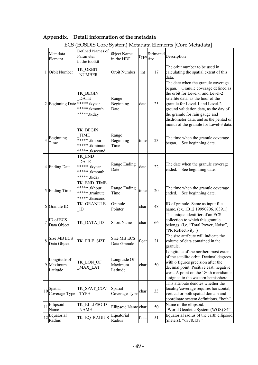|                | ECS (EOSDIS Core System) Metadata Elements [Core Metadata] |                                                                                |                                     |       |      |                                                                                                                                                                                                                                                                                                                                                       |  |  |
|----------------|------------------------------------------------------------|--------------------------------------------------------------------------------|-------------------------------------|-------|------|-------------------------------------------------------------------------------------------------------------------------------------------------------------------------------------------------------------------------------------------------------------------------------------------------------------------------------------------------------|--|--|
|                | Metadata<br>Element                                        | Defined Names of<br>Parameter<br>in the toolkit                                | Object Name<br>in the HDF           | Type  | size | Estimated Description                                                                                                                                                                                                                                                                                                                                 |  |  |
|                | 1 Orbit Number                                             | TK ORBIT<br><b>NUMBER</b>                                                      | Orbit Number                        | int   | 17   | The orbit number to be used in<br>calculating the spatial extent of this<br>data.                                                                                                                                                                                                                                                                     |  |  |
|                | 2 Beginning Date ******.tkyear                             | TK BEGIN<br><b>DATE</b><br>*****.tkmonth<br>*****.tkday                        | Range<br>Beginning<br>Date          | date  | 25   | The date when the granule coverage<br>began. Granule coverage defined as<br>the orbit for Level-1 and Level-2<br>satellite data, as the hour of the<br>granule for Level-1 and Level-2<br>ground validation data, as the day of<br>the granule for rain gauge and<br>disdrometer data, and as the pentad or<br>month of the granule for Level-3 data. |  |  |
| $\overline{3}$ | Beginning<br>Time                                          | TK BEGIN<br><b>TIME</b><br>***** .tkhour<br>***** .tkminute<br>***** .tksecond | Range<br>Beginning<br>Time          | time  | 23   | The time when the granule coverage<br>began.<br>See beginning date.                                                                                                                                                                                                                                                                                   |  |  |
|                | 4 Ending Date                                              | TK END<br><b>DATE</b><br>***** .tkyear<br>***** .tkmonth<br>***** .tkday       | Range Ending<br>Date                | date  | 22   | The date when the granule coverage<br>ended.<br>See beginning date.                                                                                                                                                                                                                                                                                   |  |  |
|                | 5 Ending Time                                              | TK_END_TIME<br>***** .tkhour<br>***** trminute<br>***** .tksecond              | Range Ending<br>Time                | time  | 20   | The time when the granule coverage<br>See beginning date.<br>ended.                                                                                                                                                                                                                                                                                   |  |  |
| 6              | Granule ID                                                 | TK GRANULE<br>1D                                                               | Granule<br>Pointer                  | char  | 48   | ID of granule. Same as input file<br>name. (ex. 1B12.19990706.1039.1)                                                                                                                                                                                                                                                                                 |  |  |
| $\overline{7}$ | ID of ECS<br>Data Object                                   | TK DATA ID                                                                     | <b>Short Name</b>                   | char  | 66   | The unique identifier of an ECS<br>collection to which this granule<br>belongs. (i.e. "Total Power, Noise",<br>'PR Reflectivity")                                                                                                                                                                                                                     |  |  |
| 8              | Size MB ECS<br>Data Object                                 | TK FILE SIZE                                                                   | Size MB ECS<br>Data Granule         | float | 21   | The size attribute will indicate the<br>volume of data contained in the<br>granule.                                                                                                                                                                                                                                                                   |  |  |
|                | Longitude of<br>9 Maximum<br>Latitude                      | TK LON OF<br>MAX LAT                                                           | Longitude Of<br>Maximum<br>Latitude | char  | 50   | Longitude of the northernmost extent<br>of the satellite orbit. Decimal degrees<br>with 6 figures precision after the<br>decimal point. Positive east, negative<br>west. A point on the 180th meridian is<br>assigned to the western hemisphere.                                                                                                      |  |  |
|                | 10 <sup>Spatial</sup><br>Coverage Type                     | TK_SPAT_COV<br><b>TYPE</b>                                                     | Spatial<br>Coverage Type            | char  | 33   | This attribute denotes whether the<br>locality/coverage requires horizontal,<br>vertical or both spatial domain and<br>coordinate system definitions. "both"                                                                                                                                                                                          |  |  |
| 11             | Ellipsoid<br>Name                                          | TK ELLIPSOID<br><b>NAME</b>                                                    | Ellipsoid Name char                 |       | 50   | Name of the ellipsoid.<br>"World Geodetic System (WGS) 84"                                                                                                                                                                                                                                                                                            |  |  |
| 12             | Equatorial<br>Radius                                       | TK_EQ_RADIUS                                                                   | Equatorial<br>Radius                | float | 51   | Equatorial radius of the earth ellipsoid<br>(meters). "6378.137"                                                                                                                                                                                                                                                                                      |  |  |

# **Appendix. Detail information of the metadata**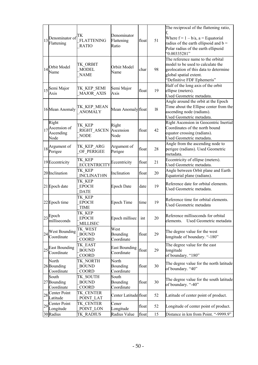| 13 | Denominator of<br>Flattening                               | TК<br><b>FLATTENING</b><br><b>RATIO</b>   | Denominator<br>Flattening<br>Ratio | float | 51 | The reciprocal of the flattening ratio,<br>Where $f = 1 - b/a$ , a = Equatorial<br>radius of the earth ellipsoid and $b =$<br>Polar radius of the earth ellipsoid<br>0.00335281" |
|----|------------------------------------------------------------|-------------------------------------------|------------------------------------|-------|----|----------------------------------------------------------------------------------------------------------------------------------------------------------------------------------|
|    | 14 Orbit Model<br>Name                                     | TK ORBIT<br>MODEL<br><b>NAME</b>          | Orbiit Model<br>Name               | char  | 98 | The reference name to the orbital<br>model to be used to calculate the<br>geolocation of this data to determine<br>global spatial extent.<br>'Definitive FDF Ephemeris"          |
|    | 15 <sup>Semi</sup> Major<br>Axis                           | TK KEP SEMI<br>MAJOR AXIS                 | Semi Major<br>Axis                 | float | 19 | Half of the long axis of the orbit<br>ellipse (meters).<br>Used Geometric metadata.                                                                                              |
|    | 16 Mean Anomaly                                            | TK_KEP_MEAN<br><b>ANOMALY</b>             | Mean Anomaly float                 |       | 18 | Angle around the orbit at the Epoch<br>Time about the Ellipse center from the<br>ascending node (radians).<br>Used Geometric metadata.                                           |
|    | Right<br>$17$ <sup>Ascension of</sup><br>Ascending<br>Node | TK KEP<br>RIGHT ASCEN<br><b>NODE</b>      | Right<br>Ascension<br>Node         | float | 42 | Right Ascension in Geocentric Inertial<br>Coordinates of the north bound<br>equator crossing (radians).<br>Used Geometric metadata.                                              |
|    | $18$ <sup>Argument of</sup><br>Perigee                     | TK_KEP_ARG<br>OF PERIGEE                  | Argument of<br>Perigee             | float | 28 | Angle from the ascending node to<br>perigee (radians). Used Geometric<br>metadata.                                                                                               |
|    | 19 Eccentricity                                            | TK KEP<br><b>ECCENTRICITY</b>             | Eccentricity                       | float | 21 | Eccentricity of ellipse (meters).<br>Used Geometric metadata.                                                                                                                    |
|    | 20 Inclination                                             | TK KEP<br><b>INCLINAT10N</b>              | Inclination                        | float | 20 | Angle between Orbit plane and Earth<br>Equatorial plane (radians).                                                                                                               |
|    | 21 Epoch date                                              | TK KEP<br><b>EPOCH</b><br><b>DATE</b>     | <b>Epoch Date</b>                  | date  | 19 | Reference date for orbital elements.<br>Used Geometric metadata.                                                                                                                 |
|    | 22 Epoch time                                              | TK KEP<br><b>EPOCH</b><br><b>TIME</b>     | <b>Epoch Time</b>                  | time  | 19 | Reference time for orbital elements.<br>Used Geometric metadata                                                                                                                  |
|    | $ 23 $ Epoch<br>milliseconds                               | TK KEP<br><b>EPOCH</b><br><b>MILLISEC</b> | Epoch millisec int                 |       | 20 | Reference milliseconds for orbital<br>elements.<br>Used Geometric metadata                                                                                                       |
|    | $ _{24} _{\sim}$ West Bounding<br>Coordinate               | TK WEST<br><b>BOUND</b><br>COORD          | West<br>Bounding<br>Coordinate     | float | 29 | The degree value for the west<br>longitude of boundary. "-180"                                                                                                                   |
|    | $25\frac{\text{East Bounding}}{G}$<br>Coordinate           | TK EAST<br><b>BOUND</b><br>COORD          | <b>East Bounding</b><br>Coordinate | float | 29 | The degree value for the east<br>longitude<br>of boundary. "180"                                                                                                                 |
|    | North<br>26 Bounding<br>Coordinate                         | TK NORTH<br><b>BOUND</b><br><b>COORD</b>  | North<br>Bounding<br>Coordinate    | float | 30 | The degree value for the north latitude<br>of boundary. "40"                                                                                                                     |
|    | South<br>27 Bounding<br>Coordinate                         | TK SOUTH<br><b>BOUND</b><br><b>COORD</b>  | South<br>Bounding<br>Coordinate    | float | 30 | The degree value for the south latitude<br>of boundary. "-40"                                                                                                                    |
|    | $ _{28}$ Center Point<br>Latitude                          | TK CENTER<br>POINT_LAT                    | Center Latitude float              |       | 52 | Latitude of center point of product.                                                                                                                                             |
|    | 29 Center Point<br>Longitude                               | TK CENTER<br>POINT LON                    | Cener<br>Longitude                 | float | 52 | Longitude of center point of product.                                                                                                                                            |
|    | 30 Radius                                                  | TK RADIUS                                 | Radius Value                       | float | 15 | Distance in km from Point. "-9999.9"                                                                                                                                             |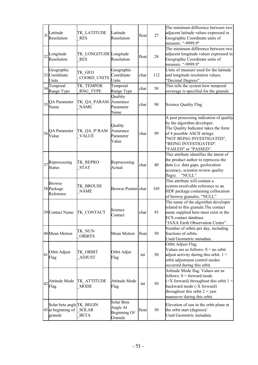| 31 | Latitude<br>Resolution                                     | TK LATITUDE<br><b>RES</b>            | Latitude<br>Resolution                            | float | 27  | The minimum difference between two<br>adjacent latitude values expressed in<br>Geographic Coordinate units of<br>measure. "-9999.9"<br>The minimum difference between two                                                     |
|----|------------------------------------------------------------|--------------------------------------|---------------------------------------------------|-------|-----|-------------------------------------------------------------------------------------------------------------------------------------------------------------------------------------------------------------------------------|
|    | $32$ Longitude<br>Resolution                               | TK LONGITUDE Longitude<br><b>RES</b> | Resolution                                        | float | 28  | adjacent longitude values expressed in<br>Geographic Coordinate units of<br>measure. "-9999.9"                                                                                                                                |
|    | Geographic<br>33 Coordinate<br>Units                       | TK GEO<br><b>COORD UNITS</b>         | Geographic<br>Coordinate<br>Units                 | char  | 112 | Units of measure used for the latitude<br>and longitude resolution values.<br>"Decimal Degrees"                                                                                                                               |
| 34 | Temporal<br>Range Type                                     | TK TEMPOR<br>RNG TYPE                | Temporal<br>Range Type                            | char  | 50  | This tells the system how temporal<br>coverage is specified for the granule                                                                                                                                                   |
| 35 | <b>QA</b> Parameter<br>Name                                | TK_QA_PARAM<br><b>NAME</b>           | Qualiity<br>Assurance<br>Parameter<br>Name        | char  | 98  | <b>Science Quality Flag</b>                                                                                                                                                                                                   |
| 36 | <b>QA</b> Parameter<br>Value                               | TK QA P^RAM<br><b>VALUE</b>          | Quality<br>Assurance<br>Parameter<br>Value        | char  | 99  | A post processing indication of quality<br>by the algorithm developer.<br>The Quality Indicator takes the form<br>of 4 possible ASCII strings:<br>"NOT BEING INVESTIGATED",<br>"BEING INVESTIGATED".<br>"FAILED" or "PASSED". |
| 37 | Reprocessing<br><b>Status</b>                              | TK REPRO<br><b>STAT</b>              | Reprocessing<br>Actual                            | char  | 40  | This attribute identifies the intent of<br>the product author to reprocess the<br>data (i.e. data gaps, geolocation<br>accuracy, scientist review quality<br>flags).<br>"NULL"                                                |
|    | <b>Browse</b><br>38 Package<br>Reference                   | <b>TK BROUSE</b><br><b>NAME</b>      | Browse Pointer char                               |       | 105 | This attribute will contain a<br>system-resolvable reference to an<br>HDF package containing collocation<br>of browse granules. "NULL"                                                                                        |
|    | 39 Contact Name                                            | TK CONTACT                           | Science<br>Contact                                | char  | 93  | The name of the algorithm developer<br>related to this granule. The contact<br>name supplied here must exist in the<br>ECS contact database.<br>"JAXA Earth Observation Center".                                              |
|    | 40 Mean Motion                                             | TK NUN<br><b>ORBITS</b>              | Mean Motion                                       | float | 50  | Number of orbits per day, including<br>fractions of orbits.<br>Used Geometric metadata.                                                                                                                                       |
| 41 | Orbit Adjust<br>Flag                                       | TK ORBIT<br><b>ADJUST</b>            | Orbit Adjut<br>Flag                               | int   | 50  | Orbit Adjust Flag.<br>Values are as follows: $0 = no$ orbit<br>adjust activity during this orbit. $1 =$<br>orbit adjustment control modes<br>occurred during this orbit.                                                      |
|    | $\vert_{42}\vert$ Attitude Mode<br>Flag                    | TK ATTITUDE<br><b>MODE</b>           | Attitude Mode<br>Flag                             | int   | 50  | Attitude Mode flag. Values are as<br>follows: $0 =$ forward mode<br>$(+X$ forward) throughout this orbit $1 =$<br>backward mode (-X forward)<br>throughout this orbit $2 =$ yaw<br>maneuver during this orbit.                |
|    | Solar beta angle TK_BEGIN<br>43 at beginning of<br>granule | <b>SOLAR</b><br><b>BETA</b>          | Solar Beta<br>Angle At<br>Beginning Of<br>Granule | float | 50  | Elevation of sun in the orbit plane at<br>the orbit start (degrees)/<br>Used Geometric metadata.                                                                                                                              |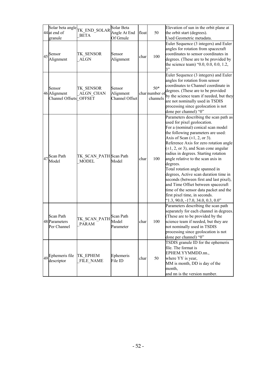|    | Solar beta angle<br>44 at end of<br>granule      | TK_END_SOLAR<br><b>BETA</b>            | Solar Beta<br>Angle At End<br>Of Grnule | float | 50                                 | Elevation of sun in the orbit plane at<br>the orbit start (degrees).<br>Used Geometric metadata.                                                                                                                                                                                                                                                                                                                                                                                                                                                                                                                                                                                 |
|----|--------------------------------------------------|----------------------------------------|-----------------------------------------|-------|------------------------------------|----------------------------------------------------------------------------------------------------------------------------------------------------------------------------------------------------------------------------------------------------------------------------------------------------------------------------------------------------------------------------------------------------------------------------------------------------------------------------------------------------------------------------------------------------------------------------------------------------------------------------------------------------------------------------------|
|    | $45$ Sensor<br>Alignment                         | TK SENSOR<br><b>ALGN</b>               | Sensor<br>Alignment                     | char  | 100                                | Euler Sequence (3 integers) and Euler<br>angles for rotation from spacecraft<br>coordinates to sensor coordinates in<br>degrees. (These are to be provided by<br>the science team) "0.0, 0.0, 0.0, 1.2,<br>3"                                                                                                                                                                                                                                                                                                                                                                                                                                                                    |
|    | Sensor<br>46 Alignment<br>Channel Offsets OFFSET | TK SENSOR<br><b>ALGN CHAN</b>          | Sensor<br>Alignment<br>Channel Offset   |       | $50*$<br>char number o<br>channels | Euler Sequence (3 integers) and Euler<br>angles for rotation from sensor<br>coordinates to Channel coordinate in<br>degrees. (These are to be provided<br>by the science team if needed, but they<br>are not nominally used in TSDIS<br>processing since geolocation is not<br>done per channel) "0"                                                                                                                                                                                                                                                                                                                                                                             |
| 47 | Scan Path<br>Model                               | TK SCAN PATH Scan Path<br><b>MODEL</b> | Model                                   | char  | 100                                | Parameters describing the scan path as<br>used for pixel geolocation.<br>For a (nominal) conical scan model<br>the following parameters are used:<br>Axis of Scan $(\pm 1, 2, \text{or } 3)$ .<br>Reference Axis for zero rotation angle<br>$(\pm 1, 2, \text{or } 3)$ , and Scan cone angular<br>radius in degrees. Starting rotation<br>angle relative to the scan axis in<br>degrees.<br>Total rotation angle spanned in<br>degrees, Active scan duration time in<br>seconds (between first and last pixel),<br>and Time Offset between spacecraft<br>time of the sensor data packet and the<br>first pixel time, in seconds.<br>$^{\circ}1.3, 90.0, -17.0, 34.0, 0.3, 0.0$ " |
|    | Scan Path<br>48 Parameters<br>Per Channel        | TK_SCAN_PATH<br><b>PARAM</b>           | Scan Path<br>Model<br>Parameter         | char  | 100                                | Parameters describing the scan path<br>separately for each channel in degrees.<br>(These are to be provided by the<br>science team if needed, but they are<br>not nominally used in TSDIS<br>processing since geolocation is not<br>done per channel) "0"                                                                                                                                                                                                                                                                                                                                                                                                                        |
|    | 49 Ephemeris file<br>descriptor                  | TK EPHEM<br>FILE NAME                  | Ephemeris<br>File ID                    | char  | 50                                 | TSDIS granule ID for the ephemeris<br>file. The format is<br>EPHEM.YYMMDD.nn.,<br>where YY is year,<br>MM is month, DD is day of the<br>month,<br>and nn is the version number.                                                                                                                                                                                                                                                                                                                                                                                                                                                                                                  |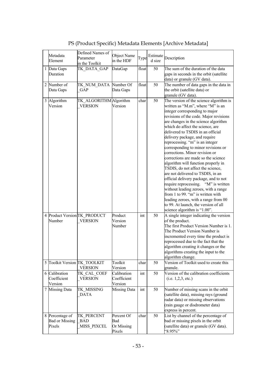|   | Metadata                     | Defined Names of             | Object Name  |       | Estimate |                                         |
|---|------------------------------|------------------------------|--------------|-------|----------|-----------------------------------------|
|   |                              | Parameter                    | in the HDF   | Type  |          | Description                             |
|   | Element                      | in the Toolkit               |              |       | d size   |                                         |
|   | 1 Data Gaps                  | TK DATA GAP                  | DataGap      | float | 50       | The sum of the duration of the data     |
|   | Duration                     |                              |              |       |          | gaps in seconds in the orbit (satellite |
|   |                              |                              |              |       |          |                                         |
|   |                              |                              |              |       |          | data) or granule (GV data).             |
| 2 | Number of                    | TK NUM DATA                  | Number Of    | float | 50       | The number of data gaps in the data in  |
|   | Data Gaps                    | GAP                          | Data Gaps    |       |          | the orbit (satellite data) or           |
|   |                              |                              |              |       |          | granule (GV data).                      |
|   | 3 Algorithm                  | TK_ALGORITHM Algorithm       |              | char  | 50       | The version of the science algorithm is |
|   | Version                      | <b>VERSION</b>               | Version      |       |          | written as "M.m", where "M" is an       |
|   |                              |                              |              |       |          |                                         |
|   |                              |                              |              |       |          | integer corresponding to major          |
|   |                              |                              |              |       |          | revisions of the code. Major revisions  |
|   |                              |                              |              |       |          | are changes in the science algorithm    |
|   |                              |                              |              |       |          | which do affect the science, are        |
|   |                              |                              |              |       |          | delivered to TSDIS in an official       |
|   |                              |                              |              |       |          | delivery package, and require           |
|   |                              |                              |              |       |          | reprocessing. "m" is an integer         |
|   |                              |                              |              |       |          | corresponding to minor revisions or     |
|   |                              |                              |              |       |          | corrections. Minor revision or          |
|   |                              |                              |              |       |          |                                         |
|   |                              |                              |              |       |          | corrections are made so the science     |
|   |                              |                              |              |       |          | algorithm will function properly in     |
|   |                              |                              |              |       |          | TSDIS, do not affect the science,       |
|   |                              |                              |              |       |          | are not delivered to TSDIS, in an       |
|   |                              |                              |              |       |          | official delivery package, and to not   |
|   |                              |                              |              |       |          | require reprocessing. "M" is written    |
|   |                              |                              |              |       |          | without leading zeroes, with a range    |
|   |                              |                              |              |       |          | from 1 to 99. "m" is written with       |
|   |                              |                              |              |       |          |                                         |
|   |                              |                              |              |       |          | leading zeroes, with a range from 00    |
|   |                              |                              |              |       |          | to 99. At launch, the version of all    |
|   |                              |                              |              |       |          | science algorithm is "1.00".            |
|   |                              | 4 Product Version TK PRODUCT | Product      | int   | 50       | A single integer indicating the version |
|   | Number                       | <b>VERSION</b>               | Version      |       |          | of the product.                         |
|   |                              |                              | Number       |       |          | The first Product Version Number is 1.  |
|   |                              |                              |              |       |          | The Product Version Number is           |
|   |                              |                              |              |       |          | incremented every time the product is   |
|   |                              |                              |              |       |          |                                         |
|   |                              |                              |              |       |          | reprocessed due to the fact that the    |
|   |                              |                              |              |       |          | algorithm creating it changes or the    |
|   |                              |                              |              |       |          | algorithms creating the input to the    |
|   |                              |                              |              |       |          | algorithm change.                       |
|   | 5 Toolkit Version TK TOOLKIT |                              | Toolkit      | char  | 50       | Version of Toolkit used to create this  |
|   |                              | <b>VERSION</b>               | Version      |       |          | granule.                                |
|   | 6 Calibration                | TK CAL COEF                  | Calibration  | int   | 50       | Version of the calibration coefficients |
|   | Coefficient                  | <b>VERSION</b>               | Coefficient  |       |          |                                         |
|   |                              |                              |              |       |          | (i.e. 1, 2, 3, etc.)                    |
|   | Version                      |                              | Version      |       |          |                                         |
| 7 | <b>Missing Data</b>          | TK MISSING                   | Missing Data | int   | 50       | Number of missing scans in the orbit    |
|   |                              | <b>DATA</b>                  |              |       |          | (satellite data), missing rays (ground  |
|   |                              |                              |              |       |          | radar data) or missing observations     |
|   |                              |                              |              |       |          | (rain gauge or disdrometer data)        |
|   |                              |                              |              |       |          | express in percent.                     |
|   |                              |                              | Percent Of   |       | 50       | List by channel of the percentage of    |
|   | Percentage of                | TK PERCENT                   |              | char  |          |                                         |
|   | <b>Bad or Missing</b>        | <b>BAD</b>                   | Bad          |       |          | bad or missing pixels in the orbit      |
|   | Pixels                       | MISS PIXCEL                  | Or Missing   |       |          | (satellite data) or granule (GV data).  |
|   |                              |                              | Pixels       |       |          | $.95\%$                                 |

PS (Product Specific) Metadata Elements [Archive Metadata]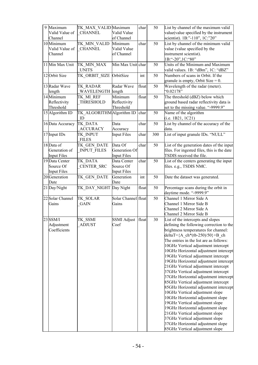| 9 | Maximum<br>Valid Value of<br>Channel              | TK MAX VALID Maximum<br><b>CHANNEL</b> | Valid Value<br>of Channel                      | char  | 50  | List by channel of the maximum valid<br>value(value specified by the instrument<br>scientist). 1B:"-110", 1C:"20"                                                                                                                                                                                                                                                                                                                                                                                                                                                                                                                                                                                                                                                                                                                                                       |
|---|---------------------------------------------------|----------------------------------------|------------------------------------------------|-------|-----|-------------------------------------------------------------------------------------------------------------------------------------------------------------------------------------------------------------------------------------------------------------------------------------------------------------------------------------------------------------------------------------------------------------------------------------------------------------------------------------------------------------------------------------------------------------------------------------------------------------------------------------------------------------------------------------------------------------------------------------------------------------------------------------------------------------------------------------------------------------------------|
|   | 10 Minimum<br>Valid Value of<br>Channel           | TK MIN VALID<br><b>CHANNEL</b>         | Minimum<br>Valid Value<br>of Channel           | char  | 50  | List by channel of the minimum valid<br>value (value specified by the<br>instrument scientist).                                                                                                                                                                                                                                                                                                                                                                                                                                                                                                                                                                                                                                                                                                                                                                         |
|   | 11 Min Max Unit                                   | TK MIN MAX<br><b>UNITS</b>             | Min Max Unit char                              |       | 50  | 1B:"-20",1C:"80"<br>Units of the Minimum and Maximum<br>valid values. 1B: "dBm", 1C: "dBZ"                                                                                                                                                                                                                                                                                                                                                                                                                                                                                                                                                                                                                                                                                                                                                                              |
|   | 12 Orbit Size                                     | TK_ORBIT SIZE                          | OrbitSize                                      | int   | 50  | Numbers of scans in Orbit. If the<br>granule is empty, Orbit Size = $0$ .                                                                                                                                                                                                                                                                                                                                                                                                                                                                                                                                                                                                                                                                                                                                                                                               |
|   | 13 Radar Wave<br>length                           | TK_RADAR<br>WAVELENGTH length          | Radar Wave                                     | float | 50  | Wavelength of the radar (meter).<br>"0.02178"                                                                                                                                                                                                                                                                                                                                                                                                                                                                                                                                                                                                                                                                                                                                                                                                                           |
|   | 14 Minimum<br>Reflectivity<br>Threshold           | TK MI REF<br>THRESHOLD                 | Minimum<br>Reflectivity<br>Threshold           | float | 50  | The threshold (dBZ) below which<br>ground based radar reflectivity data is<br>set to the missing value. "-9999.9"                                                                                                                                                                                                                                                                                                                                                                                                                                                                                                                                                                                                                                                                                                                                                       |
|   | 15 Algorithm ID                                   | TK ALGORITHM Algorithm ID<br>ID        |                                                | char  | 50  | Name of the algorithm<br>(i.e. 1B21, 1C21)                                                                                                                                                                                                                                                                                                                                                                                                                                                                                                                                                                                                                                                                                                                                                                                                                              |
|   | 16 Data Accuracy                                  | TK DATA<br><b>ACCURACY</b>             | Data<br>Accuracy                               | char  | 50  | List by channel of the accuracy of the<br>data.                                                                                                                                                                                                                                                                                                                                                                                                                                                                                                                                                                                                                                                                                                                                                                                                                         |
|   | 17 Input IDs                                      | TK INPUT<br><b>FILES</b>               | <b>Input Files</b>                             | char  | 300 | List of input granule IDs. "NULL"                                                                                                                                                                                                                                                                                                                                                                                                                                                                                                                                                                                                                                                                                                                                                                                                                                       |
|   | 18 Data of<br>Generation of<br><b>Input Files</b> | TK GEN DATE<br><b>INPUT FILES</b>      | Data Of<br>Generation Of<br><b>Input Files</b> | char  | 50  | List of the generation dates of the input<br>files. For ingested files, this is the date<br>TSDIS received the file.                                                                                                                                                                                                                                                                                                                                                                                                                                                                                                                                                                                                                                                                                                                                                    |
|   | 19 Data Center<br>Source Of<br>Input Files        | TK DATA<br><b>CENTER SRC</b>           | Data Center<br>Source Of<br><b>Input Files</b> | char  | 50  | List of the centers generating the input<br>files. e.g., TSDIS NMC.                                                                                                                                                                                                                                                                                                                                                                                                                                                                                                                                                                                                                                                                                                                                                                                                     |
|   | 20 Generation<br>Date                             | TK GEN DATE                            | Generation<br>Date                             | int   | 50  | Date the dataset was generated.                                                                                                                                                                                                                                                                                                                                                                                                                                                                                                                                                                                                                                                                                                                                                                                                                                         |
|   | 21 Day/Night                                      | TK DAY NIGHT Day Night                 |                                                | float | 50  | Percentage scans during the orbit in<br>daytime mode. "-9999.9"                                                                                                                                                                                                                                                                                                                                                                                                                                                                                                                                                                                                                                                                                                                                                                                                         |
|   | 22 Solar Channel<br>Gains                         | TK SOLAR<br><b>GAIN</b>                | Solar Channel float<br>Gains                   |       | 50  | Channel 1 Mirror Side A<br>Channel 1 Mirror Side B<br>Channel 2 Mirror Side A<br>Channel 2 Mirror Side B                                                                                                                                                                                                                                                                                                                                                                                                                                                                                                                                                                                                                                                                                                                                                                |
|   | 23 SSM/I<br>Adjustment<br>Coefficients            | TK SSMI<br><b>ADJUST</b>               | SSMI Adjust<br>Coef                            | float | 30  | List of the intercepts and slopes<br>defining the following correction to the<br>brightness temperatures for channel:<br>deltaT={A ch*(tb-250)/50}+B ch<br>The entries in the list are as follows:<br>10GHz Vertical adjustment intercept<br>10GHz Horizontal adjustment intercept<br>19GHz Vertical adjustment intercept<br>19GHz Horizontal adjustment intercept<br>21GHz Vertical adjustment intercept<br>37GHz Vertical adjustment intercept<br>37GHz Horizontal adjustment intercept<br>85GHz Vertical adjustment intercept<br>85GHz Horizontal adjustment intercept<br>10GHz Vertical adjustment slope<br>10GHz Horizontal adjustment slope<br>19GHz Vertical adjustment slope<br>19GHz Horizontal adjustment slope<br>21GHz Vertical adjustment slope<br>37GHz Vertical adjustment slope<br>37GHz Horizontal adjustment slope<br>85GHz Vertical adjustment slope |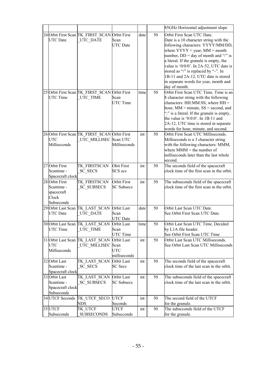|                  |                                               |                    |      |    | 85GHz Horizontal adjustment slope          |
|------------------|-----------------------------------------------|--------------------|------|----|--------------------------------------------|
|                  | 24 Orbit First Scan TK FIRST SCAN             | <b>Orbit First</b> | date | 50 | Orbit First Scan UTC Date.                 |
| <b>UTC</b> Date  | UTC DATE                                      | Scan               |      |    | Date is a 10 character string with the     |
|                  |                                               | <b>UTC</b> Date    |      |    | following characters: YYYY/MM/DD,          |
|                  |                                               |                    |      |    | where $YYYY = year$ , MM = month           |
|                  |                                               |                    |      |    | number, $DD = day$ of month and "/" is     |
|                  |                                               |                    |      |    | a literal. If the granule is empty, the    |
|                  |                                               |                    |      |    | value is '0/0/0'. In 2A-52, UTC date is    |
|                  |                                               |                    |      |    | stored as "/" is replaced by "-". In       |
|                  |                                               |                    |      |    | 1B-11 and 2A-12, UTC date is stored        |
|                  |                                               |                    |      |    | in separate words for year, month and      |
|                  |                                               |                    |      |    | day of month.                              |
|                  | 25 Orbit First Scan TK FIRST SCAN             | <b>Orbit First</b> | time | 50 | Orbit First Scan UTC Time. Time is an      |
| UTC Time         | UTC TIME                                      | Scan               |      |    | 8 character string with the following      |
|                  |                                               | <b>UTC</b> Time    |      |    | characters: HH:MM:SS, where HH =           |
|                  |                                               |                    |      |    | hour, $MM = minute$ , $SS = second$ , and  |
|                  |                                               |                    |      |    | ":" is a literal. If the granule is empty, |
|                  |                                               |                    |      |    | the value is ' $0:0:0$ '. In 1B-11 and     |
|                  |                                               |                    |      |    | 2A-12, UTC time is stored in separate      |
|                  |                                               |                    |      |    | words for hour, minute, and second.        |
|                  | 26 Orbit First Scan TK FIRST SCAN Orbit First |                    | int  | 50 | Orbit First Scan UTC Milliseconds.         |
| <b>UTC</b>       | UTC_MILLISEC Scan UTC                         |                    |      |    | Milliseconds is a 3 character string       |
| Milliscconds     |                                               | Milliseconds       |      |    | with the following characters: MMM,        |
|                  |                                               |                    |      |    | where $MMM$ = the number of                |
|                  |                                               |                    |      |    | milliseconds later than the last whole     |
|                  |                                               |                    |      |    | second.                                    |
| 27 Orbit First   | TK FIRSTSCAN                                  | <b>Obit First</b>  | int  | 50 | The seconds field of the spacecraft        |
| Scantime -       | <b>SC SECS</b>                                | SCS ecs            |      |    | clock time of the first scan in the orbit. |
| Spacecraft clock |                                               |                    |      |    |                                            |
| 28 Orbit First   | TK FIRSTSCAN                                  | <b>Orbit First</b> | int  | 50 | The subseconds field of the spacecraft     |
| Scantime -       | <b>SC SUBSECS</b>                             | <b>SC Subsecs</b>  |      |    | clock time of the first scan in the orbit. |
| spacecraft       |                                               |                    |      |    |                                            |
| Clock            |                                               |                    |      |    |                                            |
| Subseconds       |                                               |                    |      |    |                                            |
|                  | 29 Orbit Last Scan TK LAST SCAN               | <b>Orbit Last</b>  | date | 50 | Orbit Last Scan UTC Date.                  |
| <b>UTC</b> Date  | UTC DATE                                      | Scan               |      |    | See Orbit First Scan UTC Date.             |
|                  |                                               | <b>UTC</b> Date    |      |    |                                            |
|                  | 30 Orbit Last Scan TK LAST SCAN               | Orbit Last         | time | 50 | Orbit Last Scan UTC Time. Decided          |
| <b>UTC</b> Time  | UTC TIME                                      | Scan               |      |    | by L1A file header.                        |
|                  |                                               | UTC Time           |      |    | See Orbit First Scan UTC Time              |
|                  | 31 Orbit Last Scan TK LAST SCAN               | Orbit Last         | int  | 50 | Orbit Last Scan UTC Milliseconds.          |
| <b>UTC</b>       | UTC MILLISEC Scan                             |                    |      |    | See Orbit Last Scan UTC Milliseconds       |
| Milliseconds     |                                               | <b>UTC</b>         |      |    |                                            |
|                  |                                               | milliseconds       |      |    |                                            |
| 32 Orbit Last    | TK LAST SCAN                                  | <b>Orbit Last</b>  | int  | 50 | The seconds field of the spacecraft        |
| Scantime -       | <b>SC SECS</b>                                | <b>SC Secs</b>     |      |    | clock time of the last scan in the orbit.  |
| Spacecraft clock |                                               |                    |      |    |                                            |
| 33 Orbit Last    | TK LAST SCAN                                  | Orbit Last         | int  | 50 | The subseconds field of the spacecraft     |
| Scantime -       | <b>SC SUBSECS</b>                             | <b>SC Subsecs</b>  |      |    | clock time of the last scan in the orbit.  |
| Spacecraft clock |                                               |                    |      |    |                                            |
| Subseconds       |                                               |                    |      |    |                                            |
| 34 UTCF Seconds  | TK UTCF SECO<br><b>NDS</b>                    | <b>UTCF</b>        | int  | 50 | The second field of the UTCF               |
|                  |                                               | Seconds            |      |    | for the granule.                           |
| 35 UTCF          | TK UTCF                                       | UTCF               | int  | 50 | The subscconds field of the UTCF           |
| Subseconds       | <b>SUBSECONDS</b>                             | Subscconds         |      |    | for the granule.                           |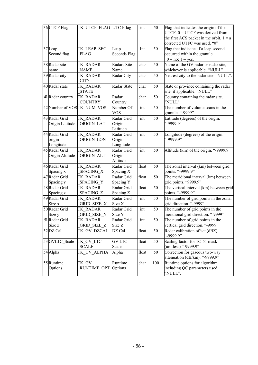| 36 UTCF Flag     | TK_UTCF_FLAG UTC Fflag     |                    | $\operatorname{int}$ | 50  | Flag that indicates the origin of the      |
|------------------|----------------------------|--------------------|----------------------|-----|--------------------------------------------|
|                  |                            |                    |                      |     | UTCF. $0 = UTCF$ was derived from          |
|                  |                            |                    |                      |     | the first ACS packet in the orbit. $1 = a$ |
|                  |                            |                    |                      |     | corrected UTFC was used. "0"               |
| 37 Leap          | TK_LEAP_SEC                | Leap               | Int                  | 50  | Flag that indicates if a leap second       |
| Second flag      | <b>FLAG</b>                | Seconds Flag       |                      |     | occurred within the granule.               |
|                  |                            |                    |                      |     | $0 = no$ ; $1 = yes$ .                     |
| 38 Radar site    | TK RADAR                   | <b>Radars Site</b> | char                 | 50  | Name of the GV radar or radar site,        |
| name             | <b>NAME</b>                | Name               |                      |     | whichever is applicable. "NULL"            |
| 39 Radar city    |                            |                    | char                 | 50  |                                            |
|                  | TK RADAR                   | Radar City         |                      |     | Nearest city to the radar site. "NULL".    |
|                  | <b>CITY</b>                |                    |                      |     |                                            |
| 40 Radar state   | TK RADAR                   | Radar State        | char                 | 50  | State or province containing the radar     |
|                  | <b>STATE</b>               |                    |                      |     | site, if applicable. "NULL"                |
| 41 Radar country | TK RADAR                   | Radar              | char                 | 50  | Country containing the radar site.         |
|                  | <b>COUNTRY</b>             | Country            |                      |     | "NULL"                                     |
|                  | 42 Number of VOSTK_NUM_VOS | Number Of          | $\operatorname{int}$ | 50  | The number of volume scans in the          |
|                  |                            | <b>VOS</b>         |                      |     | granule. "-9999"                           |
| 43 Radar Grid    | TK RADAR                   | Radar Grid         | int                  | 50  | Latitude (degrees) of the origin.          |
| Origin Latitude  | ORIGIN LAT                 | Origin             |                      |     | "-9999.9"                                  |
|                  |                            | Latitude           |                      |     |                                            |
|                  |                            |                    |                      |     |                                            |
| 44 Radar Grid    | TK RADAR                   | Radar Grid         | int                  | 50  | Longitude (degrees) of the origin.         |
| origin           | ORIGIN LON                 | Origin             |                      |     | "-9999.9"                                  |
| Longitude        |                            | Longitude          |                      |     |                                            |
| 45 Radar Grid    | TK RADAR                   | Radar Grid         | int                  | 50  | Altitude (km) of the origin. "-9999.9"     |
| Origin Altitude  | ORIGIN ALT                 | Origin             |                      |     |                                            |
|                  |                            | Altitude           |                      |     |                                            |
| 46 Radar Grid    | TK RADAR                   | Radar Grid         | float                | 50  | The zonal interval (km) between grid       |
| Spacing x        | SPACING X                  | Spacing X          |                      |     | points. "-9999.9"                          |
| 47 Radar Grid    | TK RADAR                   | Radar Grid         | float                | 50  | The meridional interval (km) between       |
| Spacing y        | SPACING Y                  | Spacing Y          |                      |     | grid points. "9999.9"                      |
| 48 Radar Grid    | TK RADAR                   | Radar Grid         | float                | 50  | The vertical interval (km) between grid    |
| Spacing z        | SPACING Z                  | Spacing Z          |                      |     | points. "-9999.9"                          |
| 49 Radar Grid    |                            | Radar Grid         | int                  | 50  | The number of grid points in the zonal     |
|                  | TK RADAR                   |                    |                      |     | grid direction. "-9999"                    |
| Size x           | <b>GRID SIZE X</b>         | Size X             |                      |     |                                            |
| 50 Radar Grid    | TK RADAR                   | Radar Grid         | int                  | 50  | The number of grid points in the           |
| Size y           | <b>GRID SIZE Y</b>         | Size Y             |                      |     | meridional grid direction. "-9999"         |
| 51 Radar Grid    | TK RADAR                   | Radar Grid         | int                  | 50  | The number of grid points in the           |
| Size z           | GRID SIZE Z                | Size Z             |                      |     | vertical grid direction. "-9999"           |
| 52 DZ Cal        | TK GV DZCAL                | DZ Cal             | float                | 50  | Radar calibration offset (dBZ).            |
|                  |                            |                    |                      |     | "-9999.9"                                  |
| 53 GVL1C Scale   | TK GV L1C                  | <b>GVL1C</b>       | float                | 50  | Scaling factor for 1C-51 mask              |
|                  | <b>SCALE</b>               | Scale              |                      |     | (unitless) "-9999.9"                       |
| 54 Alpha         | TK GV ALPHA                | Alpha              | float                | 50  | Correction for gaseous two-way             |
|                  |                            |                    |                      |     | attenuation (dB/km). "-9999.9"             |
| 55 Runtime       | TK GV                      | Runtime            | char                 | 100 | Runtime options for algorithm              |
| Options          |                            | Options            |                      |     | including QC parameters used.              |
|                  | <b>RUNTIME OPT</b>         |                    |                      |     |                                            |
|                  |                            |                    |                      |     | "NULL".                                    |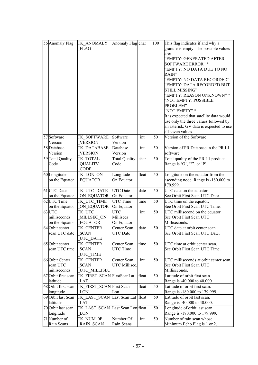| 56 Anomaly Flag |                     | TK ANOMALY                       | Anomaly Flag char    |       | 100 | This flag indicates if and why a         |
|-----------------|---------------------|----------------------------------|----------------------|-------|-----|------------------------------------------|
|                 |                     | <b>FLAG</b>                      |                      |       |     | granule is empty. The possible values    |
|                 |                     |                                  |                      |       |     | are:                                     |
|                 |                     |                                  |                      |       |     | "EMPTY: GENERATED AFTER                  |
|                 |                     |                                  |                      |       |     | <b>SOFTWARE ERROR"*</b>                  |
|                 |                     |                                  |                      |       |     |                                          |
|                 |                     |                                  |                      |       |     | "EMPTY: NO DATA DUE TO NO<br>RAIN"       |
|                 |                     |                                  |                      |       |     | "EMPTY: NO DATA RECORDED"                |
|                 |                     |                                  |                      |       |     | "EMPTY: DATA RECORDED BUT                |
|                 |                     |                                  |                      |       |     | STILL MISSING"                           |
|                 |                     |                                  |                      |       |     | "EMPTY: REASON UNKNOWN" *                |
|                 |                     |                                  |                      |       |     | 'NOT EMPTY: POSSIBLE                     |
|                 |                     |                                  |                      |       |     | PROBLEM"                                 |
|                 |                     |                                  |                      |       |     | "NOT EMPTY" *                            |
|                 |                     |                                  |                      |       |     | It is expected that satellite data would |
|                 |                     |                                  |                      |       |     | use only the three values followed by    |
|                 |                     |                                  |                      |       |     | an asterisk. GV data is expected to use  |
|                 |                     |                                  |                      |       |     | all seven values.                        |
|                 | 57 Software         | TK SOFTWARE                      | Software             | int   | 50  | Version of the Software                  |
|                 | Version             | <b>VERSION</b>                   | Version              |       |     |                                          |
|                 | 58 Database         | TK DATABASE                      | Database             | int   | 50  | Version of PR Database in the PR L1      |
|                 | Version             | <b>VERSION</b>                   | Version              |       |     | software                                 |
|                 | 59 Total Quality    | TK TOTAL                         | <b>Total Quality</b> | char  | 50  | Total quality of the PR L1 product.      |
|                 | Code                | <b>QUALITV</b>                   | Code                 |       |     | Range is 'G', 'F', or 'P'.               |
|                 |                     | <b>CODE</b>                      |                      |       |     |                                          |
|                 | 60 Longitude        | TK LON ON                        | Longitude            | float | 50  | Longitude on the equator from the        |
|                 | on the Equator      | <b>EQUATOR</b>                   | On Equator           |       |     | ascending node. Range is -180.000 to     |
|                 |                     |                                  |                      |       |     | 179.999.                                 |
|                 | 61 UTC Date         | TK UTC DATE                      | <b>UTC</b> Date      | date  | 50  | UTC date on the equator.                 |
|                 | on the Equator      | ON EQUATOR                       | On Equator           |       |     | See Orbit First Scan UTC Date.           |
|                 | 62 UTC Time         | TK UTC TIME                      | UTC Time             | time  | 50  | UTC time on the equator.                 |
|                 | on the Equator      | ON EQUATOR                       | On Equator           |       |     | See Orbit First Scan UTC Time.           |
|                 | 63 UTC              | TK UTC                           | UTC                  | int   | 50  | UTC millisecond on the equator.          |
|                 | milliseconds        | MILLSEC ON                       | Millisecs            |       |     | See Orbit First Scan UTC                 |
|                 | on the Equator      | <b>EOUATOR</b>                   | On Equator           |       |     | Milliseconds.                            |
|                 | 64 Orbit center     | TK CENTER                        | Center Scan          | date  | 50  | UTC date at orbit center scan.           |
|                 | scan UTC date       | <b>SCAN</b>                      | <b>UTC</b> Date      |       |     | See Orbit First Scan UTC Date.           |
|                 |                     | UTC DATE                         |                      |       |     |                                          |
|                 | 65 Orbit center     | TK CENTER                        | Center Scan          | time  | 50  | UTC time at orbit center scan.           |
|                 | scan UTC time       | <b>SCAN</b>                      | <b>UTC</b> Time      |       |     | See Orbit First Scan UTC Time.           |
|                 |                     | UTC TIME                         |                      |       |     |                                          |
|                 | 66 Orbit Center     | TK CENTER                        | Center Scan          | int   | 50  | UTC milliseconds at orbit center scan.   |
|                 | scan UTC            | <b>SCAN</b>                      | UTC Millisec.        |       |     | See Orbit First Scan UTC                 |
|                 | milliseconds        | UTC MILLISEC                     |                      |       |     | Milliseconds.                            |
|                 | 67 Orbit first scan | TK FIRST SCAN FirstScanLat       |                      | float | 50  | Latitude of orbit first scan.            |
|                 | latitude            | <b>LAT</b>                       |                      |       |     | Range is -40.000 to 40.000               |
|                 | 68 Orbit first scan | TK FIRST SCAN First Scan         |                      | float | 50  | Latitude of orbit first scan.            |
|                 | longitude           | LON                              | Lon                  |       |     | Range is -180.000 to 179.999.            |
|                 | 69 Orbit last Scan  | TK LAST SCAN                     | Last Scan Lat float  |       | 50  | Latitude of orbit last scan.             |
|                 | latitude            | LAT                              |                      |       |     | Range is -40.000 to 40.000.              |
|                 | 70 Orbit last scan  | TK LAST SCAN Last Scan Lon float |                      |       | 50  | Longitude of orbit last scan.            |
|                 | longitude           | LON                              |                      |       |     | Range is -180.000 to 179.999.            |
|                 | 71 Number of        | TK NUM OF                        | Number Of            | int   | 50  | Number of rain scan whose                |
|                 | Rain Scans          | <b>RAIN SCAN</b>                 | Rain Scans           |       |     | Minimum Echo Flag is 1 or 2.             |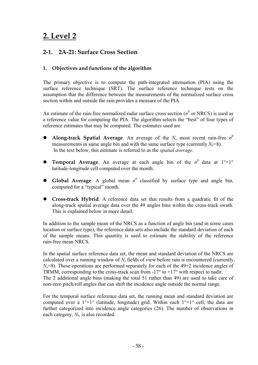# **2. Level 2**

# **2-1. 2A-21: Surface Cross Section**

## **1. Objectives and functions of the algorithm**

The primary objective is to compute the path-integrated attenuation (PIA) using the surface reference technique (SRT). The surface reference technique rests on the assumption that the difference between the measurements of the normalized surface cross section within and outside the rain provides a measure of the PIA.

An estimate of the rain-free normalized radar surface cross section ( $\sigma^0$  or NRCS) is used as a reference value for computing the PIA. The algorithm selects the "best" of four types of reference estimates that may be computed. The estimates used are

- Along-track Spatial Average. An average of the  $N_s$  most recent rain-free  $\sigma^0$ measurements in same angle bin and with the same surface type (currently  $N_s=8$ ). In the text below, this estimate is referred to as the *spatial average*.
- **Temporal Average**. An average at each angle bin of the  $\sigma^0$  data at  $1^{\circ} \times 1^{\circ}$ latitude-longitude cell computed over the month.
- **Global Average**. A global mean  $\sigma^0$  classified by surface type and angle bin, computed for a "typical" month.
- **Cross-track Hybrid**. A reference data set that results from a quadratic fit of the along-track spatial average data over the 49 angles bins within the cross-track swath. This is explained below in more detail.

In addition to the sample mean of the NRCS as a function of angle bin (and in some cases location or surface type), the reference data sets also include the standard deviation of each of the sample means. This quantity is used to estimate the stability of the reference rain-free mean NRCS.

In the spatial surface reference data set, the mean and standard deviation of the NRCS are calculated over a running window of *N*s fields of view before rain is encountered (currently,  $N_s=8$ ). These operations are performed separately for each of the  $49+2$  incidence angles of TRMM, corresponding to the cross-track scan from  $-17^{\circ}$  to  $+17^{\circ}$  with respect to nadir. The 2 additional angle bins (making the total 51 rather than 49) are used to take care of non-zero pitch/roll angles that can shift the incidence angle outside the normal range.

For the temporal surface reference data set, the running mean and standard deviation are computed over a  $1^{\circ} \times 1^{\circ}$  (latitude, longitude) grid. Within each  $1^{\circ} \times 1^{\circ}$  cell, the data are further categorized into incidence angle categories (26). The number of observations in each category,  $N_t$ , is also recorded.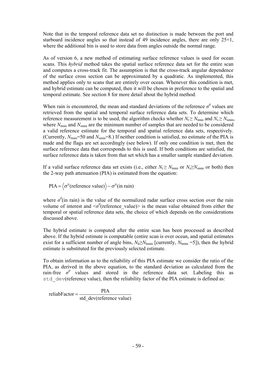Note that in the temporal reference data set no distinction is made between the port and starboard incidence angles so that instead of 49 incidence angles, there are only 25+1, where the additional bin is used to store data from angles outside the normal range.

As of version 6, a new method of estimating surface reference values is used for ocean scans. This *hybrid* method takes the spatial surface reference data set for the entire scan and computes a cross-track fit. The assumption is that the cross-track angular dependence of the surface cross section can be approximated by a quadratic. As implemented, this method applies only to scans that are entirely over ocean. Whenever this condition is met, and hybrid estimate can be computed, then it will be chosen in preference to the spatial and temporal estimate. See section 8 for more detail about the hybrid method.

When rain is encountered, the mean and standard deviations of the reference  $\sigma^0$  values are retrieved from the spatial and temporal surface reference data sets. To determine which reference measurement is to be used, the algorithm checks whether  $N_t \ge N_{\text{tmin}}$  and  $N_s \ge N_{\text{smin}}$ , where  $N_{\text{tmin}}$  and  $N_{\text{smin}}$  are the minimum number of samples that are needed to be considered a valid reference estimate for the temporal and spatial reference data sets, respectively. (Currently, *N*tmin=50 and *N*smin=8.) If neither condition is satisfied, no estimate of the PIA is made and the flags are set accordingly (see below). If only one condition is met, then the surface reference data that corresponds to this is used. If both conditions are satisfied, the surface reference data is taken from that set which has a smaller sample standard deviation.

If a valid surface reference data set exists (i.e., either  $N_t \ge N_{\text{tmin}}$  or  $N_s \ge N_{\text{smin}}$  or both) then the 2-way path attenuation (PIA) is estimated from the equation:

 $PIA = \langle \sigma^0$ (reference value) $\rangle - \sigma^0$ (in rain)

where  $\sigma^0$ (in rain) is the value of the normalized radar surface cross section over the rain volume of interest and  $\langle \sigma^0$  (reference\_value) is the mean value obtained from either the temporal or spatial reference data sets, the choice of which depends on the considerations discussed above.

The hybrid estimate is computed after the entire scan has been processed as described above. If the hybrid estimate is computable (entire scan is over ocean, and spatial estimates exist for a sufficient number of angle bins,  $N_h \ge N_{hmin}$  [currently,  $N_{hmin}$  =5]), then the hybrid estimate is substituted for the previously selected estimate.

To obtain information as to the reliability of this PIA estimate we consider the ratio of the PIA, as derived in the above equation, to the standard deviation as calculated from the rain-free  $\sigma^0$  values and stored in the reference data set. Labeling this as std dev(reference value), then the reliability factor of the PIA estimate is defined as:

reliabFactor =  $\frac{PIA}{PIA}$ std\_dev(reference value)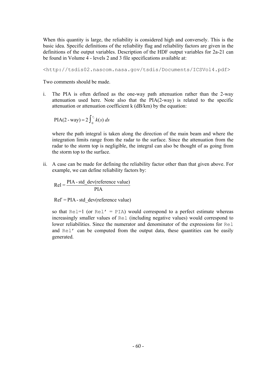When this quantity is large, the reliability is considered high and conversely. This is the basic idea. Specific definitions of the reliability flag and reliability factors are given in the definitions of the output variables. Description of the HDF output variables for 2a-21 can be found in Volume 4 - levels 2 and 3 file specifications available at:

<http://tsdis02.nascom.nasa.gov/tsdis/Documents/ICSVol4.pdf>

Two comments should be made.

i. The PIA is often defined as the one-way path attenuation rather than the 2-way attenuation used here. Note also that the PIA(2-way) is related to the specific attenuation or attenuation coefficient k (dB/km) by the equation:

$$
PIA(2 - way) = 2 \int_0^{r_s} k(s) \, ds
$$

where the path integral is taken along the direction of the main beam and where the integration limits range from the radar to the surface. Since the attenuation from the radar to the storm top is negligible, the integral can also be thought of as going from the storm top to the surface.

ii. A case can be made for defining the reliability factor other than that given above. For example, we can define reliability factors by:

$$
Rel = \frac{PIA - std\_dev(reference value)}{PIA}
$$

 $Rel' = PIA - std dev(reference value)$ 

so that  $\text{Rel} = 1$  (or  $\text{Rel}' = \text{PIA}$ ) would correspond to a perfect estimate whereas increasingly smaller values of Rel (including negative values) would correspond to lower reliabilities. Since the numerator and denominator of the expressions for Rel and Rel' can be computed from the output data, these quantities can be easily generated.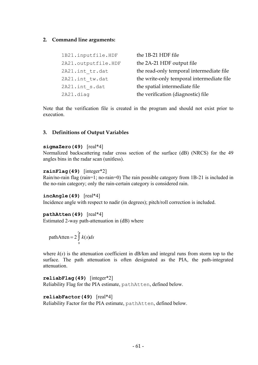#### **2. Command line arguments:**

| 1B21.inputfile.HDF  | the 1B-21 HDF file                        |
|---------------------|-------------------------------------------|
| 2A21.outputfile.HDF | the 2A-21 HDF output file                 |
| 2A21.int tr.dat     | the read-only temporal intermediate file  |
| 2A21.int tw.dat     | the write-only temporal intermediate file |
| 2A21.int s.dat      | the spatial intermediate file             |
| 2A21.diag           | the verification (diagnostic) file        |

Note that the verification file is created in the program and should not exist prior to execution.

#### **3. Definitions of Output Variables**

#### **sigmaZero(49)** [real\*4]

Normalized backscattering radar cross section of the surface (dB) (NRCS) for the 49 angles bins in the radar scan (unitless).

#### **rainFlag(49)** [integer\*2]

Rain/no-rain flag (rain=1; no-rain=0) The rain possible category from 1B-21 is included in the no-rain category; only the rain-certain category is considered rain.

#### **incAngle(49)** [real\*4]

Incidence angle with respect to nadir (in degrees); pitch/roll correction is included.

#### **pathAtten(49)** [real\*4]

Estimated 2-way path-attenuation in (dB) where

$$
pathAtten = 2\int_{0}^{r} k(s)ds
$$

where  $k(s)$  is the attenuation coefficient in  $dB/km$  and integral runs from storm top to the surface. The path attenuation is often designated as the PIA, the path-integrated attenuation.

**reliabFlag(49)** [integer\*2] Reliability Flag for the PIA estimate, pathAtten, defined below.

#### **reliabFactor(49)** [real\*4]

Reliability Factor for the PIA estimate, pathAtten, defined below.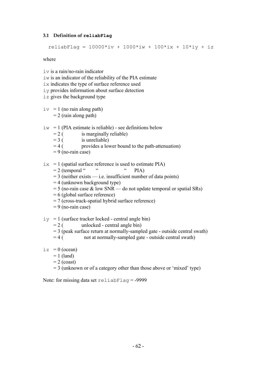#### **3.1 Definition of reliabFlag**

```
reliabFlag = 10000*iv + 1000*iw + 100*ix + 10*iy + iz
```
where

- iv is a rain/no-rain indicator
- iw is an indicator of the reliability of the PIA estimate
- ix indicates the type of surface reference used
- iy provides information about surface detection
- iz gives the background type

 $iv = 1$  (no rain along path)  $= 2$  (rain along path)

- $iw = 1$  (PIA estimate is reliable) see definitions below
	- $= 2$  ( is marginally reliable)
	- $= 3$  ( is unreliable)
	- $= 4$  ( provides a lower bound to the path-attenuation)
	- $= 9$  (no-rain case)
- $ix = 1$  (spatial surface reference is used to estimate PIA)<br>= 2 (temporal """"""
	- $= 2$  (temporal " " PIA)
	- $= 3$  (neither exists i.e. insufficient number of data points)
	- $= 4$  (unknown background type)
	- $= 5$  (no-rain case & low SNR do not update temporal or spatial SRs)
	- = 6 (global surface reference)
	- $= 7$  (cross-track-spatial hybrid surface reference)
	- $= 9$  (no-rain case)
- $iv = 1$  (surface tracker locked central angle bin)
	- $= 2$  ( unlocked central angle bin)
	- $= 3$  (peak surface return at normally-sampled gate outside central swath)
	- $= 4$  (not at normally-sampled gate outside central swath)
- $iz = 0$  (ocean)
	- $= 1$  (land)
	- $= 2$  (coast)
	- $= 3$  (unknown or of a category other than those above or 'mixed' type)

Note: for missing data set reliabFlag = -9999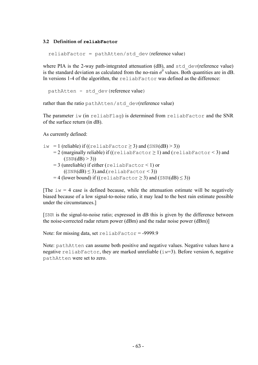#### **3.2 Definition of reliabFactor**

 $reliabFactor = pathAtten/std dev(reference value)$ 

where PIA is the 2-way path-integrated attenuation  $(dB)$ , and  $std \, dev(reference \, value)$ is the standard deviation as calculated from the no-rain  $\sigma^0$  values. Both quantities are in dB. In versions 1-4 of the algorithm, the reliabFactor was defined as the difference:

pathAtten - std\_dev(reference value)

rather than the ratio pathAtten/std\_dev(reference value)

The parameter iw (in reliabFlag) is determined from reliabFactor and the SNR of the surface return (in dB).

As currently defined:

- iw = 1 (reliable) if  $((\text{relative factor} \ge 3)$  and  $(\text{SNR}(dB) > 3))$ 
	- $= 2$  (marginally reliable) if ((reliabFactor  $\geq 1$ ) and (reliabFactor < 3) and  $(SNR(dB) > 3)$
	- $= 3$  (unreliable) if either (reliabFactor  $\leq 1$ ) or  $((SNR(dB) \leq 3).$ and.(reliabFactor < 3))
	- $= 4$  (lower bound) if ((reliabFactor  $\geq 3$ ) and (SNR(dB)  $\leq 3$ ))

[The  $iw = 4$  case is defined because, while the attenuation estimate will be negatively biased because of a low signal-to-noise ratio, it may lead to the best rain estimate possible under the circumstances.]

[SNR is the signal-to-noise ratio; expressed in dB this is given by the difference between the noise-corrected radar return power (dBm) and the radar noise power (dBm)]

Note: for missing data, set reliabFactor = -9999.9

Note: pathAtten can assume both positive and negative values. Negative values have a negative reliabFactor, they are marked unreliable ( $iw=3$ ). Before version 6, negative pathAtten were set to zero.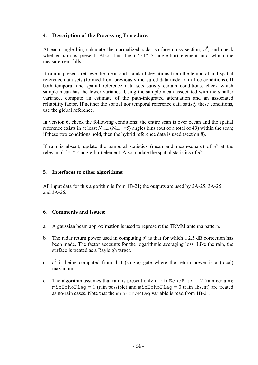### **4. Description of the Processing Procedure:**

At each angle bin, calculate the normalized radar surface cross section,  $\sigma^0$ , and check whether rain is present. Also, find the  $(1^{\circ} \times 1^{\circ} \times$  angle-bin) element into which the measurement falls.

If rain is present, retrieve the mean and standard deviations from the temporal and spatial reference data sets (formed from previously measured data under rain-free conditions). If both temporal and spatial reference data sets satisfy certain conditions, check which sample mean has the lower variance. Using the sample mean associated with the smaller variance, compute an estimate of the path-integrated attenuation and an associated reliability factor. If neither the spatial nor temporal reference data satisfy these conditions, use the global reference.

In version 6, check the following conditions: the entire scan is over ocean and the spatial reference exists in at least  $N_{\text{hmin}}$  ( $N_{\text{hmin}}$  =5) angles bins (out of a total of 49) within the scan; if these two conditions hold, then the hybrid reference data is used (section 8).

If rain is absent, update the temporal statistics (mean and mean-square) of  $\sigma^0$  at the relevant ( $1^{\circ} \times 1^{\circ} \times$  angle-bin) element. Also, update the spatial statistics of  $\sigma^0$ .

#### **5. Interfaces to other algorithms:**

All input data for this algorithm is from 1B-21; the outputs are used by 2A-25, 3A-25 and 3A-26.

#### **6. Comments and Issues:**

- a. A gaussian beam approximation is used to represent the TRMM antenna pattern.
- b. The radar return power used in computing  $\sigma^0$  is that for which a 2.5 dB correction has been made. The factor accounts for the logarithmic averaging loss. Like the rain, the surface is treated as a Rayleigh target.
- c.  $\sigma^0$  is being computed from that (single) gate where the return power is a (local) maximum.
- d. The algorithm assumes that rain is present only if  $minEchoFlag = 2$  (rain certain);  $minEchoFlag = 1$  (rain possible) and  $minEchoFlag = 0$  (rain absent) are treated as no-rain cases. Note that the minEchoFlag variable is read from 1B-21.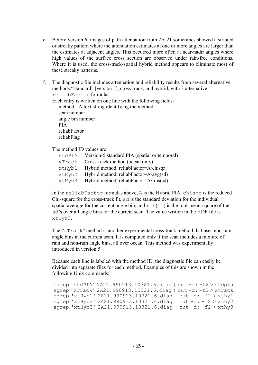- e. Before version 6, images of path attenuation from 2A-21 sometimes showed a striated or streaky pattern where the attenuation estimates at one or more angles are larger than the estimates at adjacent angles. This occurred more often at near-nadir angles where high values of the surface cross section are observed under rain-free conditions. Where it is used, the cross-track-spatial hybrid method appears to eliminate most of these streaky patterns.
- f. The diagnostic file includes attenuation and reliability results from several alternative methods:"standard" [version 5], cross-track, and hybrid, with 3 alternative reliabFactor formulas.

Each entry is written on one line with the following fields:

 method - A text string identifying the method scan number angle bin number PIA reliabFactor reliabFlag

The method ID values are:

| stdPIA | Version-5 standard PIA (spatial or temporal) |
|--------|----------------------------------------------|
| xTrack | Cross-track method (ocean only)              |
| xtHyb1 | Hybrid method, reliabFactor=A/chisqr         |
| xtHyb2 | Hybrid method, reliabFactor=A/avg(sd)        |
| xtHyb3 | Hybrid method, reliabFactor=A/rms(sd)        |

In the reliabFactor formulas above, A is the Hybrid PIA, chisqr is the reduced Chi-square for the cross-track fit, sd is the standard deviation for the individual spatial average for the current angle bin, and  $\text{rms}(sd)$  is the root-mean-square of the sd's over all angle bins for the current scan. The value written in the HDF file is xtHyb3.

The "xTrack" method is another experimental cross-track method that uses non-rain angle bins in the current scan. It is computed only if the scan includes a mixture of rain and non-rain angle bins, all over ocean. This method was experimentally introduced in version 5.

Because each line is labeled with the method ID, the diagnostic file can easily be divided into separate files for each method. Examples of this are shown in the following Unix commands:

```
egrep 'stdPIA' 2A21.990913.10321.6.diag | cut -d: -f2 > stdpia 
egrep 'xTrack' 2A21.990913.10321.6.diag | cut -d: -f2 > xtrack
egrep 'xtHyb1' 2A21.990913.10321.6.diag | cut -d: -f2 > xthy1 
egrep 'xtHyb2' 2A21.990913.10321.6.diag | cut -d: -f2 > xthy2
egrep 'xtHyb3' 2A21.990913.10321.6.diag | cut -d: -f2 > xthy3
```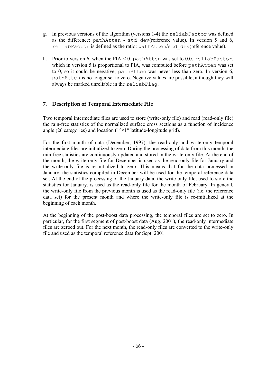- g. In previous versions of the algorithm (versions 1-4) the reliabFactor was defined as the difference: pathAtten - std dev(reference value). In version 5 and 6, reliabFactor is defined as the ratio: pathAtten/std\_dev(reference value).
- h. Prior to version 6, when the PIA  $\leq$  0, pathAtten was set to 0.0. reliabFactor, which in version 5 is proportional to PIA, was computed before pathAtten was set to 0, so it could be negative; pathAtten was never less than zero. In version 6, pathAtten is no longer set to zero. Negative values are possible, although they will always be marked unreliable in the reliabFlag.

## **7. Description of Temporal Intermediate File**

Two temporal intermediate files are used to store (write-only file) and read (read-only file) the rain-free statistics of the normalized surface cross sections as a function of incidence angle (26 categories) and location ( $1^{\circ} \times 1^{\circ}$  latitude-longitude grid).

For the first month of data (December, 1997), the read-only and write-only temporal intermediate files are initialized to zero. During the processing of data from this month, the rain-free statistics are continuously updated and stored in the write-only file. At the end of the month, the write-only file for December is used as the read-only file for January and the write-only file is re-initialized to zero. This means that for the data processed in January, the statistics compiled in December will be used for the temporal reference data set. At the end of the processing of the January data, the write-only file, used to store the statistics for January, is used as the read-only file for the month of February. In general, the write-only file from the previous month is used as the read-only file (i.e. the reference data set) for the present month and where the write-only file is re-initialized at the beginning of each month.

At the beginning of the post-boost data processing, the temporal files are set to zero. In particular, for the first segment of post-boost data (Aug. 2001), the read-only intermediate files are zeroed out. For the next month, the read-only files are converted to the write-only file and used as the temporal reference data for Sept. 2001.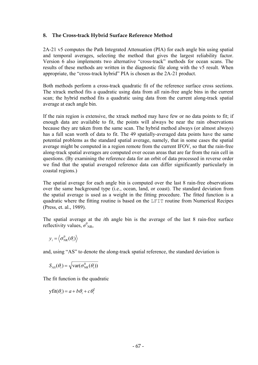### **8. The Cross-track Hybrid Surface Reference Method**

2A-21 v5 computes the Path Integrated Attenuation (PIA) for each angle bin using spatial and temporal averages, selecting the method that gives the largest reliability factor. Version 6 also implements two alternative "cross-track" methods for ocean scans. The results of these methods are written in the diagnostic file along with the v5 result. When appropriate, the "cross-track hybrid" PIA is chosen as the 2A-21 product.

Both methods perform a cross-track quadratic fit of the reference surface cross sections. The xtrack method fits a quadratic using data from all rain-free angle bins in the current scan; the hybrid method fits a quadratic using data from the current along-track spatial average at each angle bin.

If the rain region is extensive, the xtrack method may have few or no data points to fit; if enough data are available to fit, the points will always be near the rain observations because they are taken from the same scan. The hybrid method always (or almost always) has a full scan worth of data to fit. The 49 spatially-averaged data points have the same potential problems as the standard spatial average, namely, that in some cases the spatial average might be computed in a region remote from the current IFOV, so that the rain-free along-track spatial averages are computed over ocean areas that are far from the rain cell in questions. (By examining the reference data for an orbit of data processed in reverse order we find that the spatial averaged reference data can differ significantly particularly in coastal regions.)

The spatial average for each angle bin is computed over the last 8 rain-free observations over the same background type (i.e., ocean, land, or coast). The standard deviation from the spatial average is used as a weight in the fitting procedure. The fitted function is a quadratic where the fitting routine is based on the LFIT routine from Numerical Recipes (Press, et. al., 1989).

The spatial average at the *i*th angle bin is the average of the last 8 rain-free surface reflectivity values,  $\sigma_{NR}^0$ ,

$$
y_i = \left\langle \sigma_{NR}^0(\theta_i) \right\rangle
$$

and, using "AS" to denote the along-track spatial reference, the standard deviation is

$$
S_{AS}(\theta_i) = \sqrt{\text{var}(\sigma_{NR}^0(\theta_i))}
$$

The fit function is the quadratic

$$
\text{yfit}(\theta_i) = a + b\theta_i + c\theta_i^2
$$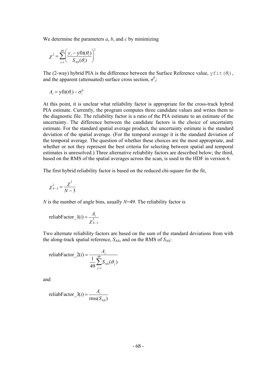We determine the parameters *a*, *b*, and *c* by minimizing

$$
\chi^2 = \sum_{i=1}^{49} \left( \frac{y_i - y \text{fit}(\theta_i)}{S_{AS}(\theta_i)} \right)^2
$$

The (2-way) hybrid PIA is the difference between the Surface Reference value,  $y$  f i t ( $\theta$ *i*), and the apparent (attenuated) surface cross section,  $\sigma^0$ *i*:

 $A_i = \text{yfit}(\theta_i) - \sigma_i^0$ 

At this point, it is unclear what reliability factor is appropriate for the cross-track hybrid PIA estimate. Currently, the program computes three candidate values and writes them to the diagnostic file. The reliability factor is a ratio of the PIA estimate to an estimate of the uncertainty. The difference between the candidate factors is the choice of uncertainty estimate. For the standard spatial average product, the uncertainty estimate is the standard deviation of the spatial average. (For the temporal average it is the standard deviation of the temporal average. The question of whether these choices are the most appropriate, and whether or not they represent the best criteria for selecting between spatial and temporal estimates is unresolved.) Three alternative reliability factors are described below; the third, based on the RMS of the spatial averages across the scan, is used in the HDF in version 6.

The first hybrid reliability factor is based on the reduced chi-square for the fit,

$$
\chi^2_{N-3}=\frac{\chi^2}{N-3}
$$

*N* is the number of angle bins, usually *N*=49. The reliability factor is

$$
\text{reliabFactor}_{l}(i) = \frac{A_i}{\chi^2_{N-3}}
$$

Two alternate reliability factors are based on the sum of the standard deviations from with the along-track spatial reference,  $S_{AS}$ , and on the RMS of  $S_{AS}$ :

$$
\text{reliabFactor\_2}(i) = \frac{A_i}{\frac{1}{49} \sum_{j=1}^{49} S_{AS}(\theta_j)}
$$

and

$$
\text{reliabFactor}_{3}(i) = \frac{A_i}{\text{rms}(S_{\text{AS}})}
$$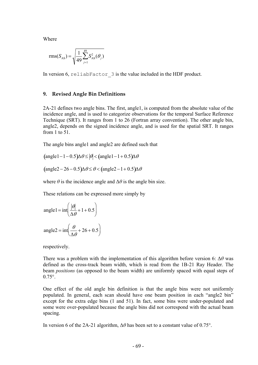Where

rms
$$
(S_{AS}) = \sqrt{\frac{1}{49} \sum_{j=1}^{49} S_{AS}^2(\theta_j)}
$$

In version 6, reliabFactor 3 is the value included in the HDF product.

#### **9. Revised Angle Bin Definitions**

2A-21 defines two angle bins. The first, angle1, is computed from the absolute value of the incidence angle, and is used to categorize observations for the temporal Surface Reference Technique (SRT). It ranges from 1 to 26 (Fortran array convention). The other angle bin, angle2, depends on the signed incidence angle, and is used for the spatial SRT. It ranges from 1 to  $51$ .

The angle bins angle1 and angle2 are defined such that

 $(\text{angle}1 - 1 - 0.5)\Delta\theta \le |\theta| < (\text{angle}1 - 1 + 0.5)\Delta\theta$ 

 $(\text{angle} 2 - 26 - 0.5) \Delta \theta \le \theta < (\text{angle} 2 - 1 + 0.5) \Delta \theta$ 

where  $\theta$  is the incidence angle and  $\Delta\theta$  is the angle bin size.

These relations can be expressed more simply by

angle1 = int 
$$
\left(\frac{|\theta|}{\Delta \theta} + 1 + 0.5\right)
$$
  
angle2 = int  $\left(\frac{\theta}{\Delta \theta} + 26 + 0.5\right)$ 

respectively.

There was a problem with the implementation of this algorithm before version 6: ∆*θ* was defined as the cross-track beam width, which is read from the 1B-21 Ray Header. The beam *positions* (as opposed to the beam width) are uniformly spaced with equal steps of 0.75°.

One effect of the old angle bin definition is that the angle bins were not uniformly populated. In general, each scan should have one beam position in each "angle2 bin" except for the extra edge bins (1 and 51). In fact, some bins were under-populated and some were over-populated because the angle bins did not correspond with the actual beam spacing.

In version 6 of the 2A-21 algorithm, ∆*θ* has been set to a constant value of 0.75°.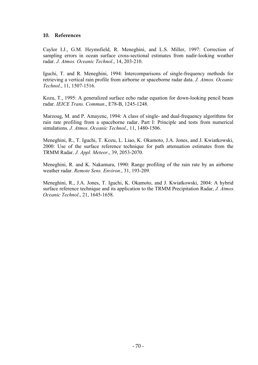#### **10. References**

Caylor I.J., G.M. Heymsfield, R. Meneghini, and L.S. Miller, 1997: Correction of sampling errors in ocean surface cross-sectional estimates from nadir-looking weather radar. *J. Atmos. Oceanic Technol*., 14, 203-210.

Iguchi, T. and R. Meneghini, 1994: Intercomparisons of single-frequency methods for retrieving a vertical rain profile from airborne or spaceborne radar data. *J. Atmos. Oceanic Technol*., 11, 1507-1516.

Kozu, T., 1995: A generalized surface echo radar equation for down-looking pencil beam radar. *IEICE Trans. Commun*., E78-B, 1245-1248.

Marzoug, M. and P. Amayenc, 1994: A class of single- and dual-frequency algorithms for rain rate profiling from a spaceborne radar. Part I: Principle and tests from numerical simulations. *J. Atmos. Oceanic Technol*., 11, 1480-1506.

Meneghini, R., T. Iguchi, T. Kozu, L. Liao, K. Okamoto, J.A. Jones, and J. Kwiatkowski, 2000: Use of the surface reference technique for path attenuation estimates from the TRMM Radar. *J. Appl. Meteor*., 39, 2053-2070.

Meneghini, R. and K. Nakamura, 1990: Range profiling of the rain rate by an airborne weather radar. *Remote Sens. Environ*., 31, 193-209.

Meneghini, R., J.A. Jones, T. Iguchi, K. Okamoto, and J. Kwiatkowski, 2004: A hybrid surface reference technique and its application to the TRMM Precipitation Radar, *J. Atmos. Oceanic Technol*., 21, 1645-1658.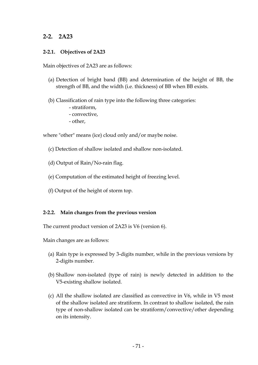## **2-2. 2A23**

#### **2-2.1. Objectives of 2A23**

Main objectives of 2A23 are as follows:

- (a) Detection of bright band (BB) and determination of the height of BB, the strength of BB, and the width (i.e. thickness) of BB when BB exists.
- (b) Classification of rain type into the following three categories:
	- stratiform,
	- convective,
	- other,

where "other" means (ice) cloud only and/or maybe noise.

- (c) Detection of shallow isolated and shallow non-isolated.
- (d) Output of Rain/No-rain flag.
- (e) Computation of the estimated height of freezing level.
- (f) Output of the height of storm top.

#### **2-2.2. Main changes from the previous version**

The current product version of 2A23 is V6 (version 6).

Main changes are as follows:

- (a) Rain type is expressed by 3-digits number, while in the previous versions by 2-digits number.
- (b) Shallow non-isolated (type of rain) is newly detected in addition to the V5-existing shallow isolated.
- (c) All the shallow isolated are classified as convective in V6, while in V5 most of the shallow isolated are stratiform. In contrast to shallow isolated, the rain type of non-shallow isolated can be stratiform/convective/other depending on its intensity.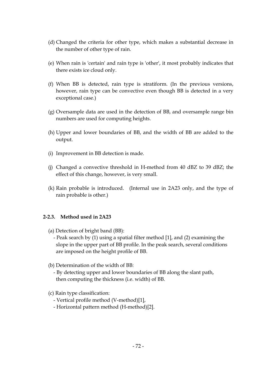- (d) Changed the criteria for other type, which makes a substantial decrease in the number of other type of rain.
- (e) When rain is 'certain' and rain type is 'other', it most probably indicates that there exists ice cloud only.
- (f) When BB is detected, rain type is stratiform. (In the previous versions, however, rain type can be convective even though BB is detected in a very exceptional case.)
- (g) Oversample data are used in the detection of BB, and oversample range bin numbers are used for computing heights.
- (h) Upper and lower boundaries of BB, and the width of BB are added to the output.
- (i) Improvement in BB detection is made.
- (j) Changed a convective threshold in H-method from 40 dBZ to 39 dBZ; the effect of this change, however, is very small.
- (k) Rain probable is introduced. (Internal use in 2A23 only, and the type of rain probable is other.)

## **2-2.3. Method used in 2A23**

- (a) Detection of bright band (BB):
	- Peak search by (1) using a spatial filter method [1], and (2) examining the slope in the upper part of BB profile. In the peak search, several conditions are imposed on the height profile of BB.
- (b) Determination of the width of BB:
	- By detecting upper and lower boundaries of BB along the slant path, then computing the thickness (i.e. width) of BB.
- (c) Rain type classification:
	- Vertical profile method (V-method)[1],
	- Horizontal pattern method (H-method)[2].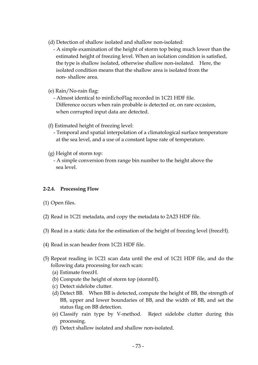- (d) Detection of shallow isolated and shallow non-isolated:
	- A simple examination of the height of storm top being much lower than the estimated height of freezing level. When an isolation condition is satisfied, the type is shallow isolated, otherwise shallow non-isolated. Here, the isolated condition means that the shallow area is isolated from the non- shallow area.
- (e) Rain/No-rain flag:

 - Almost identical to minEchoFlag recorded in 1C21 HDF file. Difference occurs when rain probable is detected or, on rare occasion, when corrupted input data are detected.

- (f) Estimated height of freezing level:
	- Temporal and spatial interpolation of a climatological surface temperature at the sea level, and a use of a constant lapse rate of temperature.
- (g) Height of storm top:
	- A simple conversion from range bin number to the height above the sea level.

## **2-2.4. Processing Flow**

- (1) Open files.
- (2) Read in 1C21 metadata, and copy the metadata to 2A23 HDF file.
- (3) Read in a static data for the estimation of the height of freezing level (freezH).
- (4) Read in scan header from 1C21 HDF file.
- (5) Repeat reading in 1C21 scan data until the end of 1C21 HDF file, and do the following data processing for each scan:
	- (a) Estimate freezH.
	- (b) Compute the height of storm top (stormH).
	- (c) Detect sidelobe clutter.
	- (d) Detect BB. When BB is detected, compute the height of BB, the strength of BB, upper and lower boundaries of BB, and the width of BB, and set the status flag on BB detection.
	- (e) Classify rain type by V-method. Reject sidelobe clutter during this processing.
	- (f) Detect shallow isolated and shallow non-isolated.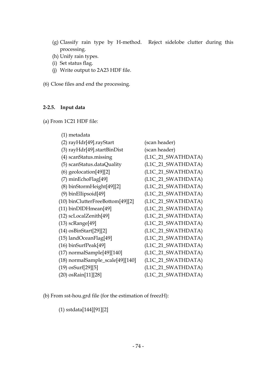- (g) Classify rain type by H-method. Reject sidelobe clutter during this processing.
- (h) Unify rain types.
- (i) Set status flag.
- (j) Write output to 2A23 HDF file.

(6) Close files and end the processing.

## **2-2.5. Input data**

(a) From 1C21 HDF file:

| (1) metadata                         |                    |
|--------------------------------------|--------------------|
| $(2)$ ray $Hdr[49]$ .rayStart        | (scan header)      |
| $(3)$ ray $Hdr[49]$ .start $BinDist$ | (scan header)      |
| (4) scanStatus.missing               | (L1C_21_SWATHDATA) |
| (5) scanStatus.dataQuality           | (L1C_21_SWATHDATA) |
| $(6)$ geolocation $[49][2]$          | (L1C_21_SWATHDATA) |
| $(7)$ minEchoFlag[49]                | (L1C_21_SWATHDATA) |
| $(8)$ binStormHeight $[49][2]$       | (L1C_21_SWATHDATA) |
| $(9)$ binEllipsoid[49]               | (L1C_21_SWATHDATA) |
| $(10)$ binClutterFreeBottom[49][2]   | (L1C_21_SWATHDATA) |
| $(11)$ binDIDH mean [49]             | (L1C_21_SWATHDATA) |
| (12) scLocalZenith[49]               | (L1C_21_SWATHDATA) |
| $(13)$ sc $Range[49]$                | (L1C_21_SWATHDATA) |
| $(14)$ osBinStart[29][2]             | (L1C_21_SWATHDATA) |
| (15) landOceanFlag[49]               | (L1C_21_SWATHDATA) |
| $(16)$ binSurfPeak $[49]$            | (L1C_21_SWATHDATA) |
| $(17)$ normalSample $[49]$ [140]     | (L1C_21_SWATHDATA) |
| (18) normalSample_scale[49][140]     | (L1C_21_SWATHDATA) |
| (19) osSurf[29][5]                   | (L1C_21_SWATHDATA) |
| (20) osRain[11][28]                  | (L1C_21_SWATHDATA) |

(b) From sst-hou.grd file (for the estimation of freezH):

(1) sstdata[144][91][2]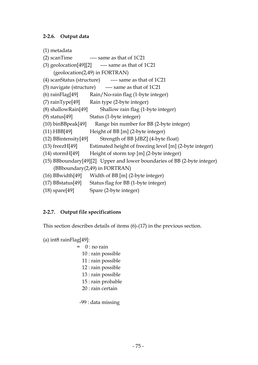## **2-2.6. Output data**

```
(1) metadata
```

```
(2) scanTime \cdots same as that of 1C21
```

```
(3) geolocation[49][2] \longrightarrow same as that of 1C21
     (geolocation(2,49) in FORTRAN)
```

```
(4) scanStatus (structure) \qquad \qquad \text{---} same as that of 1C21
```
(5) navigate (structure)  $\qquad \qquad \text{---}$  same as that of 1C21

```
(6) rainFlag[49] Rain/No-rain flag (1-byte integer)
```

```
(7) rainType[49] Rain type (2-byte integer)
```

```
(8) shallowRain[49] Shallow rain flag (1-byte integer)
```

```
(9) status[49] Status (1-byte integer)
```
- (10) binBBpeak[49] Range bin number for BB (2-byte integer)
- (11) HBB[49] Height of BB [m] (2-byte integer)
- (12) BBintensity[49] Strength of BB [dBZ] (4-byte float)
- (13) freezH[49] Estimated height of freezing level [m] (2-byte integer)
- (14) stormH[49] Height of storm top [m] (2-byte integer)
- (15) BBboundary[49][2] Upper and lower boundaries of BB (2-byte integer) (BBboundary(2,49) in FORTRAN)
- (16) BBwidth[49] Width of BB [m] (2-byte integer)
- (17) BBstatus[49] Status flag for BB (1-byte integer)
- (18) spare[49] Spare (2-byte integer)

# **2-2.7. Output file specifications**

This section describes details of items (6)-(17) in the previous section.

```
(a) int8 rainFlag[49]:
              = 0 : no rain
```
- 10 : rain possible
- 11 : rain possible
- 12 : rain possible
- 13 : rain possible
- 15 : rain probable
- 20 : rain certain

-99 : data missing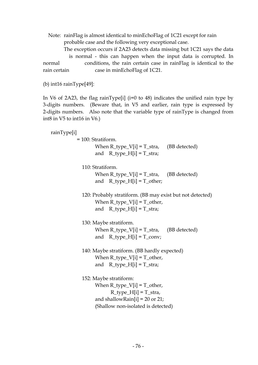Note: rainFlag is almost identical to minEchoFlag of 1C21 except for rain probable case and the following very exceptional case.

 The exception occurs if 2A23 detects data missing but 1C21 says the data is normal - this can happen when the input data is corrupted. In normal conditions, the rain certain case in rainFlag is identical to the rain certain case in minEchoFlag of 1C21.

(b) int16 rainType[49]:

In V6 of 2A23, the flag rainType[i] (i=0 to 48) indicates the unified rain type by 3-digits numbers. (Beware that, in V5 and earlier, rain type is expressed by 2-digits numbers. Also note that the variable type of rainType is changed from int8 in V5 to int16 in V6.)

 rainType[i] = 100: Stratiform. When  $R_t$  type\_V[i] =  $T_t$ stra, (BB detected) and  $R_type_H[i] = T_stra;$  110: Stratiform. When  $R_t$  type\_V[i] =  $T_t$ stra, (BB detected) and  $R_ttype_H[i] = T_other;$  120: Probably stratiform. (BB may exist but not detected) When  $R_t$  type  $V[i] = T_0$  ther, and  $R_type_H[i] = T-straj$  130: Maybe stratiform. When R\_type\_V[i] = T\_stra, (BB detected) and  $R_ttype_H[i] = T_cony;$  140: Maybe stratiform. (BB hardly expected) When  $R_t$ ype $[V[i] = T_O$ ther, and  $R_ttype_H[i] = T_stra;$  152: Maybe stratiform: When  $R_t$  type  $V[i] = T_0$  ther,  $R_t$ type $H[i] = T_t$ stra, and shallowRain[i] =  $20$  or  $21$ ; (Shallow non-isolated is detected)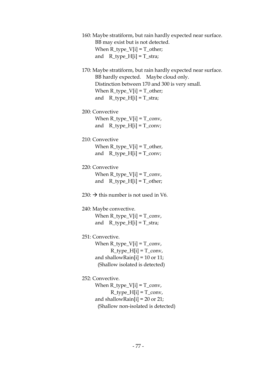160: Maybe stratiform, but rain hardly expected near surface. BB may exist but is not detected. When  $R_t$  type $_V[i] = T_0$  ther; and  $R_type_H[i] = T-straj$ 

 170: Maybe stratiform, but rain hardly expected near surface. BB hardly expected. Maybe cloud only. Distinction between 170 and 300 is very small. When  $R_t$ ype $[V[i] = T_0$ ther; and R type  $H[i] = T$  stra;

200: Convective

When  $R_t$ ype $[V[i] = T_c$ onv, and  $R_type_H[i] = T_cony;$ 

210: Convective

When  $R_t$ type $[V[i] = T_0$ ther, and  $R_type_H[i] = T_cony;$ 

- 220: Convective When  $R_t$  type\_ $V[i] = T_c$  conv, and  $R_ttype_H[i] = T_other;$
- 230:  $\rightarrow$  this number is not used in V6.

## 240: Maybe convective.

When  $R_t$  type $[V[i] = T_c$  conv, and  $R_ttype_H[i] = T_stra;$ 

251: Convective.

When  $R_t$  type $V[i] = T_c$  conv,  $R_t$  type\_ $H[i] = T_c$  conv, and shallowRain[i] = 10 or 11; (Shallow isolated is detected)

252: Convective.

When  $R_t$  type $[V[i] = T_c$  conv,  $R_t$  type\_ $H[i] = T_c$  conv, and shallowRain[i] = 20 or 21; (Shallow non-isolated is detected)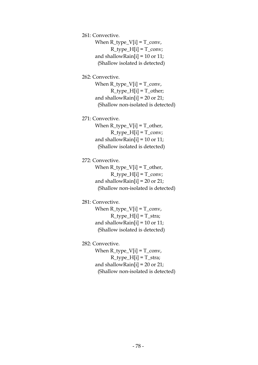261: Convective.

When  $R_t$  type\_ $V[i] = T_c$  conv,  $R_t$  type\_ $H[i] = T_c$  conv; and shallowRain[i] = 10 or 11; (Shallow isolated is detected)

262: Convective.

When  $R_type[V[i] = T_conv,$  $R_t$ type $[H[i] = T_other;$ and shallowRain[i] =  $20$  or  $21$ ; (Shallow non-isolated is detected)

271: Convective.

When  $R_t$  type $[V[i] = T_O$ ther,  $R_t$  type\_ $H[i] = T_c$  conv; and shallowRain[i] = 10 or 11; (Shallow isolated is detected)

272: Convective.

When  $R_t$  type\_ $V[i] = T_{other}$ ,  $R_t$ type\_H[i] =  $T_c$ conv; and shallowRain[i] =  $20$  or  $21$ ; (Shallow non-isolated is detected)

#### 281: Convective.

When  $R_type_V[i] = T_conv,$  $R_t$ type $H[i] = T_s$ tra; and shallowRain[i] =  $10$  or  $11$ ; (Shallow isolated is detected)

#### 282: Convective.

When  $R_t$  type\_ $V[i] = T_c$  conv,  $R_type_H[i] = T_stra;$ and shallowRain[i] =  $20$  or  $21$ ; (Shallow non-isolated is detected)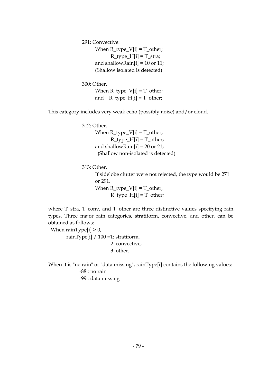291: Convective:

When  $R_t$  type $V[i] = T_{{\rm other}}$ ;  $R_t$ type $H[i] = T_s$ tra; and shallowRain[i] = 10 or 11; (Shallow isolated is detected)

#### 300: Other.

When  $R_type[V[i] = T_o$ ther; and R type  $H[i] = T$  other;

This category includes very weak echo (possibly noise) and/or cloud.

312: Other.

When  $R_t$ type $[V[i] = T_0$ ther,  $R_t$  type $H[i] = T_0$ ther; and shallowRain[i] =  $20$  or  $21$ ; (Shallow non-isolated is detected)

313: Other.

 If sidelobe clutter were not rejected, the type would be 271 or 291. When  $R_t$  type  $V[i] = T_0$  ther,  $R_t$ type $_H[i] = T_other;$ 

 where T\_stra, T\_conv, and T\_other are three distinctive values specifying rain types. Three major rain categories, stratiform, convective, and other, can be obtained as follows:

When  $rainType[i] > 0$ , rainType[i] / 100 =1: stratiform, 2: convective, 3: other.

When it is "no rain" or "data missing", rainType[i] contains the following values: -88 : no rain -99 : data missing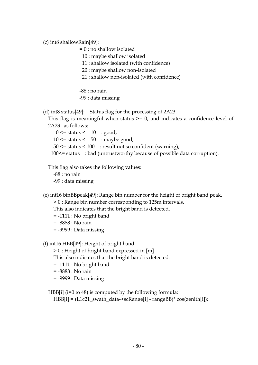(c) int8 shallowRain[49]:

= 0 : no shallow isolated

10 : maybe shallow isolated

11 : shallow isolated (with confidence)

20 : maybe shallow non-isolated

21 : shallow non-isolated (with confidence)

-88 : no rain

-99 : data missing

(d) int8 status[49]: Status flag for the processing of 2A23.

 This flag is meaningful when status >= 0, and indicates a confidence level of 2A23 as follows:

 $0 \leq$  status  $\leq 10$  : good,  $10 \leq$  status  $\leq 50$  : maybe good,  $50 \leq$  status  $\leq 100$ : result not so confident (warning), 100<= status : bad (untrustworthy because of possible data corruption).

This flag also takes the following values:

-88 : no rain

-99 : data missing

(e) int16 binBBpeak[49]: Range bin number for the height of bright band peak.

> 0 : Range bin number corresponding to 125m intervals.

This also indicates that the bright band is detected.

- = -1111 : No bright band
- = -8888 : No rain
- = -9999 : Data missing

(f) int16 HBB[49]: Height of bright band.

> 0 : Height of bright band expressed in [m]

This also indicates that the bright band is detected.

- = -1111 : No bright band
- = -8888 : No rain
- = -9999 : Data missing

HBB $[i]$  ( $i=0$  to 48) is computed by the following formula:

HBB[i] = (L1c21\_swath\_data->scRange[i] - rangeBB)\* cos(zenith[i]);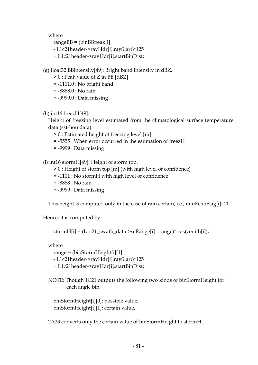where

rangeBB = (binBBpeak[i]

- L1c21header->rayHdr[i].rayStart)\*125

+ L1c21header->rayHdr[i].startBinDist;

(g) float32 BBintensity[49]: Bright band intensity in dBZ.

> 0 : Peak value of Z in BB [dBZ]

- = -1111.0 : No bright band
- = -8888.0 : No rain
- = -9999.0 : Data missing
- $(h)$  int16 freez $H[49]$ :

 Height of freezing level estimated from the climatological surface temperature data (sst-hou data).

> 0 : Estimated height of freezing level [m]

- = -5555 : When error occurred in the estimation of freezH
- = -9999 : Data missing

(i) int16 stormH[49]: Height of storm top.

- > 0 : Height of storm top [m] (with high level of confidence)
- = -1111 : No stormH with high level of confidence
- = -8888 : No rain
- = -9999 : Data missing

This height is computed only in the case of rain certain, i.e., minEchoFlag[i]=20.

Hence, it is computed by

stormH[i] = (L1c21\_swath\_data->scRange[i] - range)\* cos(zenith[i]);

where

range = (binStormHeight[i][1]

- L1c21header->rayHdr[i].rayStart)\*125
- + L1c21header->rayHdr[i].startBinDist;
- NOTE: Though 1C21 outputs the following two kinds of binStormHeight for each angle bin,

 binStormHeight[i][0]: possible value, binStormHeight[i][1]: certain value,

2A23 converts only the certain value of binStormHeight to stormH.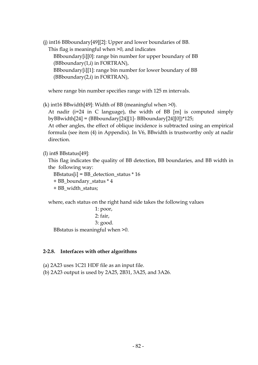(j) int16 BBboundary[49][2]: Upper and lower boundaries of BB.

This flag is meaningful when >0, and indicates

 BBboundary[i][0]: range bin number for upper boundary of BB (BBboundary(1,i) in FORTRAN), BBboundary[i][1]: range bin number for lower boundary of BB

(BBboundary(2,i) in FORTRAN),

where range bin number specifies range with 125 m intervals.

(k) int16 BBwidth[49]: Width of BB (meaningful when >0).

 At nadir (i=24 in C language), the width of BB [m] is computed simply byBBwidth[24] = (BBboundary[24][1]- BBboundary[24][0])\*125;

 At other angles, the effect of oblique incidence is subtracted using an empirical formula (see item (4) in Appendix). In V6, BBwidth is trustworthy only at nadir direction.

(l) int8 BBstatus[49]:

 This flag indicates the quality of BB detection, BB boundaries, and BB width in the following way:

BBstatus[i] = BB\_detection\_status \* 16

+ BB\_boundary\_status \* 4

+ BB\_width\_status;

where, each status on the right hand side takes the following values

1: poor,

```
 2: fair,
```
3: good.

BBstatus is meaningful when >0.

## **2-2.8. Interfaces with other algorithms**

(a) 2A23 uses 1C21 HDF file as an input file.

(b) 2A23 output is used by 2A25, 2B31, 3A25, and 3A26.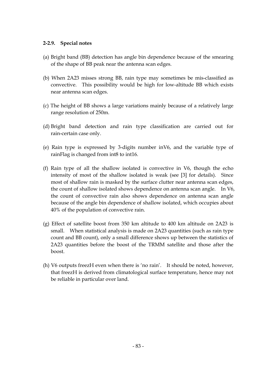#### **2-2.9. Special notes**

- (a) Bright band (BB) detection has angle bin dependence because of the smearing of the shape of BB peak near the antenna scan edges.
- (b) When 2A23 misses strong BB, rain type may sometimes be mis-classified as convective. This possibility would be high for low-altitude BB which exists near antenna scan edges.
- (c) The height of BB shows a large variations mainly because of a relatively large range resolution of 250m.
- (d) Bright band detection and rain type classification are carried out for rain-certain case only.
- (e) Rain type is expressed by 3-digits number inV6, and the variable type of rainFlag is changed from int8 to int16.
- (f) Rain type of all the shallow isolated is convective in V6, though the echo intensity of most of the shallow isolated is weak (see [3] for details). Since most of shallow rain is masked by the surface clutter near antenna scan edges, the count of shallow isolated shows dependence on antenna scan angle. In V6, the count of convective rain also shows dependence on antenna scan angle because of the angle bin dependence of shallow isolated, which occupies about 40% of the population of convective rain.
- (g) Effect of satellite boost from 350 km altitude to 400 km altitude on 2A23 is small. When statistical analysis is made on 2A23 quantities (such as rain type count and BB count), only a small difference shows up between the statistics of 2A23 quantities before the boost of the TRMM satellite and those after the boost.
- (h) V6 outputs freezH even when there is 'no rain'. It should be noted, however, that freezH is derived from climatological surface temperature, hence may not be reliable in particular over land.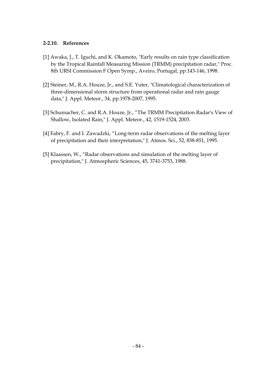#### **2-2.10. References**

- [1] Awaka, J., T. Iguchi, and K. Okamoto, "Early results on rain type classification by the Tropical Rainfall Measuring Mission (TRMM) precipitation radar," Proc. 8th URSI Commission F Open Symp., Aveiro, Portugal, pp.143-146, 1998.
- [2] Steiner, M., R.A. Houze, Jr., and S.E. Yuter, "Climatological characterization of three-dimensional storm structure from operational radar and rain gauge data," J. Appl. Meteor., 34, pp.1978-2007, 1995.
- [3] Schumacher, C. and R.A. Houze, Jr., "The TRMM Precipitation Radar's View of Shallow, Isolated Rain," J. Appl. Meteor., 42, 1519-1524, 2003.
- [4] Fabry, F. and I. Zawadzki, "Long-term radar observations of the melting layer of precipitation and their interpretation," J. Atmos. Sci., 52, 838-851, 1995.
- [5] Klaassen, W., "Radar observations and simulation of the melting layer of precipitation," J. Atmospheric Sciences, 45, 3741-3753, 1988.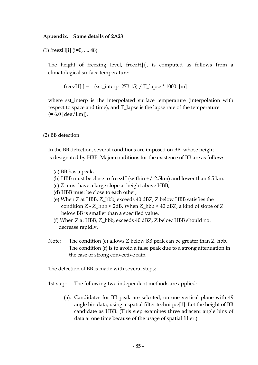### **Appendix. Some details of 2A23**

(1) freezH[i] (i=0, ..., 48)

 The height of freezing level, freezH[i], is computed as follows from a climatological surface temperature:

freezH[i] =  $(sst_$ interp -273.15) / T\_lapse \* 1000. [m]

 where sst\_interp is the interpolated surface temperature (interpolation with respect to space and time), and T\_lapse is the lapse rate of the temperature  $(= 6.0$  [deg/km]).

(2) BB detection

 In the BB detection, several conditions are imposed on BB, whose height is designated by HBB. Major conditions for the existence of BB are as follows:

- (a) BB has a peak,
- (b) HBB must be close to freezH (within  $+/-2.5$ km) and lower than 6.5 km.
- (c) Z must have a large slope at height above HBB,
- (d) HBB must be close to each other,
- (e) When Z at HBB, Z\_hbb, exceeds 40 dBZ, Z below HBB satisfies the condition Z - Z\_hbb < 2dB. When Z\_hbb < 40 dBZ, a kind of slope of Z below BB is smaller than a specified value.
- (f) When Z at HBB, Z\_hbb, exceeds 40 dBZ, Z below HBB should not decrease rapidly.
- Note: The condition (e) allows Z below BB peak can be greater than Z\_hbb. The condition (f) is to avoid a false peak due to a strong attenuation in the case of strong convective rain.

The detection of BB is made with several steps:

1st step: The following two independent methods are applied:

(a): Candidates for BB peak are selected, on one vertical plane with 49 angle bin data, using a spatial filter technique[1]. Let the height of BB candidate as HBB. (This step examines three adjacent angle bins of data at one time because of the usage of spatial filter.)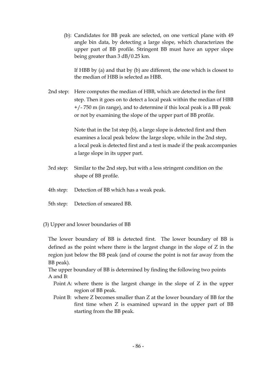(b): Candidates for BB peak are selected, on one vertical plane with 49 angle bin data, by detecting a large slope, which characterizes the upper part of BB profile. Stringent BB must have an upper slope being greater than 3 dB/0.25 km.

If HBB by (a) and that by (b) are different, the one which is closest to the median of HBB is selected as HBB.

 2nd step: Here computes the median of HBB, which are detected in the first step. Then it goes on to detect a local peak within the median of HBB +/- 750 m (in range), and to determine if this local peak is a BB peak or not by examining the slope of the upper part of BB profile.

> Note that in the 1st step (b), a large slope is detected first and then examines a local peak below the large slope, while in the 2nd step, a local peak is detected first and a test is made if the peak accompanies a large slope in its upper part.

- 3rd step: Similar to the 2nd step, but with a less stringent condition on the shape of BB profile.
- 4th step: Detection of BB which has a weak peak.
- 5th step: Detection of smeared BB.
- (3) Upper and lower boundaries of BB

 The lower boundary of BB is detected first. The lower boundary of BB is defined as the point where there is the largest change in the slope of Z in the region just below the BB peak (and of course the point is not far away from the BB peak).

The upper boundary of BB is determined by finding the following two points A and B:

- Point A: where there is the largest change in the slope of Z in the upper region of BB peak.
- Point B: where Z becomes smaller than Z at the lower boundary of BB for the first time when Z is examined upward in the upper part of BB starting from the BB peak.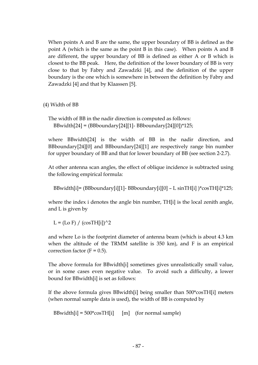When points A and B are the same, the upper boundary of BB is defined as the point A (which is the same as the point B in this case). When points A and B are different, the upper boundary of BB is defined as either A or B which is closest to the BB peak. Here, the definition of the lower boundary of BB is very close to that by Fabry and Zawadzki [4], and the definition of the upper boundary is the one which is somewhere in between the definition by Fabry and Zawadzki [4] and that by Klaassen [5].

(4) Width of BB

The width of BB in the nadir direction is computed as follows: BBwidth[24] = (BBboundary[24][1]- BBboundary[24][0])\*125;

where BBwidth[24] is the width of BB in the nadir direction, and BBboundary[24][0] and BBboundary[24][1] are respectively range bin number for upper boundary of BB and that for lower boundary of BB (see section 2-2.7).

At other antenna scan angles, the effect of oblique incidence is subtracted using the following empirical formula:

BBwidth[i]= (BBboundary[i][1]- BBboundary[i][0] – L sinTH[i] )\*cosTH[i]\*125;

where the index i denotes the angle bin number, TH[i] is the local zenith angle, and L is given by

 $L = (Lo F) / (cosTH[i])^2$ 

and where Lo is the footprint diameter of antenna beam (which is about 4.3 km when the altitude of the TRMM satellite is 350 km), and F is an empirical correction factor ( $F = 0.5$ ).

The above formula for BBwidth[i] sometimes gives unrealistically small value, or in some cases even negative value. To avoid such a difficulty, a lower bound for BBwidth[i] is set as follows:

If the above formula gives BBwidth[i] being smaller than 500\*cosTH[i] meters (when normal sample data is used), the width of BB is computed by

```
BBwidth[i] = 500*cosTH[i] [m] (for normal sample)
```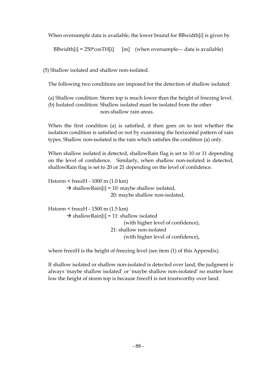When oversample data is available, the lower bound for BBwidth[i] is given by

```
BBwidth[i] = 250* \cos T H[i] [m] (when oversample--- data is available)
```
(5) Shallow isolated and shallow non-isolated.

The following two conditions are imposed for the detection of shallow isolated:

(a) Shallow condition: Storm top is much lower than the height of freezing level.

 (b) Isolated condition: Shallow isolated must be isolated from the other non-shallow rain areas.

When the first condition (a) is satisfied, it then goes on to test whether the isolation condition is satisfied or not by examining the horizontal pattern of rain types. Shallow non-isolated is the rain which satisfies the condition (a) only.

When shallow isolated is detected, shallowRain flag is set to 10 or 11 depending on the level of confidence. Similarly, when shallow non-isolated is detected, shallowRain flag is set to 20 or 21 depending on the level of confidence.

```
 Hstorm < freezH - 1000 m (1.0 km) 
       \rightarrow shallowRain[i] = 10: maybe shallow isolated,
                             20: maybe shallow non-isolated, 
Hstorm < freezH - 1500 m (1.5 km) 
       \rightarrow shallowRain[i] = 11: shallow isolated
                                    (with higher level of confidence), 
                             21: shallow non-isolated 
                                   (with higher level of confidence),
```
where freezH is the height of freezing level (see item (1) of this Appendix).

If shallow isolated or shallow non-isolated is detected over land, the judgment is always 'maybe shallow isolated' or 'maybe shallow non-isolated' no matter how low the height of storm top is because freezH is not trustworthy over land.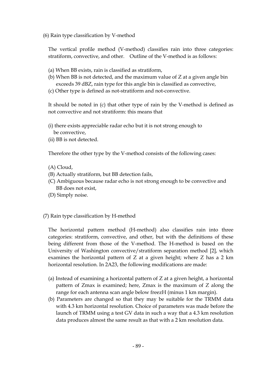(6) Rain type classification by V-method

The vertical profile method (V-method) classifies rain into three categories: stratiform, convective, and other. Outline of the V-method is as follows:

- (a) When BB exists, rain is classified as stratiform,
- (b) When BB is not detected, and the maximum value of Z at a given angle bin exceeds 39 dBZ, rain type for this angle bin is classified as convective,
- (c) Other type is defined as not-stratiform and not-convective.

It should be noted in (c) that other type of rain by the V-method is defined as not convective and not stratiform: this means that

- (i) there exists appreciable radar echo but it is not strong enough to be convective,
- (ii) BB is not detected.

Therefore the other type by the V-method consists of the following cases:

- (A) Cloud,
- (B) Actually stratiform, but BB detection fails,
- (C) Ambiguous because radar echo is not strong enough to be convective and BB does not exist,
- (D) Simply noise.
- (7) Rain type classification by H-method

The horizontal pattern method (H-method) also classifies rain into three categories: stratiform, convective, and other, but with the definitions of these being different from those of the V-method. The H-method is based on the University of Washington convective/stratiform separation method [2], which examines the horizontal pattern of Z at a given height; where Z has a 2 km horizontal resolution. In 2A23, the following modifications are made:

- (a) Instead of examining a horizontal pattern of Z at a given height, a horizontal pattern of Zmax is examined; here, Zmax is the maximum of Z along the range for each antenna scan angle below freezH (minus 1 km margin).
- (b) Parameters are changed so that they may be suitable for the TRMM data with 4.3 km horizontal resolution. Choice of parameters was made before the launch of TRMM using a test GV data in such a way that a 4.3 km resolution data produces almost the same result as that with a 2 km resolution data.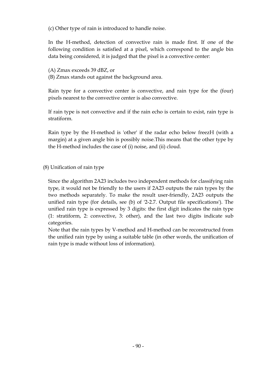(c) Other type of rain is introduced to handle noise.

In the H-method, detection of convective rain is made first. If one of the following condition is satisfied at a pixel, which correspond to the angle bin data being considered, it is judged that the pixel is a convective center:

(A) Zmax exceeds 39 dBZ, or

(B) Zmax stands out against the background area.

Rain type for a convective center is convective, and rain type for the (four) pixels nearest to the convective center is also convective.

If rain type is not convective and if the rain echo is certain to exist, rain type is stratiform.

Rain type by the H-method is 'other' if the radar echo below freezH (with a margin) at a given angle bin is possibly noise.This means that the other type by the H-method includes the case of (i) noise, and (ii) cloud.

(8) Unification of rain type

Since the algorithm 2A23 includes two independent methods for classifying rain type, it would not be friendly to the users if 2A23 outputs the rain types by the two methods separately. To make the result user-friendly, 2A23 outputs the unified rain type (for details, see (b) of '2-2.7. Output file specifications'). The unified rain type is expressed by 3 digits: the first digit indicates the rain type (1: stratiform, 2: convective, 3: other), and the last two digits indicate sub categories.

Note that the rain types by V-method and H-method can be reconstructed from the unified rain type by using a suitable table (in other words, the unification of rain type is made without loss of information).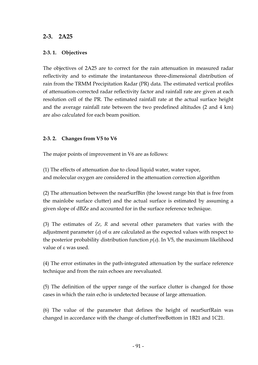## **2-3. 2A25**

## **2-3. 1. Objectives**

The objectives of 2A25 are to correct for the rain attenuation in measured radar reflectivity and to estimate the instantaneous three-dimensional distribution of rain from the TRMM Precipitation Radar (PR) data. The estimated vertical profiles of attenuation-corrected radar reflectivity factor and rainfall rate are given at each resolution cell of the PR. The estimated rainfall rate at the actual surface height and the average rainfall rate between the two predefined altitudes (2 and 4 km) are also calculated for each beam position.

## **2-3. 2. Changes from V5 to V6**

The major points of improvement in V6 are as follows:

(1) The effects of attenuation due to cloud liquid water, water vapor, and molecular oxygen are considered in the attenuation correction algorithm

(2) The attenuation between the nearSurfBin (the lowest range bin that is free from the mainlobe surface clutter) and the actual surface is estimated by assuming a given slope of dBZe and accounted for in the surface reference technique.

(3) The estimates of *Ze*, *R* and several other parameters that varies with the adjustment parameter ( $\varepsilon$ ) of  $\alpha$  are calculated as the expected values with respect to the posterior probability distribution function  $p(\varepsilon)$ . In V5, the maximum likelihood value of ε was used.

(4) The error estimates in the path-integrated attenuation by the surface reference technique and from the rain echoes are reevaluated.

(5) The definition of the upper range of the surface clutter is changed for those cases in which the rain echo is undetected because of large attenuation.

(6) The value of the parameter that defines the height of nearSurfRain was changed in accordance with the change of clutterFreeBottom in 1B21 and 1C21.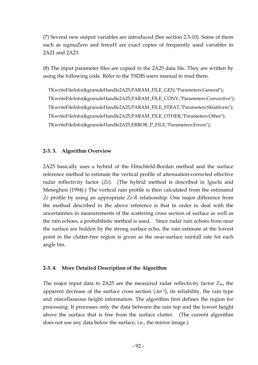(7) Several new output variables are introduced (See section 2.3-10). Some of them such as sigmaZero and freezH are exact copies of frequently used variables in 2A21 and 2A23.

(8) The input parameter files are copied in the 2A25 data file. They are written by using the following code. Refer to the TSDIS users manual to read them.

 TKwriteFileInfo(&granuleHandle2A25,PARAM\_FILE\_GEN,"Parameters:General"); TKwriteFileInfo(&granuleHandle2A25,PARAM\_FILE\_CONV,"Parameters:Convective"); TKwriteFileInfo(&granuleHandle2A25,PARAM\_FILE\_STRAT,"Parameters:Stratiform"); TKwriteFileInfo(&granuleHandle2A25,PARAM\_FILE\_OTHER,"Parameters:Other"); TKwriteFileInfo(&granuleHandle2A25,ERROR\_P\_FILE,"Parameters:Errors");

#### **2-3. 3. Algorithm Overview**

2A25 basically uses a hybrid of the Hitschfeld-Bordan method and the surface reference method to estimate the vertical profile of attenuation-corrected effective radar reflectivity factor (*Ze*). (The hybrid method is described in Iguchi and Meneghini (1994).) The vertical rain profile is then calculated from the estimated *Ze* profile by using an appropriate *Ze*-*R* relationship. One major difference from the method described in the above reference is that in order to deal with the uncertainties in measurements of the scattering cross section of surface as well as the rain echoes, a probabilistic method is used. Since radar rain echoes from near the surface are hidden by the strong surface echo, the rain estimate at the lowest point in the clutter-free region is given as the near-surface rainfall rate for each angle bin.

#### **2-3. 4. More Detailed Description of the Algorithm**

The major input data to 2A25 are the measured radar reflectivity factor *Zm*, the apparent decrease of the surface cross section  $(\Delta \sigma^0)$ , its reliability, the rain type and miscellaneous height information. The algorithm first defines the region for processing: It processes only the data between the rain top and the lowest height above the surface that is free from the surface clutter. (The current algorithm does not use any data below the surface, i.e., the mirror image.)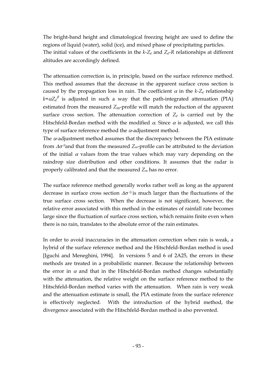The bright-band height and climatological freezing height are used to define the regions of liquid (water), solid (ice), and mixed phase of precipitating particles. The initial values of the coefficients in the *k*-*Ze* and *Ze*-*R* relationships at different altitudes are accordingly defined.

The attenuation correction is, in principle, based on the surface reference method. This method assumes that the decrease in the apparent surface cross section is caused by the propagation loss in rain. The coefficient  $\alpha$  in the  $k-Z_e$  relationship  $k = \alpha Z_e^{\beta}$  is adjusted in such a way that the path-integrated attenuation (PIA) estimated from the measured  $Z_m$ -profile will match the reduction of the apparent surface cross section. The attenuation correction of  $Z_e$  is carried out by the Hitschfeld-Bordan method with the modified  $\alpha$ . Since  $\alpha$  is adjusted, we call this type of surface reference method the  $\alpha$ -adjustment method.

The  $\alpha$ -adjustment method assumes that the discrepancy between the PIA estimate from ∆σ *<sup>0</sup>*and that from the measured *Zm*-profile can be attributed to the deviation of the initial  $\alpha$  values from the true values which may vary depending on the raindrop size distribution and other conditions. It assumes that the radar is properly calibrated and that the measured *Zm* has no error.

The surface reference method generally works rather well as long as the apparent decrease in surface cross section ∆σ *<sup>0</sup>*is much larger than the fluctuations of the true surface cross section. When the decrease is not significant, however, the relative error associated with this method in the estimates of rainfall rate becomes large since the fluctuation of surface cross section, which remains finite even when there is no rain, translates to the absolute error of the rain estimates.

In order to avoid inaccuracies in the attenuation correction when rain is weak, a hybrid of the surface reference method and the Hitschfeld-Bordan method is used [Iguchi and Meneghini, 1994]. In versions 5 and 6 of 2A25, the errors in these methods are treated in a probabilistic manner. Because the relationship between the error in  $\alpha$  and that in the Hitschfeld-Bordan method changes substantially with the attenuation, the relative weight on the surface reference method to the Hitschfeld-Bordan method varies with the attenuation. When rain is very weak and the attenuation estimate is small, the PIA estimate from the surface reference is effectively neglected. With the introduction of the hybrid method, the divergence associated with the Hitschfeld-Bordan method is also prevented.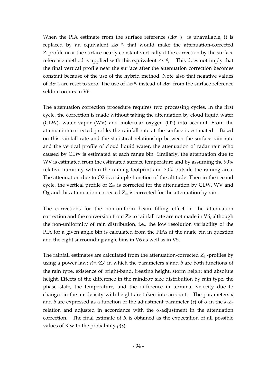When the PIA estimate from the surface reference  $(\Delta \sigma^0)$  is unavailable, it is replaced by an equivalent ∆σ *0c* that would make the attenuation-corrected Z-profile near the surface nearly constant vertically if the correction by the surface reference method is applied with this equivalent ∆σ *0c*. This does not imply that the final vertical profile near the surface after the attenuation correction becomes constant because of the use of the hybrid method. Note also that negative values of  $\Delta\sigma^0$  are reset to zero. The use of  $\Delta\sigma^0$  instead of  $\Delta\sigma^0$  from the surface reference seldom occurs in V6.

The attenuation correction procedure requires two processing cycles. In the first cycle, the correction is made without taking the attenuation by cloud liquid water (CLW), water vapor (WV) and molecular oxygen (O2) into account. From the attenuation-corrected profile, the rainfall rate at the surface is estimated. Based on this rainfall rate and the statistical relationship between the surface rain rate and the vertical profile of cloud liquid water, the attenuation of radar rain echo caused by CLW is estimated at each range bin. Similarly, the attenuation due to WV is estimated from the estimated surface temperature and by assuming the 90% relative humidity within the raining footprint and 70% outside the raining area. The attenuation due to O2 is a simple function of the altitude. Then in the second cycle, the vertical profile of  $Z_m$  is corrected for the attenuation by CLW, WV and  $O<sub>2</sub>$ , and this attenuation-corrected  $Z<sub>m</sub>$  is corrected for the attenuation by rain.

The corrections for the non-uniform beam filling effect in the attenuation correction and the conversion from Ze to rainfall rate are not made in V6, although the non-uniformity of rain distribution, i.e., the low resolution variability of the PIA for a given angle bin is calculated from the PIAs at the angle bin in question and the eight surrounding angle bins in V6 as well as in V5.

The rainfall estimates are calculated from the attenuation-corrected  $Z_e$ -profiles by using a power law:  $R = aZ_e^b$  in which the parameters *a* and *b* are both functions of the rain type, existence of bright-band, freezing height, storm height and absolute height. Effects of the difference in the raindrop size distribution by rain type, the phase state, the temperature, and the difference in terminal velocity due to changes in the air density with height are taken into account. The parameters *a* and *b* are expressed as a function of the adjustment parameter ( $\varepsilon$ ) of  $\alpha$  in the  $k-Z_e$ relation and adjusted in accordance with the  $\alpha$ -adjustment in the attenuation correction. The final estimate of *R* is obtained as the expectation of all possible values of R with the probability  $p(\varepsilon)$ .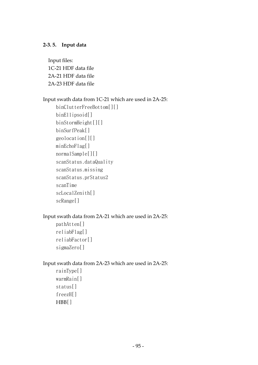## **2-3. 5. Input data**

 Input files: 1C-21 HDF data file 2A-21 HDF data file 2A-23 HDF data file

## Input swath data from 1C-21 which are used in 2A-25:

binClutterFreeBottom[][] binEllipsoid[] binStormHeight[][] binSurfPeak[] geolocation[][] minEchoFlag[] normalSample[][] scanStatus.dataQuality scanStatus.missing scanStatus.prStatus2 scanTime scLocalZenith[] scRange[]

## Input swath data from 2A-21 which are used in 2A-25:

pathAtten[] reliabFlag[] reliabFactor[] sigmaZero[]

## Input swath data from 2A-23 which are used in 2A-25:

rainType[] warmRain[] status[] freezH[] HBB[]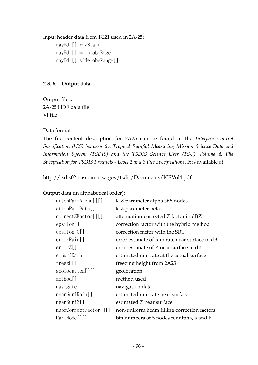Input header data from 1C21 used in 2A-25: rayHdr[].rayStart rayHdr[].mainlobeEdge rayHdr[].sidelobeRange[]

## **2-3. 6. Output data**

Output files: 2A-25 HDF data file VI file

## Data format

The file content description for 2A25 can be found in the *Interface Control Specification (ICS) between the Tropical Rainfall Measuring Mission Science Data and Information System (TSDIS) and the TSDIS Science User (TSU) Volume 4: File Specification for TSDIS Products - Level 2 and 3 File Specifications*. It is available at:

http://tsdis02.nascom.nasa.gov/tsdis/Documents/ICSVol4.pdf

## Output data (in alphabetical order):

| at tenParamAlpha[]    | k-Z parameter alpha at 5 nodes                 |
|-----------------------|------------------------------------------------|
| attenParmBeta[]       | k-Z parameter beta                             |
| correctZFactor[][]    | attenuation-corrected Z factor in dBZ          |
| epsilon[]             | correction factor with the hybrid method       |
| epsilon[0]            | correction factor with the SRT                 |
| errorRain[]           | error estimate of rain rate near surface in dB |
| errorZ[]              | error estimate of Z near surface in dB         |
| e_SurfRain[]          | estimated rain rate at the actual surface      |
| $freezH$ []           | freezing height from 2A23                      |
| geolocation[][]       | geolocation                                    |
| method[]              | method used                                    |
| navigate              | navigation data                                |
| nearSurfRain[]        | estimated rain rate near surface               |
| nearSurfZ[]           | estimated Z near surface                       |
| nubfCorrectFactor[][] | non-uniform beam filling correction factors    |
| ParmNode[][]          | bin numbers of 5 nodes for alpha, a and b      |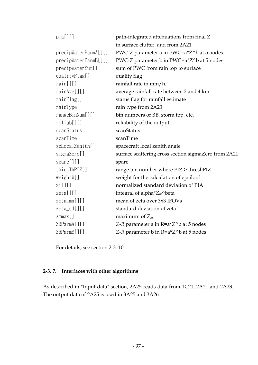| pia[][]                      | path-integrated attenuations from final Z,           |
|------------------------------|------------------------------------------------------|
|                              | in surface clutter, and from 2A21                    |
| precipWaterParmA[][]         | PWC-Z parameter a in PWC=a*Z^b at 5 nodes            |
| precipWaterParamB[]          | PWC-Z parameter b in PWC=a*Z^b at 5 nodes            |
| precipWaterSum[]             | sum of PWC from rain top to surface                  |
| qualityFlag[]                | quality flag                                         |
| rain[][]                     | rainfall rate in mm/h.                               |
| rainAve[]                    | average rainfall rate between 2 and 4 km             |
| rainFlag[]                   | status flag for rainfall estimate                    |
| rainType[]                   | rain type from 2A23                                  |
| rangeBinNum[]                | bin numbers of BB, storm top, etc.                   |
| reliab[]                     | reliability of the output                            |
| scanStatus                   | scanStatus                                           |
| scanTime                     | scanTime                                             |
| scLocalZenith[]              | spacecraft local zenith angle                        |
| sigmaZero[]                  | surface scattering cross section sigmaZero from 2A21 |
| $spare$ [][]                 | spare                                                |
| thickThPIZ[]                 | range bin number where PIZ > threshPIZ               |
| weightW[]                    | weight for the calculation of epsilonf               |
| xi[[1]]                      | normalized standard deviation of PIA                 |
| zeta[[1]]                    | integral of alpha* $Z_m^{\wedge}$ beta               |
| $zeta_{\text{min}}[$ ] $[$ ] | mean of zeta over 3x3 IFOVs                          |
| $zeta\_sd[]$                 | standard deviation of zeta                           |
| $z$ mmax $[]$                | maximum of $Z_m$                                     |
| ZRParmA[]                    | Z-R parameter a in R=a*Z^b at 5 nodes                |
| ZRParmB[]                    | Z-R parameter b in R=a*Z^b at 5 nodes                |

For details, see section 2-3. 10.

# **2-3. 7. Interfaces with other algorithms**

As described in "Input data" section, 2A25 reads data from 1C21, 2A21 and 2A23. The output data of 2A25 is used in 3A25 and 3A26.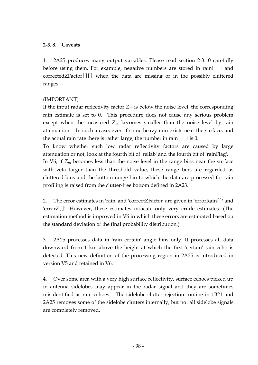## **2-3. 8. Caveats**

1. 2A25 produces many output variables. Please read section 2-3.10 carefully before using them. For example, negative numbers are stored in rain[][] and correctedZFactor[][] when the data are missing or in the possibly cluttered ranges.

## (IMPORTANT)

If the input radar reflectivity factor  $Z_m$  is below the noise level, the corresponding rain estimate is set to 0. This procedure does not cause any serious problem except when the measured  $Z_m$  becomes smaller than the noise level by rain attenuation. In such a case, even if some heavy rain exists near the surface, and the actual rain rate there is rather large, the number in rain[ $\iiint$ ] is 0.

To know whether such low radar reflectivity factors are caused by large attenuation or not, look at the fourth bit of 'reliab' and the fourth bit of 'rainFlag'.

In V6, if *Zm* becomes less than the noise level in the range bins near the surface with zeta larger than the threshold value, these range bins are regarded as cluttered bins and the bottom range bin to which the data are processed for rain profiling is raised from the clutter-free bottom defined in 2A23.

2. The error estimates in 'rain' and 'correctZFactor' are given in 'errorRain[]' and 'errorZ[]'. However, these estimates indicate only very crude estimates. (The estimation method is improved in V6 in which these errors are estimated based on the standard deviation of the final probability distribution.)

3. 2A25 processes data in 'rain certain' angle bins only. It processes all data downward from 1 km above the height at which the first 'certain' rain echo is detected. This new definition of the processing region in 2A25 is introduced in version V5 and retained in V6.

4. Over some area with a very high surface reflectivity, surface echoes picked up in antenna sidelobes may appear in the radar signal and they are sometimes misidentified as rain echoes. The sidelobe clutter rejection routine in 1B21 and 2A25 removes some of the sidelobe clutters internally, but not all sidelobe signals are completely removed.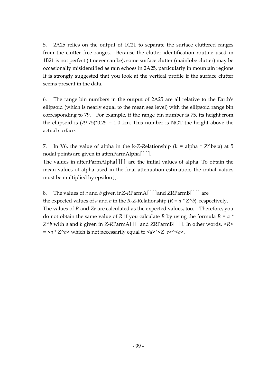5. 2A25 relies on the output of 1C21 to separate the surface cluttered ranges from the clutter free ranges. Because the clutter identification routine used in 1B21 is not perfect (it never can be), some surface clutter (mainlobe clutter) may be occasionally misidentified as rain echoes in 2A25, particularly in mountain regions. It is strongly suggested that you look at the vertical profile if the surface clutter seems present in the data.

6. The range bin numbers in the output of 2A25 are all relative to the Earth's ellipsoid (which is nearly equal to the mean sea level) with the ellipsoid range bin corresponding to 79. For example, if the range bin number is 75, its height from the ellipsoid is  $(79-75)^*0.25 = 1.0$  km. This number is NOT the height above the actual surface.

7. In V6, the value of alpha in the k-*Z-R*elationship (k = alpha \* Z^beta) at 5 nodal points are given in attenParmAlpha[][].

The values in attenParmAlpha[][] are the initial values of alpha. To obtain the mean values of alpha used in the final attenuation estimation, the initial values must be multiplied by epsilon[].

8. The values of *a* and *b* given in*Z-R*ParmA[][]and ZRParmB[][] are the expected values of *a* and *b* in the *R*-Z-Relationship ( $R = a * Z^b$ ), respectively. The values of *R* and *Ze* are calculated as the expected values, too. Therefore, you do not obtain the same value of *R* if you calculate *R* by using the formula *R = a \* Z^b* with *a* and *b* given in *Z-R*ParmA[][]and ZRParmB[][]. In other words, *<R> =*  $\langle a \times Z \rangle$ *b*> which is not necessarily equal to  $\langle a \rangle \langle Z \rangle$  e> $\langle b \rangle$ .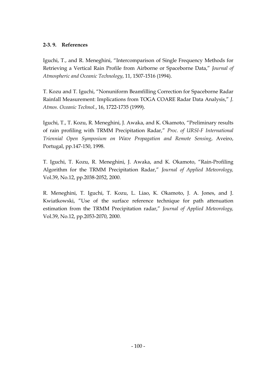## **2-3. 9. References**

Iguchi, T., and R. Meneghini, "Intercomparison of Single Frequency Methods for Retrieving a Vertical Rain Profile from Airborne or Spaceborne Data," *Journal of Atmospheric and Oceanic Technology*, 11, 1507-1516 (1994).

T. Kozu and T. Iguchi, "Nonuniform Beamfilling Correction for Spaceborne Radar Rainfall Measurement: Implications from TOGA COARE Radar Data Analysis," *J. Atmos. Oceanic Technol.*, 16, 1722-1735 (1999).

Iguchi, T., T. Kozu, R. Meneghini, J. Awaka, and K. Okamoto, "Preliminary results of rain profiling with TRMM Precipitation Radar," *Proc. of URSI-F International Triennial Open Symposium on Wave Propagation and Remote Sensing*, Aveiro, Portugal, pp.147-150, 1998.

T. Iguchi, T. Kozu, R. Meneghini, J. Awaka, and K. Okamoto, "Rain-Profiling Algorithm for the TRMM Precipitation Radar," *Journal of Applied Meteorology,* Vol.39, No.12, pp.2038-2052, 2000.

R. Meneghini, T. Iguchi, T. Kozu, L. Liao, K. Okamoto, J. A. Jones, and J. Kwiatkowski, "Use of the surface reference technique for path attenuation estimation from the TRMM Precipitation radar," *Journal of Applied Meteorology,* Vol.39, No.12, pp.2053-2070, 2000.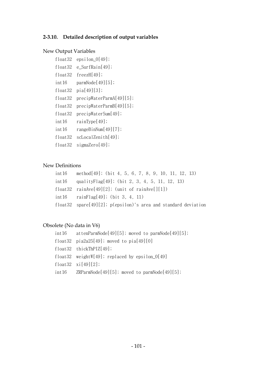# **2-3.10. Detailed description of output variables**

# New Output Variables

| float32 | $epsilon_0[49];$          |
|---------|---------------------------|
| float32 | e_SurfRain[49];           |
| float32 | freezH[49];               |
| int16   | paramNode[49][5];         |
| float32 | pia[49][3];               |
| float32 | precipWaterParmA[49][5];  |
| float32 | precipWaterParamB[49][5]; |
| float32 | precipWaterSum[49];       |
| int 16  | rainType[49];             |
| int 16  | rangeBinNum[49][7];       |
| float32 | scLocalZenith[49];        |
| float32 | sigmaZero[49];            |

# New Definitions

| $int16$ method[49]; (bit 4, 5, 6, 7, 8, 9, 10, 11, 12, 13)                |
|---------------------------------------------------------------------------|
| $int16$ quality $Flag[49]$ ; (bit 2, 3, 4, 5, 11, 12, 13)                 |
| float32 rainAve[49][2]; (unit of rainAve[][1])                            |
| $int16$ rainFlag[49]; (bit 3, 4, 11)                                      |
| float32 $spare[49][2]$ ; $p(epsilon)$ ilon)'s area and standard deviation |

# Obsolete (No data in V6)

| $int 16$ attenParmNode[49][5]; moved to parmNode[49][5]; |
|----------------------------------------------------------|
| float32 pia2a25[49]; moved to pia[49][0]                 |
| $float32$ thickThPIZ[49];                                |
| float32 weightW[49]; replaced by epsilon_0[49]           |
| float $32 \times i[49][2]$ ;                             |
| $int 16$ ZRParmNode[49][5]; moved to parmNode[49][5];    |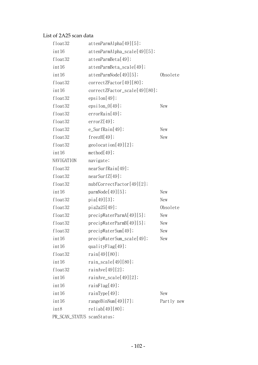## List of 2A25 scan data

| float32                    | at tenParamAlpha[49][5];          |            |
|----------------------------|-----------------------------------|------------|
| int 16                     | $at tenParamAlpha\_scale[49][5];$ |            |
| float32                    | attenParamBeta[49];               |            |
| int <sub>16</sub>          | attenParmBeta_scale[49];          |            |
| int <sub>16</sub>          | at tenParamNode[49][5];           | Obsolete   |
| float32                    | correctZFactor[49][80];           |            |
| int <sub>16</sub>          | correctZFactor_scale[49][80];     |            |
| float32                    | epsilon[49];                      |            |
| float32                    | $epsilon_0[49];$                  | New        |
| float32                    | errorRain[49];                    |            |
| float32                    | errorZ[49];                       |            |
| float32                    | $e$ _SurfRain[49];                | New        |
| float32                    | freezH[49];                       | New        |
| float32                    | geolocation[49][2];               |            |
| int <sub>16</sub>          | method[49];                       |            |
| NAVIGATION                 | navigate;                         |            |
| float32                    | nearSurfRain[49];                 |            |
| float32                    | nearSurfZ[49];                    |            |
| float32                    | nubfCorrectFactor[49][2];         |            |
| int 16                     | paramNode[49][5];                 | New        |
| float32                    | pia[49][3];                       | New        |
| float32                    | pia2a25[49];                      | Obsolete   |
| float32                    | precipWaterParamA[49][5];         | New        |
| float32                    | precipWaterParmB[49][5];          | New        |
| float32                    | precipWaterSum[49];               | New        |
| int 16                     | precipWaterSum_scale[49];         | New        |
| int 16                     | quality $F$ lag $[49]$ ;          |            |
| float32                    | rain[49][80];                     |            |
| int <sub>16</sub>          | $rain\_scale[49][80];$            |            |
| float32                    | rainAve[49][2];                   |            |
| int <sub>16</sub>          | $rainAve\_scale[49][2];$          |            |
| int 16                     | rainFlag[49];                     |            |
| int <sub>16</sub>          | rainType[49];                     | New        |
| int 16                     | rangeBinNum[49][7];               | Partly new |
| int8                       | reliab[49][80];                   |            |
| PR_SCAN_STATUS scanStatus; |                                   |            |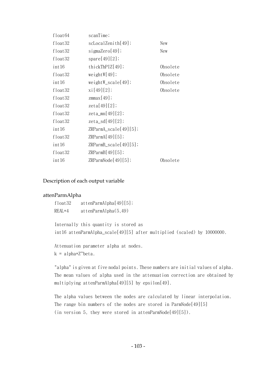| float64 | scanTime;                   |          |
|---------|-----------------------------|----------|
| float32 | scLocal Zenith[49];         | New      |
| float32 | sigmaZero[49];              | New      |
| float32 | spare[49][2];               |          |
| int 16  | thickThPIZ[49];             | Obsolete |
| float32 | weightW[49];                | Obsolete |
| int 16  | $weightW\_scale[49];$       | Obsolete |
| float32 | xi[49][2];                  | Obsolete |
| float32 | $z$ mmax $[49]$ ;           |          |
| float32 | zeta[49][2];                |          |
| float32 | $zeta_{\text{min}}[49][2];$ |          |
| float32 | zeta_sd[49][2];             |          |
| int 16  | $ZRParmA\_scale[49][5];$    |          |
| float32 | ZRParmA[49][5];             |          |
| int 16  | $ZRParmB\_scale[49][5];$    |          |
| float32 | ZRParmB[49][5];             |          |
| int 16  | ZRParmNode[49][5];          | Obsolete |

#### Description of each output variable

#### attenParmAlpha

float32 attenParmAlpha[49][5]; REAL\*4 attenParmAlpha(5,49)

Internally this quantity is stored as int16 attenParmAlpha\_scale[49][5] after multiplied (scaled) by 10000000.

Attenuation parameter alpha at nodes.  $k = \text{alpha} * \text{z}'$ beta.

"alpha" is given at five nodal points. These numbers are initial values of alpha. The mean values of alpha used in the attenuation correction are obtained by multiplying attenParmAlpha[49][5] by epsilon[49].

The alpha values between the nodes are calculated by linear interpolation. The range bin numbers of the nodes are stored in ParmNode[49][5] (in version 5, they were stored in attenParmNode[49][5]).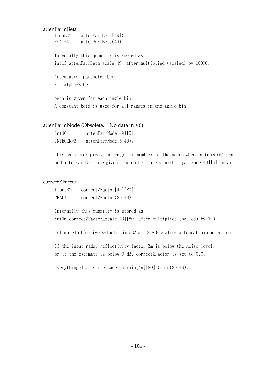### attenParmBeta

float32 attenParmBeta[49]; REAL\*4 attenParmBeta(49)

Internally this quantity is stored as int16 attenParmBeta\_scale[49] after multiplied (scaled) by 10000.

Attenuation parameter beta  $k = \text{alpha}*Z^{\wedge} \text{beta}.$ 

beta is given for each angle bin. A constant beta is used for all ranges in one angle bin.

### attenParmNode (Obsolete. No data in V6)

| int16     | attenParamNode[49][5]; |
|-----------|------------------------|
| $INTER*2$ | attenParamNode(5, 49); |

This parameter gives the range bin numbers of the nodes where attanParmAlpha and attenParmBeta are given. The numbers are stored in parmNode[49][5] in V6.

### correctZFactor

| float32  | correctZFactor[49][80]; |
|----------|-------------------------|
| $REAL*4$ | correctZFactor(80,49)   |

Internally this quantity is stored as int16 correctZFactor\_scale[49][80] after multiplied (scaled) by 100.

Estimated effective Z-factor in dBZ at 13.8 GHz after attenuation correction.

If the input radar reflectivity factor Zm is below the noise level, or if the estimate is below 0 dB, correctZFactor is set to 0.0.

Everythingelse is the same as  $rain[49][80]$   $(rain(80,49))$ .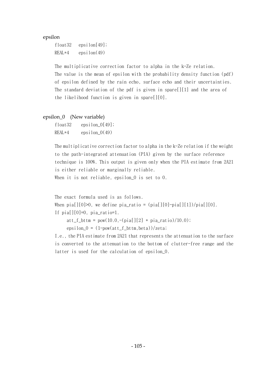epsilon

float32 epsilon[49]; REAL\*4 epsilon(49)

The multiplicative correction factor to alpha in the k-Ze relation. The value is the mean of epsilon with the probability density function (pdf) of epsilon defined by the rain echo, surface echo and their uncertainties. The standard deviation of the pdf is given in spare[][1] and the area of the likelihood function is given in spare[][0].

### epsilon\_0 (New variable)

| float32  | epsilon $[0[49];$ |
|----------|-------------------|
| $REAL*4$ | epsilon $_0(49)$  |

The multiplicative correction factor to alpha in the k-Ze relation if the weight to the path-integrated attenuation (PIA) given by the surface reference technique is 100%. This output is given only when the PIA estimate from 2A21 is either reliable or marginally reliable. When it is not reliable, epsilon 0 is set to 0.

```
The exact formula used is as follows. 
When pia[][0]>0, we define pia_ratio = (pia[][0]-pia[][1])/pia[][0].
If pia[1[0]=0, pia ratio=1.
```
 $att_f_{\text{at}} = pow(10.0, -(pia[[2] * pia_ratio)/10.0));$ 

epsilon\_ $0 = (1-pow(at t_f_bttm,beta))/zeta;$ 

I.e., the PIA estimate from 2A21 that represents the attenuation to the surface is converted to the attenuation to the bottom of clutter-free range and the latter is used for the calculation of epsilon\_0.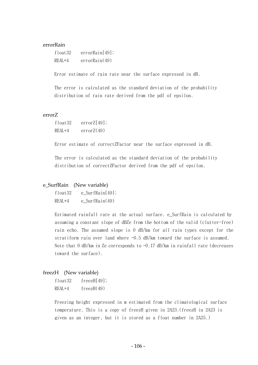### errorRain

float32 errorRain[49]; REAL\*4 errorRain(49)

Error estimate of rain rate near the surface expressed in dB.

The error is calculated as the standard deviation of the probability distribution of rain rate derived from the pdf of epsilon.

### errorZ

| float32  | errorZ[49]; |
|----------|-------------|
| $REAL*4$ | errorZ(49)  |

Error estimate of correctZFactor near the surface expressed in dB.

The error is calculated as the standard deviation of the probability distribution of correctZFactor derived from the pdf of epsilon.

### e\_SurfRain (New variable)

| float32  | e SurfRain $[49]$ ; |
|----------|---------------------|
| $REAL*4$ | $e$ SurfRain $(49)$ |

Estimated rainfall rate at the actual surface. e\_SurfRain is calculated by assuming a constant slope of dBZe from the bottom of the valid (clutter-free) rain echo. The assumed slope is 0 dB/km for all rain types except for the stratiform rain over land where -0.5 dB/km toward the surface is assumed. Note that 0 dB/km in Ze corresponds to  $-0.17$  dB/km in rainfall rate (decreases toward the surface).

### freezH (New variable)

| float <sub>32</sub> | freezH[49]; |
|---------------------|-------------|
| REAL*4              | freezH(49)  |

Freezing height expressed in m estimated from the climatological surface temperature. This is a copy of freezH given in 2A23.(freezH in 2A23 is given as an integer, but it is stored as a float number in 2A25.)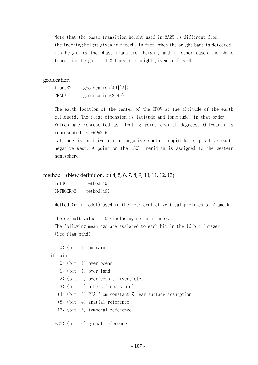Note that the phase transition height used in 2A25 is different from the freezing height given in freezH. In fact, when the bright band is detected, its height is the phase transition height, and in other cases the phase transition height is 1.2 times the height given in freezH.

### geolocation

| float32 | geolocation $[49][2]$ ; |
|---------|-------------------------|
| REAL*4  | geolocation(2,49)       |

The earth location of the center of the IFOV at the altitude of the earth ellipsoid. The first dimension is latitude and longitude, in that order. Values are represented as floating point decimal degrees. Off-earth is represented as -9999.9.

Latitude is positive north, negative south. Longitude is positive east, negative west. A point on the 180° meridian is assigned to the western hemisphere.

### method (New definition. bit 4, 5, 6, 7, 8, 9, 10, 11, 12, 13)

int16 method[49]; INTEGER\*2 method(49)

Method (rain model) used in the retrieval of vertical profiles of Z and R

The default value is 0 (including no rain case).

The following meanings are assigned to each bit in the 16-bit integer. (See flag\_mthd)

0: (bit 1) no rain

if rain

- 0: (bit 1) over ocean
- 1: (bit 1) over land
- 2: (bit 2) over coast, river, etc.
- 3: (bit 2) others (impossible)
- +4: (bit 3) PIA from constant-Z-near-surface assumption
- +8: (bit 4) spatial reference
- +16: (bit 5) temporal reference

+32: (bit 6) global reference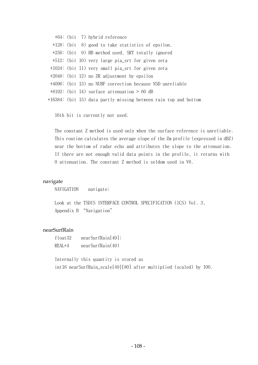|  | +64: (bit 7) hybrid reference                                    |
|--|------------------------------------------------------------------|
|  | +128: (bit 8) good to take statistics of epsilon.                |
|  | +256: (bit 9) HB method used, SRT totally ignored                |
|  | +512: (bit 10) very large pia_srt for given zeta                 |
|  | +1024: (bit 11) very small pia_srt for given zeta                |
|  | $+2048$ : (bit 12) no ZR adjustment by epsilon                   |
|  | +4096: (bit 13) no NUBF correction because NSD unreliable        |
|  | $+8192$ : (bit 14) surface attenuation > 60 dB                   |
|  | +16384: (bit 15) data partly missing between rain top and bottom |

16th bit is currently not used.

The constant Z method is used only when the surface reference is unreliable. This routine calculates the average slope of the Zm profile (expressed in dBZ) near the bottom of radar echo and attributes the slope to the attenuation. If there are not enough valid data points in the profile, it returns with 0 attenuation. The constant Z method is seldom used in V6.

### navigate

NAVIGATION navigate;

Look at the TSDIS INTERFACE CONTROL SPECIFICATION (ICS) Vol. 3. Appendix B "Navigation"

### nearSurfRain

```
float32 nearSurfRain[49]; 
REAL*4 nearSurfRain(49)
```
Internally this quantity is stored as int16 nearSurfRain\_scale[49][80] after multiplied (scaled) by 100.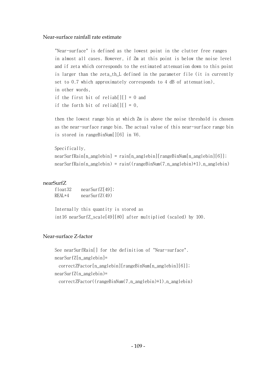### Near-surface rainfall rate estimate

"Near-surface" is defined as the lowest point in the clutter free ranges in almost all cases. However, if Zm at this point is below the noise level and if zeta which corresponds to the estimated attenuation down to this point is larger than the zeta\_th\_L defined in the parameter file (it is currently set to 0.7 which approximately corresponds to 4 dB of attenuation), in other words, if the first bit of reliab $[1] = 0$  and

if the forth bit of reliab[][] =  $0$ .

then the lowest range bin at which Zm is above the noise threshold is chosen as the near-surface range bin. The actual value of this near-surface range bin is stored in rangeBinNum[][6] in V6.

```
Specifically, 
nearSurfRain[n_anglebin] = rain[n_anglebin][rangeBinNum[n_anglebin][6]];nearSurfRain(n_anglebin) = rain((rangeBinNum(7,n_anglebin)+1),n_anglebin)
```
### nearSurfZ

float32 nearSurfZ[49]; REAL\*4 nearSurfZ(49)

Internally this quantity is stored as int16 nearSurfZ\_scale[49][80] after multiplied (scaled) by 100.

## Near-surface Z-factor

```
See nearSurfRain[] for the definition of "Near-surface". 
nearSurfZ[n] anglebin]=
  correctZFactor[n_anglebin][rangeBinNum[n_anglebin][6]]; 
nearSurfZ(n anglebin)=
  correctZFactor((rangeBinNum(7,n_anglebin)+1),n_anglebin)
```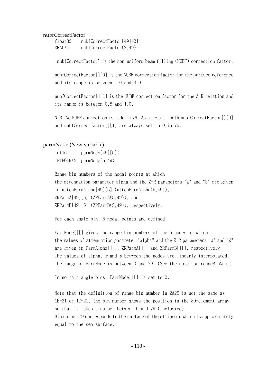#### nubfCorrectFactor

| float32 | nubfCorrectFactor[49][2]; |
|---------|---------------------------|
| REAL*4  | nubfCorrectFactor(2,49)   |

'nubfCorrectFactor` is the non-uniform beam filling (NUBF) correction factor.

nubfCorrectFactor[][0] is the NUBF correction factor for the surface reference and its range is between 1.0 and 3.0.

nubfCorrectFactor[][1] is the NUBF correction factor for the Z-R relation and its range is between 0.8 and 1.0.

N.B. No NUBF correction is made in V6. As a result, both nubfCorrectFactor[][0] and nubfCorrectFactor[][1] are always set to 0 in V6.

### parmNode (New variable)

 $int16$  parmNode[49][5]; INTEGER\*2 parmNode(5,49)

Range bin numbers of the nodal points at which the attenuation parameter alpha and the Z-R parameters "a" and "b" are given in attenParmAlpha[49][5] (attenParmAlpha(5,49)),  $ZRParmA[49][5]$  ( $ZRParmA(5,49)$ ), and  $ZRParmB[49][5]$  ( $ZRParmB(5,49)$ ), respectively.

For each angle bin, 5 nodal points are defined.

ParmNode[][] gives the range bin numbers of the 5 nodes at which the values of attenuation parameter "alpha" and the  $Z-R$  parameters "a" and "b" are given in ParmAlpha[][], ZRParmA[][] and ZRParmB[][], respectively. The values of alpha, a and b between the nodes are linearly interpolated. The range of ParmNode is between 0 and 79. (See the note for rangeBinNum.)

In no-rain angle bins, ParmNode[][] is set to 0.

Note that the definition of range bin number in 2A25 is not the same as 1B-21 or 1C-21. The bin number shows the position in the 80-element array so that it takes a number between 0 and 79 (inclusive). Bin number 79 corresponds to the surface of the ellipsoid which is approximately equal to the sea surface.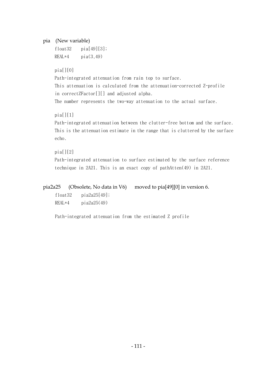## pia (New variable)

float  $32$  pia $[49][3]$ ;  $REAL*4$  pia $(3.49)$ 

## $pia[1[0]$

Path-integrated attenuation from rain top to surface. This attenuation is calculated from the attenuation-corrected Z-profile in correctZFactor[][] and adjusted alpha.

The number represents the two-way attenuation to the actual surface.

## $pia[11]$

Path-integrated attenuation between the clutter-free bottom and the surface. This is the attenuation estimate in the range that is cluttered by the surface echo.

## $pia[1[2]$

Path-integrated attenuation to surface estimated by the surface reference technique in 2A21. This is an exact copy of pathAtten(49) in 2A21.

pia2a25 (Obsolete, No data in V6) moved to pia[49][0] in version 6. float32 pia2a25[49];  $REAL*4$  pia2a25(49)

Path-integrated attenuation from the estimated Z profile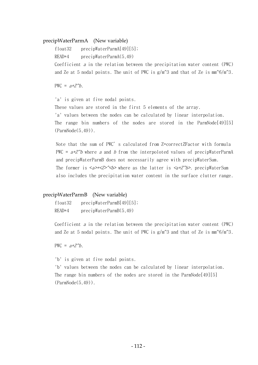### precipWaterParmA (New variable)

float32 precipWaterParmA[49][5];

READ\*4 precipWaterParmA(5,49)

Coefficient  $a$  in the relation between the precipitation water content (PWC) and Ze at 5 nodal points. The unit of PWC is  $g/m^3$  and that of Ze is  $mm^6/m^3$ .

PWC =  $a*Z^b$ 

'a' is given at five nodal points.

These values are stored in the first 5 elements of the array. 'a' values between the nodes can be calculated by linear interpolation. The range bin numbers of the nodes are stored in the ParmNode[49][5] (ParmNode(5,49)).

Note that the sum of PWC's calculated from Z=correctZFactor with formula PWC =  $a*Z^b$  where a and b from the interpoloted values of precipWaterParmA and precipWaterParmB does not necessarily agree with precipWaterSum. The former is  $\langle a \rangle \langle a \rangle$  where as the latter is  $\langle a \rangle \langle b \rangle$ . precipWaterSum also includes the precipitation water content in the surface clutter range.

### precipWaterParmB (New variable)

float32 precipWaterParmB[49][5]; READ\*4 precipWaterParmB(5,49)

Coefficient  $a$  in the relation between the precipitation water content (PWC) and Ze at 5 nodal points. The unit of PWC is  $g/m^3$  and that of Ze is  $mm^6/m^3$ .

PWC =  $a*Z^b$ .

'b' is given at five nodal points.

'b' values between the nodes can be calculated by linear interpolation. The range bin numbers of the nodes are stored in the ParmNode[49][5] (ParmNode(5,49)).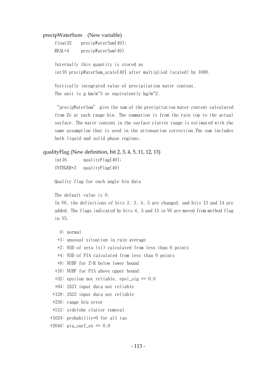### precipWaterSum (New variable)

| float32  | precipWaterSum[49]; |
|----------|---------------------|
| $REAL*4$ | precipWaterSum(49)  |

Internally this quantity is stored as int16 precipWaterSum\_scale[49] after multiplied (scaled) by 1000.

Vertically integrated value of precipitation water content. The unit is g  $km/m^3$  or equivalently kg/m<sup>2</sup>.

"precipWaterSum" give the sum of the precipitation water content calculated from Ze at each range bin. The summation is from the rain top to the actual surface. The water content in the surface clutter range is estimated with the same assumption that is used in the attenuation correction.The sum includes both liquid and solid phase regions.

### qualityFlag (New definition, bit 2, 3, 4, 5, 11, 12, 13)

| int <sub>16</sub> | quality $Flag[49]$ ; |
|-------------------|----------------------|
| INTEGER*2         | quality $Flag(49)$   |

Quality flag for each angle bin data

The default value is 0.

In V6, the definitions of bits 2, 3, 4, 5 are changed, and bits 13 and 14 are added. The flags indicated by bits 4, 5 and 13 in V6 are moved from method flag in V5.

```
 0: normal
```
- +1: unusual situation in rain average
- +2: NSD of zeta (xi) calculated from less than 6 points
- +4: NSD of PIA calculated from less than 6 points
- +8: NUBF for Z-R below lower bound
- +16: NUBF for PIA above upper bound
- $+32$ : epsilon not reliable, epsi sig  $\leq 0.0$
- +64: 2A21 input data not reliable
- +128: 2A23 input data not reliable
- +256: range bin error
- +512: sidelobe clutter removal
- +1024: probability=0 for all tau
- +2048: pia surf\_ex <=  $0.0$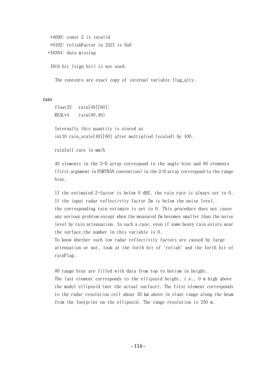```
 +4096: const Z is invalid 
  +8192: reliabFactor in 2A21 is NaN 
 +16384: data missing 
  16th bit (sign bit) is not used.
```
The contents are exact copy of internal variable flag qlty.

rain

```
float32 rain[49][80]; 
REAL*4 rain(80,49)
```
Internally this quantity is stored as int16 rain\_scale[49][80] after multiplied (scaled) by 100.

rainfall rate in mm/h

49 elements in the 2-D array correspond to the angle bins and 80 elements (first argument in FORTRAN convention) in the 2-D array correspond to the range bins.

If the estimated Z-factor is below 0 dBZ, the rain rate is always set to 0. If the input radar reflectivity factor Zm is below the noise level, the corresponding rain estimate is set to 0. This procedure does not cause any serious problem except when the measured Zm becomes smaller than the noise level by rain attenuation. In such a case, even if some heavy rain exists near the surface,the number in this variable is 0.

To know whether such low radar reflectivity factors are caused by large attenuation or not, look at the forth bit of 'reliab' and the forth bit of rainFlag.

80 range bins are filled with data from top to bottom in height. The last element corresponds to the ellipsoid height, i.e., 0 m high above the model ellipsoid (not the actual surface). The first element corresponds to the radar resolution cell about 20 km above in slant range along the beam from the footprint on the ellipsoid. The range resolution is 250 m.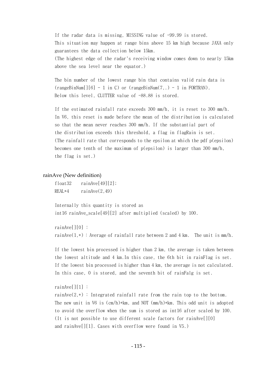If the radar data is missing, MISSING value of -99.99 is stored. This situation may happen at range bins above 15 km high because JAXA only guarantees the data collection below 15km. (The highest edge of the radar's receiving window comes down to nearly 15km above the sea level near the equator.)

The bin number of the lowest range bin that contains valid rain data is  $(rangeBinNum[][6] - 1 in C) or (rangeBinNum(7, .) - 1 in FORTRAN).$ Below this level, CLUTTER value of  $-88.88$  is stored.

If the estimated rainfall rate exceeds 300 mm/h, it is reset to 300 mm/h. In V6, this reset is made before the mean of the distribution is calculated so that the mean never reaches 300 mm/h. If the substantial part of the distribution exceeds this threshold, a flag in flagRain is set. (The rainfall rate that corresponds to the epsilon at which the pdf p(epsilon) becomes one tenth of the maximum of  $p(\text{epsilon})$  is larger than 300 mm/h, the flag is set.)

### rainAve (New definition)

float32 rainAve[49][2]; REAL $*4$  rainAve $(2, 49)$ 

Internally this quantity is stored as int16 rainAve\_scale[49][2] after multiplied (scaled) by 100.

rainAve[][0] :

rainAve $(1,*)$ : Average of rainfall rate between 2 and 4 km. The unit is mm/h.

If the lowest bin processed is higher than 2 km, the average is taken between the lowest altitude and 4 km.In this case, the 6th bit in rainFlag is set. If the lowest bin processed is higher than 4 km, the average is not calculated. In this case, 0 is stored, and the seventh bit of rainFalg is set.

### rainAve[][1] :

rainAve $(2,*)$ : Integrated rainfall rate from the rain top to the bottom. The new unit in V6 is  $(cm/h)*km$ , and NOT  $(mm/h)*km$ . This odd unit is adopted to avoid the overflow when the sum is stored as int16 after scaled by 100. (It is not possible to use different scale factors for rainAve[][0] and rainAve[][1]. Cases with overflow were found in V5.)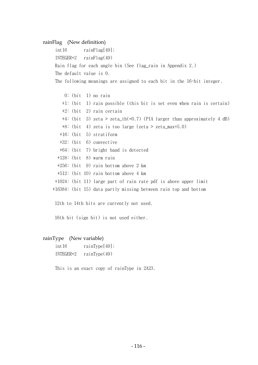### rainFlag (New definition)

int16 rainFlag[49]; INTEGER\*2 rainFlag(49) Rain flag for each angle bin (See flag\_rain in Appendix 2.) The default value is 0. The following meanings are assigned to each bit in the 16-bit integer.

```
 0: (bit 1) no rain 
     +1: (bit 1) rain possible (this bit is set even when rain is certain) 
     +2: (bit 2) rain certain 
     +4: (bit 3) zeta > zeta_th(=0.7) (PIA larger than approximately 4 dB) 
     +8: (bit 4) zeta is too large (zeta > zeta_max=5.0) 
   +16: (bit 5) stratiform 
   +32: (bit 6) convective 
   +64: (bit 7) bright band is detected 
  +128: (bit 8) warm rain 
  +256: (bit 9) rain bottom above 2 km 
  +512: (bit 10) rain bottom above 4 km 
 +1024: (bit 11) large part of rain rate pdf is above upper limit 
 +16384: (bit 15) data partly missing between rain top and bottom
```
12th to 14th bits are currently not used.

16th bit (sign bit) is not used either.

### rainType (New variable)

int16 rainType[49]; INTEGER\*2 rainType(49)

This is an exact copy of rainType in 2A23.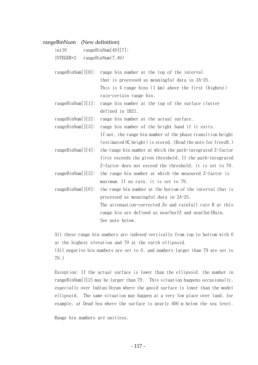#### rangeBinNum (New definition)

| int16     | rangeBinNum[49][7]; |
|-----------|---------------------|
| INTEGER*2 | rangeBinNum(7, 49)  |

rangeBinNum[][0]: range bin number at the top of the interval that is processed as meaningful data in 2A-25. This is 4 range bins (1 km) above the first (highest) rain-certain range bin.

rangeBinNum[ $\vert\vert 1$ ]: range bin number at the top of the surface clutter defined in 1B21.

rangeBinNum[][2]: range bin number at the actual surface.

rangeBinNum[][3]: range bin number of the bright band if it exits. If not, the range bin number of the phase transition height (estimated 0C height) is stored. (Read the note for freezH.)

- rangeBinNum[][4]: the range bin number at which the path-integrated Z-factor first exceeds the given threshold. If the path-integrated Z-factor does not exceed the threshold, it is set to 79.
- rangeBinNum[][5]: the range bin number at which the measured Z-factor is maximum. If no rain, it is set to 79.
- rangeBinNum[][6]: the range bin number at the bottom of the interval that is processed as meaningful data in 2A-25. The attenuation-corrected Ze and rainfall rate R at this range bin are defined as nearSurfZ and nearSurfRain. See note below.

All these range bin numbers are indexed vertically from top to bottom with 0 at the highest elevation and 79 at the earth ellipsoid. (All negative bin numbers are set to 0, and numbers larger than 79 are set to 79.)

Exception: If the actual surface is lower than the ellipsoid, the number in rangeBinNum[][2] may be larger than 79. This situation happens occasionally, especially over Indian Ocean where the geoid surface is lower than the model ellipsoid. The same situation may happen at a very low place over land, for example, at Dead Sea where the surface is nearly 400 m below the sea level.

Range bin numbers are unitless.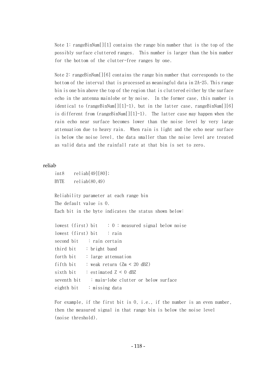Note 1: rangeBinNum  $\lceil \lceil 1 \rceil \rceil$  contains the range bin number that is the top of the possibly surface cluttered ranges. This number is larger than the bin number for the bottom of the clutter-free ranges by one.

Note 2: rangeBinNum [ $|16$ ] contains the range bin number that corresponds to the bottom of the interval that is processed as meaningful data in 2A-25. This range bin is one bin above the top of the region that is cluttered either by the surface echo in the antenna mainlobe or by noise. In the former case, this number is identical to (rangeBinNum[][1]-1), but in the latter case, rangeBinNum[][6] is different from (range $BinNum[11]-1)$ . The latter case may happen when the rain echo near surface becomes lower than the noise level by very large attenuation due to heavy rain. When rain is light and the echo near surface is below the noise level, the data smaller than the noise level are treated as valid data and the rainfall rate at that bin is set to zero.

### reliab

```
int8 reliab[49][80];
BYTE reliab(80,49)
```
Reliability parameter at each range bin The default value is 0. Each bit in the byte indicates the status shown below:

```
lowest (first) bit \therefore 0 : measured signal below noise
lowest (first) bit : rain
second bit : rain certain
third bit : bright band 
forth bit : large attenuation 
fifth bit : weak return (Zm < 20 dBZ)
sixth bit \therefore estimated Z < 0 dBZ
seventh bit : main-lobe clutter or below surface
eighth bit : missing data
```
For example, if the first bit is 0, i.e., if the number is an even number, then the measured signal in that range bin is below the noise level (noise threshold).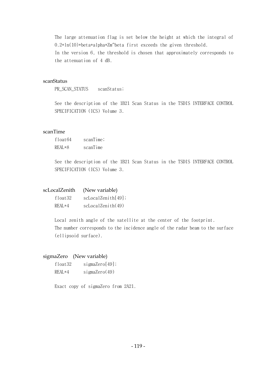The large attenuation flag is set below the height at which the integral of 0.2\*ln(10)\*beta\*alpha\*Zm^beta first exceeds the given threshold.

In the version 6, the threshold is chosen that approximately corresponds to the attenuation of 4 dB.

## scanStatus

PR\_SCAN\_STATUS scanStatus;

See the description of the 1B21 Scan Status in the TSDIS INTERFACE CONTROL SPECIFICATION (ICS) Volume 3.

### scanTime

| float64  | scanTime; |
|----------|-----------|
| $REAL*8$ | scanTime  |

See the description of the 1B21 Scan Status in the TSDIS INTERFACE CONTROL SPECIFICATION (ICS) Volume 3.

|          | scLocalZenith (New variable) |
|----------|------------------------------|
| float32  | scLocal Zenith[49];          |
| $REAI*4$ | scLocal Zenith(49)           |

Local zenith angle of the satellite at the center of the footprint. The number corresponds to the incidence angle of the radar beam to the surface (ellipsoid surface).

### sigmaZero (New variable)

| float32   | sigmaZero[49];   |
|-----------|------------------|
| $REAI.*4$ | sigmaZero $(49)$ |

Exact copy of sigmaZero from 2A21.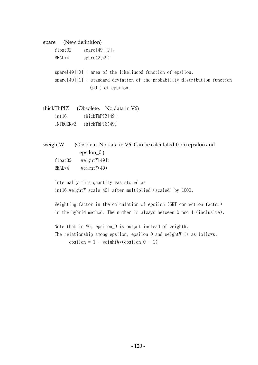## spare (New definition)

| float32  | $spare[49][2]$ ;                                                           |
|----------|----------------------------------------------------------------------------|
| $REAI*4$ | space(2,49)                                                                |
|          |                                                                            |
|          | spare[49][0] : area of the likelihood function of epsilon.                 |
|          | spare[49][1] : standard deviation of the probability distribution function |
|          | $\left(\text{pdf}\right)$ of epsilon.                                      |
|          |                                                                            |

thickThPIZ (Obsolete. No data in V6) int 16 thickThPIZ[49]; INTEGER\*2 thickThPIZ(49)

## weightW (Obsolete. No data in V6. Can be calculated from epsilon and epsilon\_0.)

| float32 | weightW[49]; |
|---------|--------------|
| REAL*4  | weightW(49)  |

Internally this quantity was stored as int16 weightW\_scale[49] after multiplied (scaled) by 1000.

Weighting factor in the calculation of epsilon (SRT correction factor) in the hybrid method. The number is always between 0 and 1 (inclusive).

Note that in V6, epsilon\_0 is output instead of weightW. The relationship among epsilon, epsilon\_0 and weightW is as follows.  $epsilon = 1 + weightW*(epsilon 0 - 1)$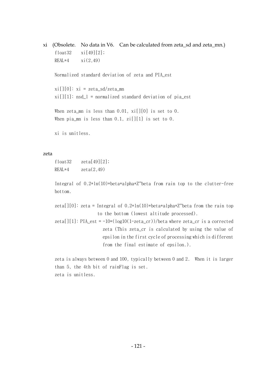xi (Obsolete. No data in V6. Can be calculated from zeta\_sd and zeta\_mn.) float  $32 \times i[49][2]$ ;  $REAL*4$   $xi(2.49)$ Normalized standard deviation of zeta and PIA\_est  $xi[][0]: xi = zeta sd/zeta$ mn  $xi[][1]:$  nsd\_l = normalized standard deviation of pia\_est When zeta\_mn is less than  $0.01$ ,  $xi[][0]$  is set to 0. When pia\_mn is less than  $0.1$ ,  $zi[$ ][1] is set to 0.

xi is unitless.

### zeta

float  $32$  zeta $[49][2]$ ; REAL $*4$  zeta $(2,49)$ 

Integral of  $0.2*ln(10)*beta*alpha*Z^beta$  from rain top to the clutter-free bottom.

zeta[][0]: zeta = Integral of  $0.2*ln(10)*beta*alpha*Z^{\text{beta}}$  from the rain top to the bottom (lowest altitude processed). zeta[][1]: PIA\_est =  $-10*(log10(1-zeta_cr))/beta$  where zeta\_cr is a corrected zeta (This zeta\_cr is calculated by using the value of

 epsilon in the first cycle of processing which is different from the final estimate of epsilon.).

zeta is always between 0 and 100, typically between 0 and 2. When it is larger than 5, the 4th bit of rainFlag is set. zeta is unitless.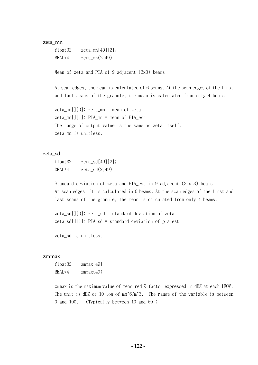### zeta\_mn

float  $32$  zeta mn[49][2];  $REAL*4$   $zeta_m(2,49)$ 

Mean of zeta and PIA of 9 adjacent (3x3) beams.

At scan edges, the mean is calculated of 6 beams. At the scan edges of the first and last scans of the granule, the mean is calculated from only 4 beams.

zeta\_mn[][0]: zeta\_mn = mean of zeta zeta\_mn[][1]: PIA\_mn = mean of PIA\_est The range of output value is the same as zeta itself. zeta\_mn is unitless.

### zeta\_sd

float  $32$  zeta\_sd[49][2];  $REAL*4$   $zeta(2,49)$ 

Standard deviation of zeta and PIA est in 9 adjacent (3 x 3) beams. At scan edges, it is calculated in 6 beams. At the scan edges of the first and last scans of the granule, the mean is calculated from only 4 beams.

zeta sd[ $[0]$ : zeta sd = standard deviation of zeta zeta sd[][1]: PIA sd = standard deviation of pia est

zeta\_sd is unitless.

#### zmmax

float  $32$  zmmax $[49]$ ;  $REAL*4$  zmmax $(49)$ 

zmmax is the maximum value of measured Z-factor expressed in dBZ at each IFOV. The unit is dBZ or 10 log of  $mm^6/m^3$ . The range of the variable is between 0 and 100. (Typically between 10 and 60.)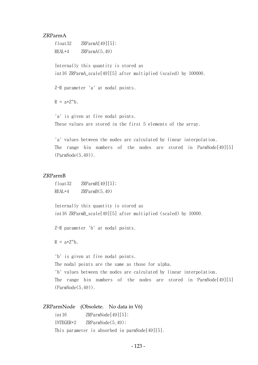### ZRParmA

float  $32$  ZRParmA[49][5]; REAL\*4 ZRParmA(5,49)

Internally this quantity is stored as int16 ZRParmA\_scale[49][5] after multiplied (scaled) by 100000.

Z-R parameter 'a' at nodal points.

 $R = a \times Z^b$ .

'a' is given at five nodal points. These values are stored in the first 5 elements of the array.

'a' values between the nodes are calculated by linear interpolation. The range bin numbers of the nodes are stored in ParmNode[49][5] (ParmNode(5,49)).

## ZRParmB

float32 ZRParmB[49][5]; REAL\*4 ZRParmB(5,49)

Internally this quantity is stored as int16 ZRParmB\_scale[49][5] after multiplied (scaled) by 10000.

Z-R parameter 'b' at nodal points.

 $R = a \times Z^b$ .

'b' is given at five nodal points.

The nodal points are the same as those for alpha.

'b' values between the nodes are calculated by linear interpolation.

The range bin numbers of the nodes are stored in ParmNode[49][5] (ParmNode(5,49)).

### ZRParmNode (Obsolete. No data in V6)

int16 ZRParmNode[49][5]; INTEGER\*2 ZRParmNode(5,49); This parameter is absorbed in parmNode[49][5].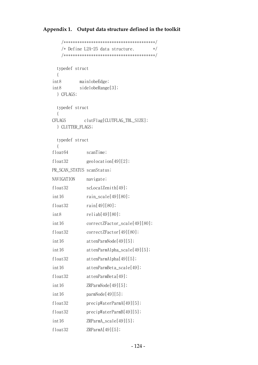## **Appendix 1. Output data structure defined in the toolkit**

```
 /****************************************/ 
      /* Define L2A-25 data structure. * /****************************************/ 
     typedef struct 
      { 
    int8 mainlobeEdge; 
    int8 sidelobeRange[3]; 
      } CFLAGS; 
     typedef struct 
      { 
    CFLAGS clutFlag[CLUTFLAG_TBL_SIZE]; 
      } CLUTTER_FLAGS; 
     typedef struct 
\{float64 scanTime;
    float32 geolocation[49][2]; 
   PR_SCAN_STATUS scanStatus;
    NAVIGATION navigate; 
   float32 scLocalZenith[49];
   int16 rain_scale[49][80];
    float32 rain[49][80]; 
    int8 reliab[49][80]; 
   int16 correctZFactor_scale[49][80];
    float32 correctZFactor[49][80]; 
   int16 attenParmNode[49][5];
   int16 attenParmAlpha_scale[49][5];
    float32 attenParmAlpha[49][5]; 
    int16 attenParmBeta_scale[49]; 
    float32 attenParmBeta[49]; 
    int16 ZRParmNode[49][5]; 
   int16 parmNode[49][5];
    float32 precipWaterParmA[49][5]; 
    float32 precipWaterParmB[49][5]; 
    int16 ZRParmA_scale[49][5]; 
    float32 ZRParmA[49][5];
```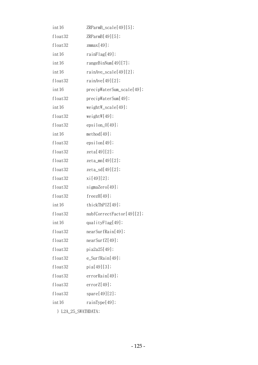| int 16            | ZRParmB_scale[49][5];     |
|-------------------|---------------------------|
| float32           | ZRParmB[49][5];           |
| float32           | $z$ mmax $[49]$ ;         |
| int <sub>16</sub> | rainFlag[49];             |
| int 16            | rangeBinNum[49][7];       |
| int 16            | $rainAve\_scale[49][2];$  |
| float32           | rainAve[49][2];           |
| int 16            | precipWaterSum_scale[49]; |
| float32           | precipWaterSum[49];       |
| int <sub>16</sub> | $weightW\_scale[49];$     |
| float32           | weightW[49];              |
| float32           | $epsilon_0[49];$          |
| int 16            | method[49];               |
| float32           | epsilon[49];              |
| float32           | zeta[49][2];              |
| float32           | zeta_mn[49][2];           |
| float32           | zeta_sd[49][2];           |
| float32           | xi[49][2];                |
| float32           | sigmaZero[49];            |
| float32           | freezH[49];               |
| int <sub>16</sub> | thickThPIZ[49];           |
| float32           | nubfCorrectFactor[49][2]; |
| int 16            | qualityFlag[49];          |
| float32           | nearSurfRain[49];         |
| float32           | nearSurfZ[49];            |
| float32           | pia2a25[49];              |
| float32           | e_SurfRain[49];           |
| float32           | pia[49][3];               |
| float32           | errorRain[49];            |
| float32           | errorZ[49];               |
| float32           | spare[49][2];             |
| int <sub>16</sub> | rainType[49];             |
|                   |                           |

} L2A\_25\_SWATHDATA;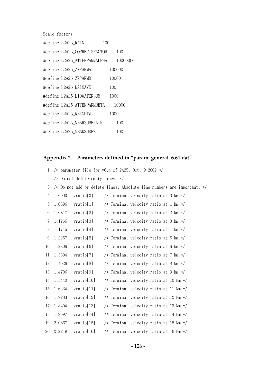Scale factors:

| #define L2A25 RAIN                    | 100  |        |
|---------------------------------------|------|--------|
| #define L2A25 CORRECTZFACTOR          |      | 100    |
| #define L2A25_ATTENPARMALPHA 10000000 |      |        |
| #define L2A25_ZRPARMA                 |      | 100000 |
| #define L2A25 ZRPARMB                 |      | 10000  |
| #define L2A25 RAINAVE                 | 100  |        |
| #define L2A25_LIQWATERSUM             | 1000 |        |
| #define L2A25_ATTENPARMBETA           |      | 10000  |
| #define L2A25_WEIGHTW                 | 1000 |        |
| #define L2A25 NEARSURFRAIN            |      | 100    |
| #define L2A25_NEARSURFZ               |      | 100    |

# **Appendix 2. Parameters defined in "param\_general\_6.61.dat"**

| $\mathbf 1$      |        |                                  | /* parameter file for $v6.4$ of 2A25. Oct. 9 2002 */                   |
|------------------|--------|----------------------------------|------------------------------------------------------------------------|
| $\mathbf{2}$     |        | /* Do not delete empty lines. */ |                                                                        |
| 3                |        |                                  | /* Do not add or delete lines. Absolute line numbers are important. */ |
| 4                | 1.0000 | vratio[0]                        | /* Terminal velocity ratio at 0 km */                                  |
| 5                | 1.0396 | vratio[1]                        | /* Terminal velocity ratio at 1 km */                                  |
| 6                | 1.0817 | vratio[2]                        | /* Terminal velocity ratio at 2 km */                                  |
| $\overline{7}$   | 1.1266 | vratio[3]                        | /* Terminal velocity ratio at 3 km */                                  |
| 8                | 1.1745 | vratio[4]                        | /* Terminal velocity ratio at 4 km */                                  |
| $\boldsymbol{9}$ | 1.2257 | vratio[5]                        | /* Terminal velocity ratio at 5 km */                                  |
| 10               | 1.2806 | vratio[6]                        | /* Terminal velocity ratio at 6 km */                                  |
| 11               | 1.3394 | vratio[7]                        | /* Terminal velocity ratio at 7 km */                                  |
| 12               | 1.4026 | vratio[8]                        | /* Terminal velocity ratio at 8 km */                                  |
| 13               | 1.4706 | vratio[9]                        | /* Terminal velocity ratio at 9 km */                                  |
| 14               | 1.5440 | vratio[10]                       | /* Terminal velocity ratio at 10 km */                                 |
| 15               | 1.6234 | vratio[11]                       | /* Terminal velocity ratio at 11 km */                                 |
| 16               | 1.7283 | vratio[12]                       | /* Terminal velocity ratio at 12 km */                                 |
| 17               | 1.8404 | vratio[13]                       | /* Terminal velocity ratio at 13 km */                                 |
| 18               | 1.9597 | vratio[14]                       | /* Terminal velocity ratio at 14 km */                                 |
| 19               | 2.0867 | vratio[15]                       | /* Terminal velocity ratio at 15 km */                                 |
| 20               | 2.2219 | vratio[16]                       | /* Terminal velocity ratio at 16 km */                                 |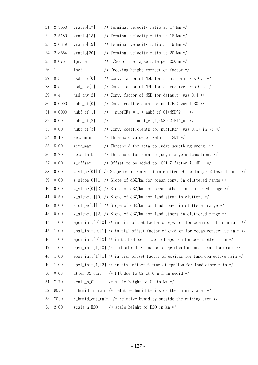| 21 | 2.3658      | vratio[17]<br>/* Terminal velocity ratio at 17 km */                               |
|----|-------------|------------------------------------------------------------------------------------|
| 22 | 2.5189      | vratio[18]<br>/* Terminal velocity ratio at 18 km */                               |
| 23 | 2.6819      | vratio[19]<br>/* Terminal velocity ratio at 19 km */                               |
| 24 | 2.8554      | vratio[20]<br>/* Terminal velocity ratio at 20 km */                               |
| 25 | 0.075       | $/* 1/20$ of the lapse rate per 250 m $*/$<br>lprate                               |
| 26 | 1.2         | /* Freezing height correction factor */<br>fhcf                                    |
| 27 | 0.3         | /* Conv. factor of NSD for stratiform: was 0.3 */<br>$nsd$ <sub>cnv</sub> $[0]$    |
| 28 | 0.5         | $nsd_{cnv}[1]$<br>/* Conv. factor of NSD for convective: was 0.5 */                |
| 29 | 0.4         | $nsd_{env}[2]$<br>/* Conv. factor of NSD for default: was $0.4$ */                 |
| 30 | 0.0000      | /* Conv. coefficients for nubfCFs: was 1.30 */<br>$nubf_c[f[0]]$                   |
| 31 | 0.0000      | $nubfCFs = 1 + nubf_c[f[0]*NSD^2]$<br>$nubf_c[f[1]$<br>$/*$<br>$\ast/$             |
| 32 | 0.00        | nubf_cf[1]*NSD^2*PIA_a<br>$nubf_c[f[2]$<br>$/*$<br>$\ast/$                         |
| 33 | 0.00        | /* Conv. coefficients for nubfCFzr: was 0.17 in V5 $*/$<br>$nubf_c[f[3]$           |
| 34 | 0.10        | zeta_min<br>/* Threshold value of zeta for SRT */                                  |
| 35 | 5.00        | /* Threshold for zeta to judge something wrong. $*/$<br>zeta_max                   |
| 36 | 0.70        | /* Threshold for zeta to judge large attenuation. $*/$<br>zeta_th_L                |
| 37 | 0.00        | z_offset<br>/* Offset to be added to 1C21 Z factor in dB<br>$\ast/$                |
| 38 | 0.00        | z_slope[0][0] /* Slope for ocean strat in clutter. + for larger Z toward surf. */  |
| 39 | 0.00        | $z$ _slope[0][1] /* Slope of dBZ/km for ocean conv. in cluttered range */          |
| 40 | 0.00        | z_slope[0][2] /* Slope of dBZ/km for ocean others in cluttered range $*/$          |
|    | $41 - 0.50$ | z_slope[1][0] /* Slope of dBZ/km for land strat in clutter. $*/$                   |
| 42 | 0.00        | z_slope[1][1] /* Slope of dBZ/km for land conv. in cluttered range $*/$            |
| 43 | 0.00        | z_slope[1][2] /* Slope of dBZ/km for land others in cluttered range */             |
| 44 | 1.00        | epsi_init[0][0] /* initial offset factor of epsilon for ocean stratiform rain $*/$ |
| 45 | 1.00        | epsi_init[0][1] /* initial offset factor of epsilon for ocean convective rain $*/$ |
| 46 | 1.00        | epsi_init[0][2] /* initial offset factor of epsilon for ocean other rain $*/$      |
| 47 | 1.00        | epsi_init[1][0] /* initial offset factor of epsilon for land stratiform rain */    |
| 48 | 1.00        | epsi_init[1][1] /* initial offset factor of epsilon for land convective rain $*/$  |
| 49 | 1.00        | epsi_init[1][2] /* initial offset factor of epsilon for land other rain $*/$       |
| 50 | 0.08        | atten_02_surf<br>/* PIA due to 02 at 0 m from geoid $*/$                           |
| 51 | 7.70        | scale_h_02<br>/* scale height of 02 in $km \nless l$                               |
| 52 | 90.0        | r_humid_in_rain /* relative humidity inside the raining area */                    |
| 53 | 70.0        | r_humid_out_rain /* relative humidity outside the raining area */                  |
| 54 | 2.00        | scale_h_H2O /* scale height of H2O in km */                                        |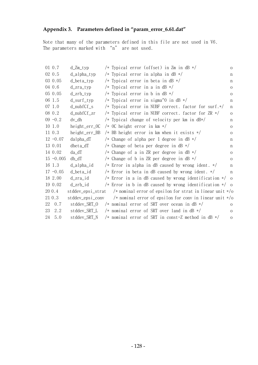## **Appendix 3. Parameters defined in "param\_error\_6.61.dat"**

Note that many of the parameters defined in this file are not used in V6. The parameters marked with "n" are not used.

| 01 0.7       | $d_Zm_typ$                | /* Typical error (offset) in Zm in dB */                                   | $\overline{O}$ |
|--------------|---------------------------|----------------------------------------------------------------------------|----------------|
| 02 0.5       | $d$ <sup>-alpha-typ</sup> | /* Typical error in alpha in dB $*/$                                       | n              |
| 03 0.05      | d_beta_typ                | /* Typical error in beta in dB $*/$                                        | n              |
| 04 0.6       | $d_{Z}ra_{typ}$           | /* Typical error in a in $dB$ */                                           | $\mathcal{O}$  |
| 05 0.05      | $d$ _zrb_typ              | /* Typical error in b in $dB$ */                                           | $\overline{O}$ |
| 06 1.5       | $d$ _surf_typ             | /* Typical error in sigma^0 in dB */                                       | n              |
| 07 1.0       | d_nubfCf_s                | /* Typical error in NUBF correct. factor for surf.*/                       | $\mathbf n$    |
| 08 0.2       | d_nubfCf_zr               | /* Typical error in NUBF correct. factor for ZR $*/$                       | $\overline{O}$ |
| $09 - 0.2$   | dv_dh                     | /* Typical change of velocity per km in $dB*/$                             | n              |
| 10 1.0       | height_err_0C             | /* OC height error in $km \neq$                                            | $\overline{O}$ |
| 11 0.3       | height_err_BB             | /* BB height error in km when it exists $*/$                               | $\mathcal{O}$  |
| $12 - 0.07$  | $da1pha_dT$               | /* Change of alpha per 1 degree in dB $*/$                                 | n              |
| 13 0.01      | dbeta_dT                  | /* Change of beta per degree in dB $*/$                                    | n              |
| 14 0.02      | da_dT                     | /* Change of a in ZR per degree in dB $*/$                                 | $\circ$        |
| $15 - 0.005$ | db_dT                     | /* Change of b in ZR per degree in dB $*/$                                 | $\overline{O}$ |
| 16 1.3       | d_alpha_id                | /* Error in alpha in dB caused by wrong ident. $*/$                        | n              |
| $17 - 0.05$  | d_beta_id                 | /* Error in beta in dB caused by wrong ident. $*/$                         | n              |
| 18 2.00      | d_zra_id                  | /* Error in a in dB caused by wrong identification $*/$                    | $\Omega$       |
| 19 0.02      | d_zrb_id                  | /* Error in b in dB caused by wrong identification $*/\circ$               |                |
| 20 0.4       |                           | stddev_epsi_strat /* nominal error of epsilon for strat in linear unit */o |                |
| 21 0.3       |                           | stddev_epsi_conv /* nominal error of epsilon for conv in linear unit */o   |                |
| 22<br>0.7    |                           | stddev_SRT_0 $\rightarrow$ nominal error of SRT over ocean in dB $\ast$ /  | $\circ$        |
| 23<br>2.2    | stddev_SRT_L              | /* nominal error of SRT over land in $dB$ */                               | $\overline{O}$ |
| 24<br>5.0    | stddev_SRT_N              | /* nominal error of SRT in const-Z method in dB $*/$                       | $\overline{O}$ |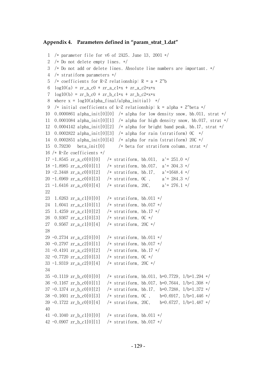### **Appendix 4. Parameters defined in "param\_strat\_1.dat"**

```
 1 /* parameter file for v6 of 2A25. June 13, 2001 */ 
  2 /* Do not delete empty lines. */ 
  3 /* Do not add or delete lines. Absolute line numbers are important. */ 
  4 /* stratiform parameters */ 
 5 /* coefficients for R-Z relationship: R = a * Z^b6 log10(a) = zr_a_0 + zr_a_1 + zr_a_2^27 log10(b) = zr_bc0 + zr_bc1*x + zr_bc2*x*x8 where x = log10(alpha\_final/alpha\_initial) */
 9 /* initial coefficients of k-Z relationship: k = alpha * Z<sup>o</sup>beta */ 10 0.0000861 alpha_init[0][0] /* alpha for low density snow, bb.011, strat */ 
 11 0.0001084 alpha_init[0][1] /* alpha for high density snow, bb.017, strat */ 
 12 0.0004142 alpha_init[0][2] /* alpha for bright band peak, bb.17, strat */ 
 13 0.0002822 alpha_init[0][3] /* alpha for rain (stratiform) 0C */ 
 14 0.0002851 alpha_init[0][4] /* alpha for rain (stratiform) 20C */ 
 15 0.79230 beta_init[0] /* beta for stratiform column, strat */ 
 16 /* R-Ze coefficients */ 
17 -1.8545 zr a c0[0][0] /* stratiform, bb.011, a'= 251.0 */
 18 -1.8985 zr_a_c0[0][1] /* stratiform, bb.017, a'= 304.3 */ 
 19 -2.3448 zr_a_c0[0][2] /* stratiform, bb.17, a'=1648.4 */ 
 20 -1.6969 zr_a_c0[0][3] /* stratiform, 0C , a'= 284.3 */ 
 21 -1.6416 zr_a_c0[0][4] /* stratiform, 20C, a'= 276.1 */ 
 22 
 23 1.6263 zr_a_c1[0][0] /* stratiform, bb.011 */ 
 24 1.6041 zr_a_c1[0][1] /* stratiform, bb.017 */ 
25 1.4259 zr a c1[0][2] /* stratiform, bb.17 */
 26 0.9367 zr_a_c1[0][3] /* stratiform, 0C */ 
 27 0.9567 zr_a_c1[0][4] /* stratiform, 20C */ 
 28 
29 -0.2734 zr a c2[0][0] /* stratiform, bb.011 */
 30 -0.2797 zr_a_c2[0][1] /* stratiform, bb.017 */ 
31 -0.4191 zr a c2[0][2] /* stratiform, bb.17 */
 32 -0.7720 zr_a_c2[0][3] /* stratiform, 0C */ 
 33 -1.9319 zr_a_c2[0][4] /* stratiform, 20C */ 
 34 
 35 -0.1119 zr_b_c0[0][0] /* stratiform, bb.011, b=0.7729, 1/b=1.294 */ 
 36 -0.1167 zr_b_c0[0][1] /* stratiform, bb.017, b=0.7644, 1/b=1.308 */ 
37 -0.1374 zr b c0[0][2] /* stratiform, bb.17, b=0.7288, 1/b=1.372 */
 38 -0.1601 zr_b_c0[0][3] /* stratiform, 0C , b=0.6917, 1/b=1.446 */ 
39 -0.1722 zr b c0[0][4] /* stratiform, 20C, b=0.6727, 1/b=1.487 */
 40 
 41 -0.1040 zr_b_c1[0][0] /* stratiform, bb.011 */ 
42 -0.0907 zr b c1[0][1] /* stratiform, bb.017 */
```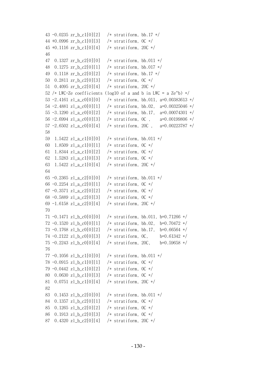```
 43 -0.0235 zr_b_c1[0][2] /* stratiform, bb.17 */ 
 44 +0.0996 zr_b_c1[0][3] /* stratiform, 0C */ 
 45 +0.1116 zr_b_c1[0][4] /* stratiform, 20C */ 
 46 
 47 0.1327 zr_b_c2[0][0] /* stratiform, bb.011 */ 
 48 0.1275 zr_b_c2[0][1] /* stratiform, bb.017 */ 
 49 0.1118 zr_b_c2[0][2] /* stratiform, bb.17 */ 
 50 0.2811 zr_b_c2[0][3] /* stratiform, 0C */ 
 51 0.4095 zr_b_c2[0][4] /* stratiform, 20C */ 
52 /* LWC-Ze coefficients (log10 of a and b in LWC = a Ze^b) */ 53 -2.4161 zl_a_c0[0][0] /* stratiform, bb.011, a=0.00383613 */ 
 54 -2.4881 zl_a_c0[0][1] /* stratiform, bb.02, a=0.00325046 */ 
 55 -3.1290 zl_a_c0[0][2] /* stratiform, bb.17, a=0.00074301 */ 
 56 -2.6994 zl_a_c0[0][3] /* stratiform, 0C , a=0.00199806 */ 
 57 -2.6502 zl_a_c0[0][4] /* stratiform, 20C , a=0.00223787 */ 
 58 
 59 1.5422 zl_a_c1[0][0] /* stratiform, bb.011 */ 
 60 1.8509 zl_a_c1[0][1] /* stratiform, 0C */ 
 61 1.8344 zl_a_c1[0][2] /* stratiform, 0C */ 
 62 1.5283 zl_a_c1[0][3] /* stratiform, 0C */ 
 63 1.5422 zl_a_c1[0][4] /* stratiform, 20C */ 
 64 
 65 -0.2365 zl_a_c2[0][0] /* stratiform, bb.011 */ 
66 -0.2254 zl_a_c2[0][1] /* stratiform, 0C */
67 -0.3571 zl_a_c2[0][2] /* stratiform, 0C */ 68 -0.5889 zl_a_c2[0][3] /* stratiform, 0C */ 
 69 -1.6158 zl_a_c2[0][4] /* stratiform, 20C */ 
 70 
71 -0.1471 zl b c0[0][0] /* stratiform, bb.011, b=0.71266 */
72 -0.1520 zl b c0[0][1] /* stratiform, bb.02, b=0.70472 */
 73 -0.1768 zl_b_c0[0][2] /* stratiform, bb.17, b=0.66564 */
 74 -0.2122 zl_b_c0[0][3] /* stratiform, 0C, b=0.61342 */
 75 -0.2243 zl_b_c0[0][4] /* stratiform, 20C, b=0.59658 */
 76 
77 -0.1056 zl b c1[0][0] /* stratiform, bb.011 */
 78 -0.0915 zl_b_c1[0][1] /* stratiform, 0C */ 
 79 -0.0442 zl_b_c1[0][2] /* stratiform, 0C */ 
 80 0.0630 zl_b_c1[0][3] /* stratiform, 0C */ 
 81 0.0751 zl_b_c1[0][4] /* stratiform, 20C */ 
 82 
 83 0.1453 zl_b_c2[0][0] /* stratiform, bb.011 */ 
 84 0.1357 zl_b_c2[0][1] /* stratiform, 0C */ 
 85 0.1265 zl_b_c2[0][2] /* stratiform, 0C */ 
 86 0.1913 zl_b_c2[0][3] /* stratiform, 0C */ 
 87 0.4320 zl_b_c2[0][4] /* stratiform, 20C */
```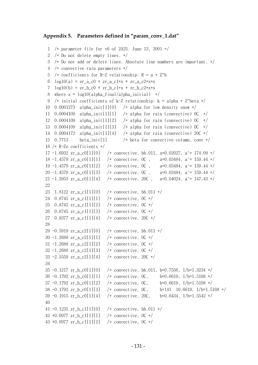### **Appendix 5. Parameters defined in "param\_conv\_1.dat"**

```
 1 /* parameter file for v6 of 2A25. June 13, 2001 */ 
  2 /* Do not delete empty lines. */ 
  3 /* Do not add or delete lines. Absolute line numbers are important. */ 
  4 /* convective rain parameters */ 
 5 /* coefficients for R-Z relationship: R = a * Z^b6 log10(a) = zr a c0 + zr a c1*x + zr a c2*x*x
 7 \log 10(b) = zr_b_c0 + zr_b_c1*x + zr_b_c2*x*x8 where x = log10(alpha final/alpha initial) */
 9 /* initial coefficients of k-Z relationship: k = alpha * Z^beta */
10 0.0001273 alpha_init[1][0] /* alpha for low density snow */11 0.0004109 alpha init[1][1] /* alpha for rain (convective) 0C */
12 0.0004109 alpha_init[1][2] /* alpha for rain (convective) 0C */
13 0.0004109 alpha init[1][3] /* alpha for rain (convective) 0C */
14 0.0004172 alpha init[1][4] /* alpha for rain (convective) 20C */
 15 0.7713 beta_init[1] /* beta for convective column, conv */ 
 16 /* R-Ze coefficients */ 
17 -1.6932 z_{r_a} = 0[1][0] /* convective, bb.011, a=0.02027, a'= 174.09 */
 18 -1.4579 zr_a_c0[1][1] /* convective, 0C , a=0.03484, a'= 159.44 */ 
 19 -1.4579 zr_a_c0[1][2] /* convective, 0C , a=0.03484, a'= 159.44 */ 
 20 -1.4579 zr_a_c0[1][3] /* convective, 0C , a=0.03484, a'= 159.44 */ 
21 -1.3953 zr a c0[1][4] /* convective, 20C , a=0.04024, a'= 147.43 */
 22 
 23 1.8122 zr_a_c1[1][0] /* convective, bb.011 */ 
24 0.8745 zr a c1[1][1] /* convective, 0C */
 25 0.8745 zr_a_c1[1][2] /* convective, 0C */ 
 26 0.8745 zr_a_c1[1][3] /* convective, 0C */ 
 27 0.9377 zr_a_c1[1][4] /* convective, 20C */ 
 28 
 29 -0.5919 zr_a_c2[1][0] /* convective, bb.011 */ 
 30 -1.2688 zr_a_c2[1][1] /* convective, 0C */ 
 31 -1.2688 zr_a_c2[1][2] /* convective, 0C */ 
 32 -1.2688 zr_a_c2[1][3] /* convective, 0C */ 
 33 -2.5559 zr_a_c2[1][4] /* convective, 20C */ 
 34 
 35 -0.1217 zr_b_c0[1][0] /* convective, bb.011, b=0.7556, 1/b=1.3234 */ 
 36 -0.1792 zr_b_c0[1][1] /* convective, 0C, b=0.6619, 1/b=1.5108 */ 
 37 -0.1792 zr_b_c0[1][2] /* convective, 0C, b=0.6619, 1/b=1.5108 */ 
 38 -0.1792 zr_b_c0[1][3] /* convective, 0C, b=141 10.6619, 1/b=1.5108 */ 
 39 -0.1915 zr_b_c0[1][4] /* convective, 20C, b=0.6434, 1/b=1.5542 */ 
 40 
 41 -0.1235 zr_b_c1[1][0] /* convective, bb.011 */ 
 42 +0.0977 zr_b_c1[1][1] /* convective, 0C */ 
 43 +0.0977 zr_b_c1[1][2] /* convective, 0C */
```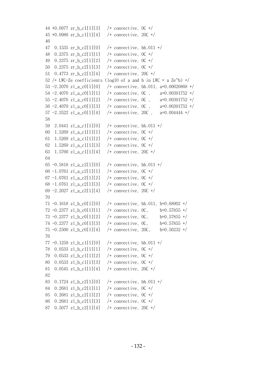```
 44 +0.0977 zr_b_c1[1][3] /* convective, 0C */ 
 45 +0.0986 zr_b_c1[1][4] /* convective, 20C */ 
 46 
 47 0.1535 zr_b_c2[1][0] /* convective, bb.011 */ 
 48 0.2375 zr_b_c2[1][1] /* convective, 0C */ 
 49 0.2375 zr_b_c2[1][2] /* convective, 0C */ 
 50 0.2375 zr_b_c2[1][3] /* convective, 0C */ 
 51 0.4773 zr_b_c2[1][4] /* convective, 20C */ 
52 /* LWC-Ze coefficients (log10 of a and b in LWC = a Ze^b) */
 53 -2.2070 zl_a_c0[1][0] /* convective, bb.011, a=0.00620868 */ 
 54 -2.4070 zl_a_c0[1][1] /* convective, 0C , a=0.00391752 */ 
 55 -2.4070 zl_a_c0[1][2] /* convective, 0C , a=0.00391752 */ 
 56 -2.4070 zl_a_c0[1][3] /* convective, 0C , a=0.00391752 */ 
 57 -2.3522 zl_a_c0[1][4] /* convective, 20C , a=0.004444 */ 
 58 
 59 2.0441 zl_a_c1[1][0] /* convective, bb.011 */ 
 60 1.5269 zl_a_c1[1][1] /* convective, 0C */ 
 61 1.5269 zl_a_c1[1][2] /* convective, 0C */ 
62 1.5269 zl_a_c1[1][3] /* convective, 0C */
 63 1.5766 zl_a_c1[1][4] /* convective, 20C */ 
 64 
65 -0.5818 zl_a_c2[1][0] /* convective, bb.011 */
66 -1.0761 zl_a_c2[1][1] /* convective, 0C */
 67 -1.0761 zl_a_c2[1][2] /* convective, 0C */ 
68 -1.0761 zl_a_c2[1][3] /* convective, 0C */
 69 -2.2027 zl_a_c2[1][4] /* convective, 20C */ 
 70 
71 -0.1618 zl b c0[1][0] /* convective, bb.011, b=0.68902 */
72 -0.2377 zl b c0[1][1] /* convective, 0C, b=0.57855 */ 73 -0.2377 zl_b_c0[1][2] /* convective, 0C, b=0.57855 */
 74 -0.2377 zl_b_c0[1][3] /* convective, 0C, b=0.57855 */
 75 -0.2500 zl_b_c0[1][4] /* convective, 20C, b=0.56232 */
 76 
77 -0.1259 zl b_c1[1][0] /* convective, bb.011 */ 78 0.0533 zl_b_c1[1][1] /* convective, 0C */ 
 79 0.0533 zl_b_c1[1][2] /* convective, 0C */ 
 80 0.0533 zl_b_c1[1][3] /* convective, 0C */ 
 81 0.0545 zl_b_c1[1][4] /* convective, 20C */ 
 82 
 83 0.1724 zl_b_c2[1][0] /* convective, bb.011 */ 
84 0.2681 zl b c2[1][1] /* convective, 0C */
 85 0.2681 zl_b_c2[1][2] /* convective, 0C */ 
 86 0.2681 zl_b_c2[1][3] /* convective, 0C */ 
 87 0.5077 zl_b_c2[1][4] /* convective, 20C */
```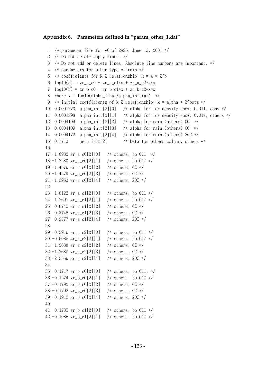### **Appendix 6. Parameters defined in "param\_other\_1.dat"**

```
 1 /* parameter file for v6 of 2A25. June 13, 2001 */ 
  2 /* Do not delete empty lines. */ 
  3 /* Do not add or delete lines. Absolute line numbers are important. */ 
  4 /* parameters for other type of rain */ 
 5 /* coefficients for R-Z relationship: R = a * Z^b6 log10(a) = zr_a_0 + zr_a_c1*x + zr_a_c2*x*x7 \log 10(b) = zr_b_c0 + zr_b_c1*x + zr_b_c2*x*x8 where x = log10(alpha\_final/alpha\_initial) */
 9 /* initial coefficients of k-Z relationship: k = alpha * Z^{\text{th}} 10 0.0001273 alpha_init[2][0] /* alpha for low density snow, 0.011, conv */ 
 11 0.0001598 alpha_init[2][1] /* alpha for low density snow, 0.017, others */ 
 12 0.0004109 alpha_init[2][2] /* alpha for rain (others) 0C */ 
 13 0.0004109 alpha_init[2][3] /* alpha for rain (others) 0C */ 
 14 0.0004172 alpha_init[2][4] /* alpha for rain (others) 20C */ 
 15 0.7713 beta_init[2] /* beta for others column, others */ 
 16 
17 -1.6932 \text{ zr}_a \text{c0}[2][0] /* others, bb.011 */
 18 -1.7280 zr_a_c0[2][1] /* others, bb.017 */ 
 19 -1.4579 zr_a_c0[2][2] /* others, 0C */ 
 20 -1.4579 zr_a_c0[2][3] /* others, 0C */ 
 21 -1.3953 zr_a_c0[2][4] /* others, 20C */ 
 22 
 23 1.8122 zr_a_c1[2][0] /* others, bb.011 */ 
 24 1.7697 zr_a_c1[2][1] /* others, bb.017 */ 
 25 0.8745 zr_a_c1[2][2] /* others, 0C */ 
 26 0.8745 zr_a_c1[2][3] /* others, 0C */ 
 27 0.9377 zr_a_c1[2][4] /* others, 20C */ 
 28 
29 -0.5919 \text{ zr}_a c2[2][0] /* others, bb.011 */
 30 -0.6085 zr_a_c2[2][1] /* others, bb.017 */ 
 31 -1.2688 zr_a_c2[2][2] /* others, 0C */ 
 32 -1.2688 zr_a_c2[2][3] /* others, 0C */ 
 33 -2.5559 zr_a_c2[2][4] /* others, 20C */ 
 34 
35 -0.1217 zr_b_c0[2][0] /* others, bb.011, */
 36 -0.1274 zr_b_c0[2][1] /* others, bb.017 */ 
 37 -0.1792 zr_b_c0[2][2] /* others, 0C */ 
 38 -0.1792 zr_b_c0[2][3] /* others, 0C */ 
 39 -0.1915 zr_b_c0[2][4] /* others, 20C */ 
 40 
41 -0.1235 zr_b c1[2][0] /* others, bb.011 */
42 -0.1085 zr_b_c1[2][1] /* others, bb.017 */
```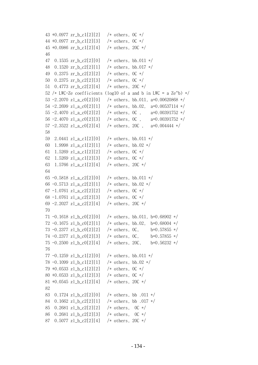```
 43 +0.0977 zr_b_c1[2][2] /* others, 0C */ 
 44 +0.0977 zr_b_c1[2][3] /* others, 0C */ 
 45 +0.0986 zr_b_c1[2][4] /* others, 20C */ 
 46 
 47 0.1535 zr_b_c2[2][0] /* others, bb.011 */ 
 48 0.1520 zr_b_c2[2][1] /* others, bb.017 */ 
 49 0.2375 zr_b_c2[2][2] /* others, 0C */ 
 50 0.2375 zr_b_c2[2][3] /* others, 0C */ 
 51 0.4773 zr_b_c2[2][4] /* others, 20C */ 
52 /* LWC-Ze coefficients (log10 of a and b in LWC = a Ze^b) */ 53 -2.2070 zl_a_c0[2][0] /* others, bb.011, a=0.00620868 */ 
 54 -2.2699 zl_a_c0[2][1] /* others, bb.02, a=0.00537114 */ 
 55 -2.4070 zl_a_c0[2][2] /* others, 0C , a=0.00391752 */ 
 56 -2.4070 zl_a_c0[2][3] /* others, 0C , a=0.00391752 */ 
57 -2.3522 zl_a_c0[2][4] /* others, 20C, a=0.004444 */
 58 
 59 2.0441 zl_a_c1[2][0] /* others, bb.011 */ 
 60 1.9998 zl_a_c1[2][1] /* others, bb.02 */ 
61 1.5269 zl_a_c1[2][2] /* others, 0C */
 62 1.5269 zl_a_c1[2][3] /* others, 0C */ 
 63 1.5766 zl_a_c1[2][4] /* others, 20C */ 
 64 
 65 -0.5818 zl_a_c2[2][0] /* others, bb.011 */ 
66 -0.5713 zl_a_c2[2][1] /* others, bb.02 */
67 -1.0761 z1_a_c2[2][2] /* others, 0C */
68 -1.0761 zl_a_c2[2][3] /* others, 0C */
69 -2.2027 zl_a_c2[2][4] /* others, 20C */
 70 
71 -0.1618 zl b c0[2][0] /* others, bb.011, b=0.68902 */
72 -0.1675 zl b c0[2][1] /* others, bb.02, b=0.68004 */
 73 -0.2377 zl_b_c0[2][2] /* others, 0C, b=0.57855 */ 
74 -0.2377 zl b c0[2][3] /* others, 0C, b=0.57855 */
 75 -0.2500 zl_b_c0[2][4] /* others, 20C, b=0.56232 */ 
 76 
77 -0.1259 zl b c1[2][0] /* others, bb.011 */
 78 -0.1099 zl_b_c1[2][1] /* others, bb.02 */ 
 79 +0.0533 zl_b_c1[2][2] /* others, 0C */ 
 80 +0.0533 zl_b_c1[2][3] /* others, 0C */ 
 81 +0.0545 zl_b_c1[2][4] /* others, 20C */ 
 82 
 83 0.1724 zl_b_c2[2][0] /* others, bb .011 */ 
 84 0.1662 zl_b_c2[2][1] /* others, bb .017 */ 
85 0.2681 zl b c2[2][2] /* others, 0C */
 86 0.2681 zl_b_c2[2][3] /* others, 0C */ 
 87 0.5077 zl_b_c2[2][4] /* others, 20C */
```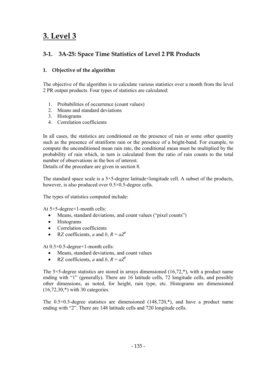# **3. Level 3**

## **3-1. 3A-25: Space Time Statistics of Level 2 PR Products**

## **1. Objective of the algorithm**

The objective of the algorithm is to calculate various statistics over a month from the level 2 PR output products. Four types of statistics are calculated:

- 1. Probabilities of occurrence (count values)
- 2. Means and standard deviations
- 3. Histograms
- 4. Correlation coefficients

In all cases, the statistics are conditioned on the presence of rain or some other quantity such as the presence of stratiform rain or the presence of a bright-band. For example, to compute the unconditioned mean rain rate, the conditional mean must be multiplied by the probability of rain which, in turn is calculated from the ratio of rain counts to the total number of observations in the box of interest.

Details of the procedure are given in section 8.

The standard space scale is a  $5 \times 5$ -degree latitude×longitude cell. A subset of the products, however, is also produced over  $0.5 \times 0.5$ -degree cells.

The types of statistics computed include:

At 5×5-degree×1-month cells:

- Means, standard deviations, and count values ("pixel counts")
- Histograms
- Correlation coefficients
- RZ coefficients, *a* and *b*,  $R = aZ^b$

At 0.5×0.5-degree×1-month cells:

- Means, standard deviations, and count values
- RZ coefficients, *a* and *b*,  $R = aZ^b$

The  $5\times5$ -degree statistics are stored in arrays dimensioned (16,72,\*), with a product name ending with "1" (generally). There are 16 latitude cells, 72 longitude cells, and possibly other dimensions, as noted, for height, rain type, etc. Histograms are dimensioned (16,72,30,\*) with 30 categories.

The  $0.5 \times 0.5$ -degree statistics are dimensioned  $(148,720,*)$ , and have a product name ending with "2". There are 148 latitude cells and 720 longitude cells.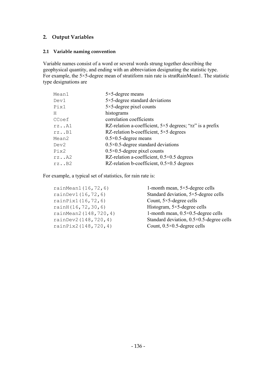## **2. Output Variables**

## **2.1 Variable naming convention**

Variable names consist of a word or several words strung together describing the geophysical quantity, and ending with an abbreviation designating the statistic type. For example, the 5×5-degree mean of stratiform rain rate is stratRainMean1. The statistic type designations are

| $5 \times 5$ -degree means                                       |
|------------------------------------------------------------------|
| $5 \times 5$ -degree standard deviations                         |
| $5 \times 5$ -degree pixel counts                                |
| histograms                                                       |
| correlation coefficients                                         |
| RZ-relation a-coefficient, $5\times 5$ degrees; "rz" is a prefix |
| RZ-relation b-coefficient, $5 \times 5$ degrees                  |
| $0.5 \times 0.5$ -degree means                                   |
| $0.5 \times 0.5$ -degree standard deviations                     |
| $0.5 \times 0.5$ -degree pixel counts                            |
| RZ-relation a-coefficient, $0.5 \times 0.5$ degrees              |
| RZ-relation b-coefficient, $0.5 \times 0.5$ degrees              |
|                                                                  |

For example, a typical set of statistics, for rain rate is:

| rainMean1 (16,72,6)  | 1-m     |
|----------------------|---------|
| rainDev1 (16,72,6)   | Stan    |
| rainPix1(16,72,6)    | Cou     |
| rainH(16,72,30,6)    | Hist    |
| rainMean2(148,720,4) | $1 - m$ |
| rainDev2(148,720,4)  | Stan    |
| rainPix2(148,720,4)  | Cou     |

onth mean,  $5\times5$ -degree cells randard deviation,  $5\times5$ -degree cells nt,  $5\times5$ -degree cells ogram,  $5\times5$ -degree cells onth mean,  $0.5\times0.5$ -degree cells dard deviation,  $0.5 \times 0.5$ -degree cells nt,  $0.5 \times 0.5$ -degree cells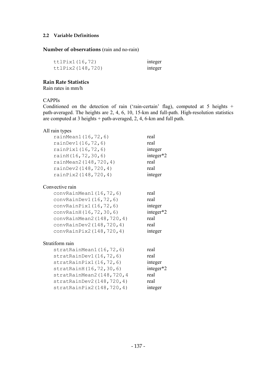## **2.2 Variable Definitions**

### **Number of observations** (rain and no-rain)

| ttlPix1(16,72)   | integer |
|------------------|---------|
| ttlPix2(148,720) | integer |

## **Rain Rate Statistics**

Rain rates in mm/h

## CAPPIs

Conditioned on the detection of rain ('rain-certain' flag), computed at 5 heights  $+$ path-averaged. The heights are 2, 4, 6, 10, 15-km and full-path. High-resolution statistics are computed at 3 heights + path-averaged, 2, 4, 6-km and full path.

## All rain types

| rainMean1 (16,72,6)         | real      |
|-----------------------------|-----------|
| rainDev1 (16,72,6)          | real      |
| rainPix1(16,72,6)           | integer   |
| rainH(16,72,30,6)           | integer*2 |
| rainMean2(148,720,4)        | real      |
| rainDev2 (148, 720, 4)      | real      |
| rainPix2(148,720,4)         | integer   |
| Convective rain             |           |
| convRainMean1(16, 72, 6)    | real      |
| convRainDev1(16, 72, 6)     | real      |
| convRainPix1 (16,72,6)      | integer   |
| convRainH (16, 72, 30, 6)   | integer*2 |
| convRainMean2 (148, 720, 4) | real      |
| convRainDev2 (148, 720, 4)  | real      |
| convRainPix2(148,720,4)     | integer   |
| Stratiform rain             |           |
| stratRainMean1(16,72,6)     | real      |
| stratRainDev1 (16,72,6)     | real      |
| stratRainPix1(16, 72, 6)    | integer   |
| stratRainH(16,72,30,6)      | integer*2 |
| stratRainMean2(148,720,4    | real      |
| stratRainDev2(148,720,4)    | real      |
| stratRainPix2(148,720,4)    | integer   |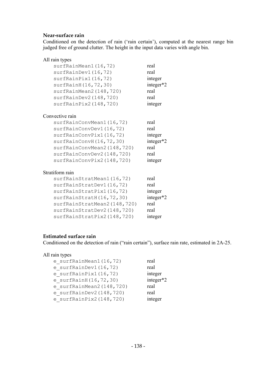## **Near-surface rain**

Conditioned on the detection of rain ('rain certain'), computed at the nearest range bin judged free of ground clutter. The height in the input data varies with angle bin.

| All rain types              |           |
|-----------------------------|-----------|
| surfRainMean1(16,72)        | real      |
| surfRainDev1 (16,72)        | real      |
| surfRainPix1(16,72)         | integer   |
| surfRainH (16,72,30)        | integer*2 |
| surfRainMean2(148,720)      | real      |
| surfRainDev2(148,720)       | real      |
| surfRainPix2(148,720)       | integer   |
| Convective rain             |           |
| surfRainConvMean1(16,72)    | real      |
| surfRainConvDev1 (16,72)    | real      |
| surfRainConvPix1(16,72)     | integer   |
| surfRainConvH(16,72,30)     | integer*2 |
| surfRainConvMean2(148,720)  | real      |
| surfRainConvDev2(148,720)   | real      |
| surfRainConvPix2(148,720)   | integer   |
| Stratiform rain             |           |
| surfRainStratMean1(16,72)   | real      |
| surfRainStratDev1 (16,72)   | real      |
| surfRainStratPix1(16,72)    | integer   |
| surfRainStratH(16,72,30)    | integer*2 |
| surfRainStratMean2(148,720) | real      |
| surfRainStratDev2 (148,720) | real      |
| surfRainStratPix2(148,720)  | integer   |

## **Estimated surface rain**

Conditioned on the detection of rain ("rain certain"), surface rain rate, estimated in 2A-25.

## All rain types

| e surfRainMean1(16,72)       | real      |
|------------------------------|-----------|
| e surfRainDev1 $(16, 72)$    | real      |
| e surfRainPix $1(16, 72)$    | integer   |
| e surfRainH $(16, 72, 30)$   | integer*2 |
| e surfRainMean2 $(148, 720)$ | real      |
| e surfRainDev $2(148, 720)$  | real      |
| e surfRainPix2 $(148, 720)$  | integer   |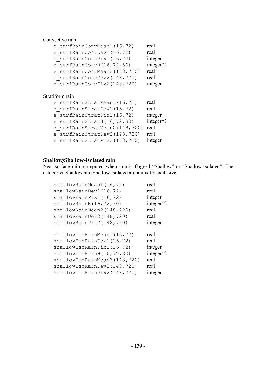## Convective rain

| e surfRainConvMean1 (16,72)<br>e surfRainConvDev1 (16,72)<br>e surfRainConvPix1(16,72)<br>e surfRainConvH $(16, 72, 30)$<br>e surfRainConvMean2 (148,720)<br>e surfRainConvDev2(148,720)<br>e surfRainConvPix2(148,720) | real<br>real<br>integer<br>integer*2<br>real<br>real<br>integer |
|-------------------------------------------------------------------------------------------------------------------------------------------------------------------------------------------------------------------------|-----------------------------------------------------------------|
| Stratiform rain                                                                                                                                                                                                         |                                                                 |
| e surfRainStratMean1 (16,72)                                                                                                                                                                                            | real                                                            |
| e surfRainStratDev1 (16,72)                                                                                                                                                                                             | real                                                            |
| e surfRainStratPix1(16,72)                                                                                                                                                                                              | integer                                                         |
| e surfRainStratH $(16, 72, 30)$                                                                                                                                                                                         | integer*2                                                       |
| e surfRainStratMean2 (148,720)                                                                                                                                                                                          | real                                                            |
| e surfRainStratDev2 (148,720)                                                                                                                                                                                           | real                                                            |
| e surfRainStratPix2(148,720)                                                                                                                                                                                            | integer                                                         |

## **Shallow/Shallow-isolated rain**

Near-surface rain, computed when rain is flagged "Shallow" or "Shallow-isolated". The categories Shallow and Shallow-isolated are mutually exclusive.

| shallowRainPix1(16,72)<br>shallowRainH(16, 72, 30)<br>shallowRainMean2(148,720)<br>shallowRainDev2(148,720)<br>shallowRainPix2(148,720) | integer*2<br>real<br>real<br>integer |
|-----------------------------------------------------------------------------------------------------------------------------------------|--------------------------------------|
| shallowIsoRainMean1(16,72)                                                                                                              | real                                 |
| shallowIsoRainDev1(16,72)                                                                                                               | real                                 |
| shallowIsoRainPix1(16,72)                                                                                                               | integer                              |
| shallowIsoRainH(16,72,30)                                                                                                               | integer*2                            |
| shallowIsoRainMean2(148,720)                                                                                                            | real                                 |
| shallowIsoRainDev2(148,720)                                                                                                             | real                                 |
| shallowIsoRainPix2(148,720)                                                                                                             | integer                              |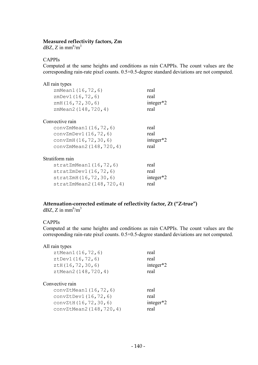### **Measured reflectivity factors, Zm**

 $dBZ$ , Z in mm<sup>6</sup>/m<sup>3</sup>

#### CAPPIs

Computed at the same heights and conditions as rain CAPPIs. The count values are the corresponding rain-rate pixel counts. 0.5×0.5-degree standard deviations are not computed.

| All rain types            |              |
|---------------------------|--------------|
| zmMean1 (16,72,6)         | real         |
| zmbev1(16, 72, 6)         | real         |
| zmH(16, 72, 30, 6)        | integer $*2$ |
| zmMean2(148,720,4)        | real         |
| Convective rain           |              |
| convZmMean1(16, 72, 6)    | real         |
| convZmDev1(16, 72, 6)     | real         |
| convZmH (16, 72, 30, 6)   | integer*2    |
| convZmMean2(148,720,4)    | real         |
| Stratiform rain           |              |
| stratZmMean1(16,72,6)     | real         |
| stratZmDev1(16, 72, 6)    | real         |
| stratZmH(16, 72, 30, 6)   | integer $*2$ |
| stratZmMean2(148, 720, 4) | real         |

### **Attenuation-corrected estimate of reflectivity factor, Zt ("Z-true")**   $dBZ$ , Z in mm<sup>6</sup>/m<sup>3</sup>

### CAPPIs

Computed at the same heights and conditions as rain CAPPIs. The count values are the corresponding rain-rate pixel counts. 0.5×0.5-degree standard deviations are not computed.

| All rain types            |              |
|---------------------------|--------------|
| ztMean1 (16,72,6)         | real         |
| ztDev1 (16,72,6)          | real         |
| ZtH(16, 72, 30, 6)        | integer*2    |
| ztMean2(148,720,4)        | real         |
|                           |              |
| Convective rain           |              |
| convZtMean1(16, 72, 6)    | real         |
| convZtDev1(16, 72, 6)     | real         |
| convZtH (16, 72, 30, 6)   | integer $*2$ |
| convZtMean2 (148, 720, 4) | real         |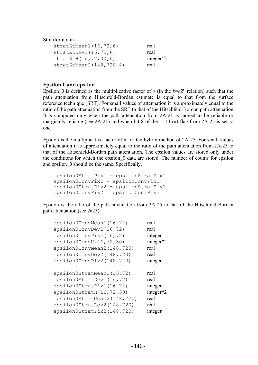#### Stratiform rain

| stratZtMean1(16, 72, 6)   | real         |
|---------------------------|--------------|
| stratztDev1 (16, 72, 6)   | real         |
| stratZtH(16, 72, 30, 6)   | integer $*2$ |
| stratZtMean2(148, 720, 4) | real         |

#### **Epsilon-0 and epsilon**

Epsilon\_0 is defined as the multiplicative factor of  $\alpha$  (in the  $k = \alpha Z^{\beta}$  relation) such that the path attenuation from Hitschfeld-Bordan estimate is equal to that from the surface reference technique (SRT). For small values of attenuation it is approximately equal to the ratio of the path attenuation from the SRT to that of the Hitschfeld-Bordan path attenuation. It is computed only when the path attenuation from 2A-21 is judged to be reliable or marginally reliable (see 2A-21) and when bit 8 of the method flag from 2A-25 is set to one.

Epsilon is the multiplicative factor of  $\alpha$  for the hybrid method of 2A-25. For small values of attenuation it is approximately equal to the ratio of the path attenuation from 2A-25 to that of the Hitschfeld-Bordan path attenuation. The epsilon values are stored only under the conditions for which the epsilon 0 data are stored. The number of counts for epsilon and epsilon\_0 should be the same. Specifically,

```
 epsilon0StratPix1 = epsilonStratPix1 
 epsilon0ConvPix1 = epsilonConvPix1 
 epsilon0StratPix2 = epsilonStratPix2 
 epsilon0ConvPix2 = epsilonConvPix2
```
Epsilon is the ratio of the path attenuation from 2A-25 to that of the Hitschfeld-Bordan path attenuation (see 2a25).

| epsilon0ConvMean1(16,72)    | real      |
|-----------------------------|-----------|
| epsilon0ConvDev1(16,72)     | real      |
| epsilon0ConvPix1(16,72)     | integer   |
| epsilon(16, 72, 30)         | integer*2 |
| epsilon0ConvMean2(148,720)  | real      |
| epsilon0ConvDev2(148,720)   | real      |
| epsilon0ConvPix2(148,720)   | integer   |
|                             |           |
| epsilon0StratMean1(16,72)   | real      |
| epsilon0StratDev1(16,72)    | real      |
| epsilon0StratPix1(16,72)    | integer   |
| epsilon0StratH(16,72,30)    | integer*2 |
| epsilon0StratMean2(148,720) | real      |
| epsilon0StratDev2(148,720)  | real      |
| epsilon0StratPix2(148,720)  | integer   |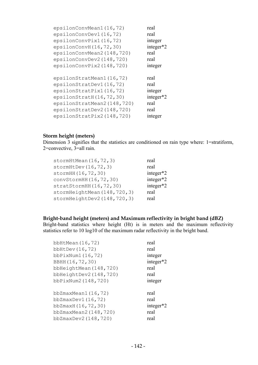| epsilonConvMean1(16,72)    | real      |
|----------------------------|-----------|
| epsilonConvDev1(16,72)     | real      |
| epsilonConvPix1(16,72)     | integer   |
| epsilonConvH(16,72,30)     | integer*2 |
| epsilonConvMean2(148,720)  | real      |
| epsilonConvDev2(148,720)   | real      |
| epsilonConvPix2(148,720)   | integer   |
|                            |           |
| epsilonStratMean1(16,72)   | real      |
| epsilonStratDev1(16,72)    | real      |
| epsilonStratPix1(16,72)    | integer   |
| epsilonStratH(16,72,30)    | integer*2 |
| epsilonStratMean2(148,720) | real      |
| epsilonStratDev2(148,720)  | real      |
|                            |           |
| epsilonStratPix2(148,720)  | integer   |

### **Storm height (meters)**

Dimension 3 signifies that the statistics are conditioned on rain type where: 1=stratiform, 2=convective, 3=all rain.

| stormHtMean $(16, 72, 3)$     | real      |
|-------------------------------|-----------|
| stormHtDev $(16, 72, 3)$      | real      |
| stormHH (16, 72, 30)          | integer*2 |
| convStormHH (16, 72, 30)      | integer*2 |
| stratStormHH(16,72,30)        | integer*2 |
| stormHeightMean(148,720,3)    | real      |
| stormHeightDev2 (148, 720, 3) | real      |

# **Bright-band height (meters) and Maximum reflectivity in bright band (dBZ)**

Bright-band statistics where height (Ht) is in meters and the maximum reflectivity statistics refer to 10 log10 of the maximum radar reflectivity in the bright band.

| bbHtMean $(16, 72)$        | real      |
|----------------------------|-----------|
| bbHtDev $(16, 72)$         | real      |
| bb $PixNum1(16, 72)$       | integer   |
| BBHH (16,72,30)            | integer*2 |
| bbHeightMean (148, 720)    | real      |
| bbHeightDev2 $(148, 720)$  | real      |
| bbPixNum2(148,720)         | integer   |
| bb $Z$ maxMean $1(16, 72)$ | real      |
| $bbZ$ maxDev $1(16, 72)$   | real      |
| bbZmaxH(16,72,30)          | integer*2 |
| bbZmaxMean2(148,720)       | real      |
| bbZmaxDev2 (148,720)       | real      |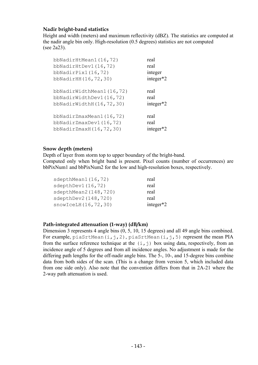### **Nadir bright-band statistics**

Height and width (meters) and maximum reflectivity (dBZ). The statistics are computed at the nadir angle bin only. High-resolution (0.5 degrees) statistics are not computed (see 2a23).

| bbNadirHtMean1(16,72)       | real      |
|-----------------------------|-----------|
| bbNadirHtDev1(16,72)        | real      |
| bbNadirPix1 $(16, 72)$      | integer   |
| bbNadirHH (16, 72, 30)      | integer*2 |
| bbNadirWidthMean1(16,72)    | real      |
| bbNadirWidthDev1(16,72)     | real      |
| bbNadirWidthH(16,72,30)     | integer*2 |
| bbNadirZmaxMean1(16,72)     | real      |
| bbNadirZmaxDev1 $(16, 72)$  | real      |
| bbNadirZmaxH $(16, 72, 30)$ | integer   |

#### **Snow depth (meters)**

Depth of layer from storm top to upper boundary of the bright-band.

Computed only when bright band is present. Pixel counts (number of occurrences) are bbPixNum1 and bbPixNum2 for the low and high-resolution boxes, respectively.

| sdepthMean1 (16,72)   | real         |
|-----------------------|--------------|
| sdepthDev1 (16,72)    | real         |
| sdepthMean2 (148,720) | real         |
| sdepthDev2 (148,720)  | real         |
| snowIceLH(16, 72, 30) | integer $*2$ |

#### **Path-integrated attenuation (1-way) (dB/km)**

Dimension 3 represents 4 angle bins (0, 5, 10, 15 degrees) and all 49 angle bins combined. For example, piaSrtMean(i,j,2), piaSrtMean(i,j,5) represent the mean PIA from the surface reference technique at the  $(i, j)$  box using data, respectively, from an incidence angle of 5 degrees and from all incidence angles. No adjustment is made for the differing path lengths for the off-nadir angle bins. The 5-, 10-, and 15-degree bins combine data from both sides of the scan. (This is a change from version 5, which included data from one side only). Also note that the convention differs from that in 2A-21 where the 2-way path attenuation is used.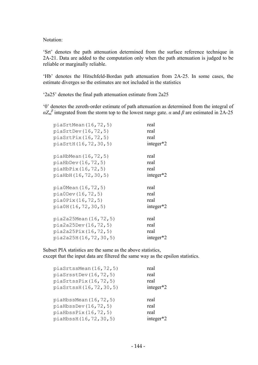Notation:

'Srt' denotes the path attenuation determined from the surface reference technique in 2A-21. Data are added to the computation only when the path attenuation is judged to be reliable or marginally reliable.

'Hb' denotes the Hitschfeld-Bordan path attenuation from 2A-25. In some cases, the estimate diverges so the estimates are not included in the statistics

'2a25' denotes the final path attenuation estimate from 2a25

'0' denotes the zeroth-order estimate of path attenuation as determined from the integral of  $\alpha Z_m^{\beta}$  integrated from the storm top to the lowest range gate. *α* and  $\beta$  are estimated in 2A-25

| piasrtMean(16, 72, 5)     | real         |
|---------------------------|--------------|
| piasrtDev(16, 72, 5)      | real         |
| piasrtFix(16, 72, 5)      | real         |
| piaSrtH(16,72,30,5)       | integer*2    |
| piaHbMean(16,72,5)        | real         |
| $pi$ aHbDev $(16, 72, 5)$ | real         |
| piaHbPix(16,72,5)         | real         |
| piaHbH(16,72,30,5)        | integer $*2$ |
| pia0Mean(16,72,5)         | real         |
| pia0Dev(16, 72, 5)        | real         |
| pia0Pix(16,72,5)          | real         |
| pia0H(16,72,30,5)         | integer $*2$ |
| pia2a25Mean(16,72,5)      | real         |
| pi2a25Dev(16, 72, 5)      | real         |
| pia2a25Pix(16,72,5)       | real         |
| pia2a25H(16,72,30,5)      | integer $*2$ |

Subset PIA statistics are the same as the above statistics, except that the input data are filtered the same way as the epsilon statistics.

| piasrtssMean(16, 72, 5)      | real           |
|------------------------------|----------------|
| piasrsstDev(16, 72, 5)       | real           |
| piasrtssFix(16, 72, 5)       | real           |
| piaSrtssH(16,72,30,5)        | integer $*2$   |
|                              |                |
| $pi$ aHbssMean $(16, 72, 5)$ | real           |
| piaHbssDev(16, 72, 5)        | real           |
| piaHbssPix(16, 72, 5)        | real           |
| piaHbssH(16,72,30,5)         | integer<br>r*2 |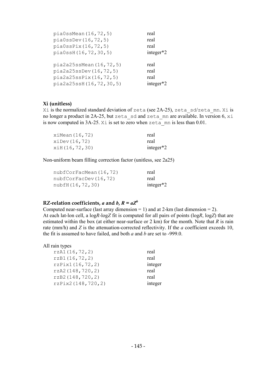| pia0ssMean(16, 72, 5)    | real         |
|--------------------------|--------------|
| pia0ssDev(16,72,5)       | real         |
| piaOssFix(16, 72, 5)     | real         |
| pia0ssH(16,72,30,5)      | integer $*2$ |
|                          |              |
| pia2a25ssMean(16, 72, 5) | real         |
| pia2a25ssDev(16, 72, 5)  | real         |
| pia2a25ssPix(16,72,5)    | real         |
|                          |              |
| pia2a25ssH(16,72,30,5)   | integer*2    |

### **Xi (unitless)**

Xi is the normalized standard deviation of zeta (see 2A-25), zeta\_sd/zeta\_mn. Xi is no longer a product in 2A-25, but zeta sd and zeta mn are available. In version 6, xi is now computed in 3A-25. X<sub>1</sub> is set to zero when  $z \neq \overline{z}$  mn is less than 0.01.

| $x$ iMean $(16, 72)$    | real         |
|-------------------------|--------------|
| $x\text{iDev} (16, 72)$ | real         |
| $x$ iH $(16, 72, 30)$   | integer $*2$ |

Non-uniform beam filling correction factor (unitless, see 2a25)

| nubfCorFacMean (16,72) | real         |
|------------------------|--------------|
| nubfCorFacDev(16, 72)  | real         |
| nubfH(16,72,30)        | integer $*2$ |

### **RZ-relation coefficients,** *a* **and** *b***,**  $R = aZ^b$

Computed near-surface (last array dimension  $= 1$ ) and at 2-km (last dimension  $= 2$ ). At each lat-lon cell, a log*R*-log*Z* fit is computed for all pairs of points (log*R*, log*Z*) that are estimated within the box (at either near-surface or 2 km) for the month. Note that *R* is rain rate (mm/h) and *Z* is the attenuation-corrected reflectivity. If the *a* coefficient exceeds 10, the fit is assumed to have failed, and both *a* and *b* are set to -999.0.

#### All rain types

| rzA1(16, 72, 2)   | real    |
|-------------------|---------|
| rzB1(16, 72, 2)   | real    |
| rzPix1(16,72,2)   | integer |
| rzA2(148, 720, 2) | real    |
| rzB2(148, 720, 2) | real    |
| rzPix2(148,720,2) | integer |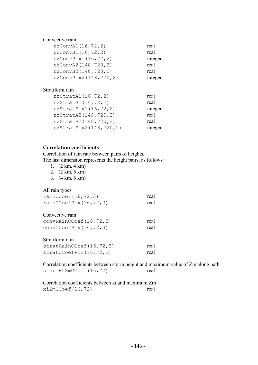### Convective rain

| rzConvA1 (16, 72, 2)   | real    |
|------------------------|---------|
| rzConvB1 (16,72,2)     | real    |
| rzConvPix1(16, 72, 2)  | integer |
| rzConvA2 (148, 720, 2) | real    |
| rzConvB2 (148,720,2)   | real    |
| rzConvPix2(148,720,2)  | integer |
|                        |         |
| $\alpha_{\text{turb}}$ |         |

# Stratiform rain

| rzStratAl(16, 72, 2)    | real    |
|-------------------------|---------|
| rzStratB1(16,72,2)      | real    |
| rzStratPix1(16, 72, 2)  | integer |
| rzStratA2 (148, 720, 2) | real    |
| rzStratB2 (148, 720, 2) | real    |
| rzStratPix2(148,720,2)  | integer |

### **Correlation coefficients**

Correlation of rain rate between pairs of heights. The last dimension represents the height pairs, as follows:

| $(2 \text{ km}, 4 \text{ km})$ |
|--------------------------------|
|                                |

2. (2 km, 6 km)

3. (4 km, 6 km)

| All rain types<br>rainCCoeff(16, 72, 3)<br>rainCCoefPix $(16, 72, 3)$     | real<br>real |
|---------------------------------------------------------------------------|--------------|
| Convective rain<br>convRainCCoef (16, 72, 3)<br>convCCoeffix(16, 72, 3)   | real<br>real |
| Stratiform rain<br>stratRainCCoeff(16, 72, 3)<br>stratCCoeffix(16, 72, 3) | real<br>real |

Correlation coefficients between storm height and maximum value of Zm along path stormHtZmCCoef(16,72) real

| Correlation coefficients between xi and maximum Zm |      |
|----------------------------------------------------|------|
| xiZmCCoef(16,72)                                   | real |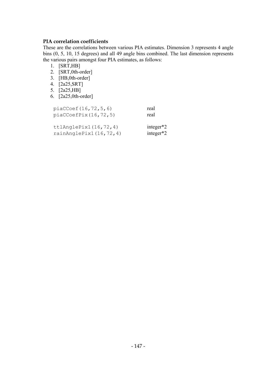### **PIA correlation coefficients**

These are the correlations between various PIA estimates. Dimension 3 represents 4 angle bins (0, 5, 10, 15 degrees) and all 49 angle bins combined. The last dimension represents the various pairs amongst four PIA estimates, as follows:

- 1. [SRT,HB]
- 2. [SRT,0th-order]
- 3. [HB,0th-order]
- 4. [2a25,SRT]
- 5. [2a25,HB]
- 6. [2a25,0th-order]

| piacCoef(16, 72, 5, 6)<br>piacCoefFix(16, 72, 5)     | real<br>real                 |
|------------------------------------------------------|------------------------------|
| ttlandleFix1(16,72,4)<br>rainAnglePix1 $(16, 72, 4)$ | integer $*2$<br>integer $*2$ |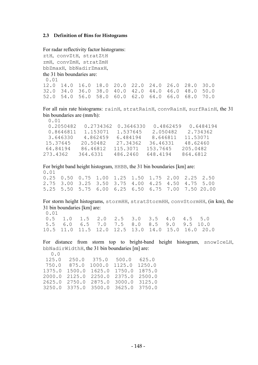#### **2.3 Definition of Bins for Histograms**

For radar reflectivity factor histograms: ztH, convZtH, stratZtH zmH, convZmH, stratZmH bbZmaxH, bbNadirZmaxH, the 31 bin boundaries are: 0.01 12.0 14.0 16.0 18.0 20.0 22.0 24.0 26.0 28.0 30.0 32.0 34.0 36.0 38.0 40.0 42.0 44.0 46.0 48.0 50.0 52.0 54.0 56.0 58.0 60.0 62.0 64.0 66.0 68.0 70.0

For all rain rate histograms: rainH, stratRainH, convRainH, surfRainH, the 31 bin boundaries are (mm/h):

| 0.01      |           |           |           |           |  |
|-----------|-----------|-----------|-----------|-----------|--|
| 0.2050482 | 0.2734362 | 0.3646330 | 0.4862459 | 0.6484194 |  |
| 0.8646811 | 1.153071  | 1.537645  | 2.050482  | 2.734362  |  |
| 3.646330  | 4.862459  | 6.484194  | 8.646811  | 11.53071  |  |
| 15.37645  | 20.50482  | 27.34362  | 36.46331  | 48.62460  |  |
| 64.84194  | 86.46812  | 115.3071  | 153.7645  | 205.0482  |  |
| 273.4362  | 364.6331  | 486.2460  | 648.4194  | 864.6812  |  |

For bright band height histogram, HHBB, the 31 bin boundaries [km] are:  $0.01$ <br> $0.25$   $0.50$ 0.75 1.00 1.25 1.50 1.75 2.00 2.25 2.50

|  | 2.75 3.00 3.25 3.50 3.75 4.00 4.25 4.50 4.75 5.00 |  |  |                                                    |  |
|--|---------------------------------------------------|--|--|----------------------------------------------------|--|
|  |                                                   |  |  | 5.25 5.50 5.75 6.00 6.25 6.50 6.75 7.00 7.50 20.00 |  |

For storm height histograms, stormHH, stratStormHH, convStormHH, (in km), the 31 bin boundaries [km] are:

 $0.01$ <br> $0.5$  0.5 1.0 1.5 2.0 2.5 3.0 3.5 4.0 4.5 5.0 5.5 6.0 6.5 7.0 7.5 8.0 8.5 9.0 9.5 10.0 10.5 11.0 11.5 12.0 12.5 13.0 14.0 15.0 16.0 20.0

For distance from storm top to bright-band height histogram, snowIceLH, bbNadirWidthH, the 31 bin boundaries [m] are:  $\cap$ 

| U.U    |        |        |                             |               |  |
|--------|--------|--------|-----------------------------|---------------|--|
| 125.0  | 250.0  | 375.0  | 500.0                       | 625.0         |  |
| 750.0  | 875.0  | 1000.0 | 1125.0                      | 1250.0        |  |
| 1375.0 | 1500.0 | 1625.0 | 1750.0                      | 1875.0        |  |
| 2000.0 | 2125.0 | 2250.0 | 2375.0                      | 2500.0        |  |
| 2625.0 | 2750.0 | 2875.0 |                             | 3000.0 3125.0 |  |
| 3250.0 |        |        | 3375.0 3500.0 3625.0 3750.0 |               |  |
|        |        |        |                             |               |  |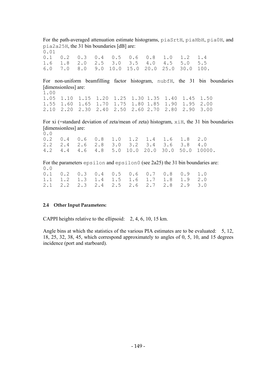For the path-averaged attenuation estimate histograms, piaSrtH, piaHbH, pia0H, and pia2a25H, the 31 bin boundaries [dB] are: 0.01

0.1 0.2 0.3 0.4 0.5 0.6 0.8 1.0 1.2 1.4 1.6 1.8 2.0 2.5 3.0 3.5 4.0 4.5 5.0 5.5 6.0 7.0 8.0 9.0 10.0 15.0 20.0 25.0 30.0 100.

For non-uniform beamfilling factor histogram, nubfH, the 31 bin boundaries [dimensionless] are:

 $\frac{1.00}{1.05}$ 1.05 1.10 1.15 1.20 1.25 1.30 1.35 1.40 1.45 1.50 1.55 1.60 1.65 1.70 1.75 1.80 1.85 1.90 1.95 2.00 2.10 2.20 2.30 2.40 2.50 2.60 2.70 2.80 2.90 3.00

For xi (=standard deviation of zeta/mean of zeta) histogram,  $x \text{ iH}$ , the 31 bin boundaries [dimensionless] are:

0.0 0.2 0.4 0.6 0.8 1.0 1.2 1.4 1.6 1.8 2.0 2.2 2.4 2.6 2.8 3.0 3.2 3.4 3.6 3.8 4.0 4.2 4.4 4.6 4.8 5.0 10.0 20.0 30.0 50.0 10000.

For the parameters epsilon and epsilon0 (see 2a25) the 31 bin boundaries are: 0.0

|  |  |  |  | $0.1$ 0.2 0.3 0.4 0.5 0.6 0.7 0.8 0.9 1.0 |  |
|--|--|--|--|-------------------------------------------|--|
|  |  |  |  | 1.1 1.2 1.3 1.4 1.5 1.6 1.7 1.8 1.9 2.0   |  |
|  |  |  |  | 2.1 2.2 2.3 2.4 2.5 2.6 2.7 2.8 2.9 3.0   |  |

#### **2.4 Other Input Parameters:**

CAPPI heights relative to the ellipsoid: 2, 4, 6, 10, 15 km.

Angle bins at which the statistics of the various PIA estimates are to be evaluated: 5, 12, 18, 25, 32, 38, 45, which correspond approximately to angles of 0, 5, 10, and 15 degrees incidence (port and starboard).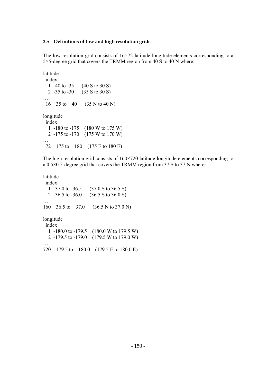#### **2.5 Definitions of low and high resolution grids**

The low resolution grid consists of  $16\times72$  latitude-longitude elements corresponding to a 5×5-degree grid that covers the TRMM region from 40 S to 40 N where:

```
latitude 
  index 
   1 -40 to -35 (40 S to 30 S) 
   2 -35 to -30 (35 S to 30 S) 
… 
  16 35 to 40 (35 N to 40 N) 
longitude 
  index 
   1 -180 to -175 (180 W to 175 W) 
   2 -175 to -170 (175 W to 170 W) 
… 
  72 175 to 180 (175 E to 180 E)
```
The high resolution grid consists of 160×720 latitude-longitude elements corresponding to a 0.5×0.5-degree grid that covers the TRMM region from 37 S to 37 N where:

latitude index 1 -37.0 to -36.5 (37.0 S to 36.5 S) 2 -36.5 to -36.0 (36.5 S to 36.0 S) … 160 36.5 to 37.0 (36.5 N to 37.0 N) longitude index 1 -180.0 to -179.5 (180.0 W to 179.5 W) 2 -179.5 to -179.0 (179.5 W to 179.0 W) … 720 179.5 to 180.0 (179.5 E to 180.0 E)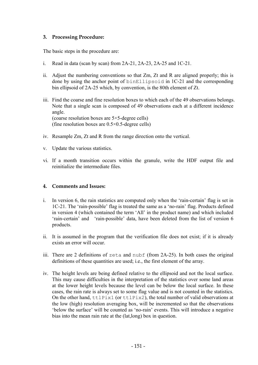### **3. Processing Procedure:**

The basic steps in the procedure are:

- i. Read in data (scan by scan) from 2A-21, 2A-23, 2A-25 and 1C-21.
- ii. Adjust the numbering conventions so that  $Zm$ . Zt and R are aligned properly; this is done by using the anchor point of binEllipsoid in 1C-21 and the corresponding bin ellipsoid of 2A-25 which, by convention, is the 80th element of Zt.
- iii. Find the coarse and fine resolution boxes to which each of the 49 observations belongs. Note that a single scan is composed of 49 observations each at a different incidence angle. (coarse resolution boxes are 5×5-degree cells) (fine resolution boxes are 0.5×0.5-degree cells)
- iv. Resample Zm, Zt and R from the range direction onto the vertical.
- v. Update the various statistics.
- vi. If a month transition occurs within the granule, write the HDF output file and reinitialize the intermediate files.

#### **4. Comments and Issues:**

- i. In version 6, the rain statistics are computed only when the 'rain-certain' flag is set in 1C-21. The 'rain-possible' flag is treated the same as a 'no-rain' flag. Products defined in version 4 (which contained the term 'All' in the product name) and which included 'rain-certain' and 'rain-possible' data, have been deleted from the list of version 6 products.
- ii. It is assumed in the program that the verification file does not exist; if it is already exists an error will occur.
- iii. There are 2 definitions of zeta and nubf (from  $2A-25$ ). In both cases the original definitions of these quantities are used; i.e., the first element of the array.
- iv. The height levels are being defined relative to the ellipsoid and not the local surface. This may cause difficulties in the interpretation of the statistics over some land areas at the lower height levels because the level can be below the local surface. In these cases, the rain rate is always set to some flag value and is not counted in the statistics. On the other hand,  $ttlPix1$  (or  $ttlPix2$ ), the total number of valid observations at the low (high) resolution averaging box, will be incremented so that the observations 'below the surface' will be counted as 'no-rain' events. This will introduce a negative bias into the mean rain rate at the (lat,long) box in question.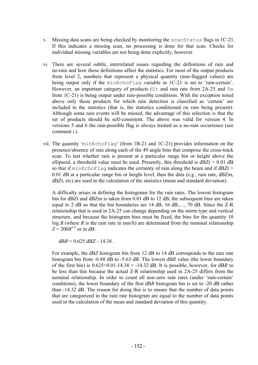- v. Missing data scans are being checked by monitoring the scanStatus flags in 1C-21. If this indicates a missing scan, no processing is done for that scan. Checks for individual missing variables are not being done explicitly, however.
- vi. There are several subtle, interrelated issues regarding the definitions of rain and no-rain and how these definitions affect the statistics. For most of the output products from level 2, numbers that represent a physical quantity (non-flagged values) are being output only if the minEchoFlag variable in 1C-21 is set to 'rain-certain'. However, an important category of products ( $Zt$  and rain rate from 2A-25 and  $Zm$ from 1C-21) is being output under rain-possible conditions. With the exception noted above only those products for which rain detection is classified as 'certain' are included in the statistics (that is, the statistics conditioned on rain being present). Although some rain events will be missed, the advantage of this selection is that the set of products should be self-consistent. The above was valid for version 4. In versions 5 and 6 the rain-possible flag is always treated as a no-rain occurrence (see comment i.).
- vii. The quantity 'minEchoFlag' (from 1B-21 and 1C-21) provides information on the presence/absence of rain along each of the 49 angle bins that comprise the cross-track scan. To test whether rain is present at a particular range bin or height above the ellipsoid, a threshold value must be used. Presently, this threshold is  $dBZt > 0.01$  dB so that if minEchoFlag indicates the certainty of rain along the beam and if dBZt > 0.01 dB at a particular range bin or height level, then the data (e.g., rain rate, dBZm, dBZt, etc) are used in the calculation of the statistics (mean and standard deviation).

A difficulty arises in defining the histograms for the rain rates. The lowest histogram bin for dBZt and dBZm is taken from 0.01 dB to 12 dB; the subsequent bins are taken equal to 2 dB so that the bin boundaries are 14 dB, 16 dB,…, 70 dB. Since the Z-R relationship that is used in 2A-25 can change depending on the storm type and vertical structure, and because the histogram bins must be fixed, the bins for the quantity 10  $log R$  (where *R* is the rain rate in mm/h) are determined from the nominal relationship  $Z = 200R^{1.6}$  or in dB:

 $dBR = 0.625$  dBZ - 14.38.

For example, the dB*Z* histogram bin from 12 dB to 14 dB corresponds to the rain rate histogram bin from -6.88 dB to -5.63 dB. The lowest dB*R* value (the lower boundary of the first bin) is  $0.625 \times 0.01 - 14.38 = -14.32$  dB. It is possible, however, for dBR to be less than this because the actual Z-R relationship used in 2A-25 differs from the nominal relationship. In order to count all non-zero rain rates (under 'rain-certain' conditions), the lower boundary of the first dB*R* histogram bin is set to -20 dB rather than -14.32 dB. The reason for doing this is to ensure that the number of data points that are categorized in the rain rate histogram are equal to the number of data points used in the calculation of the mean and standard deviation of this quantity.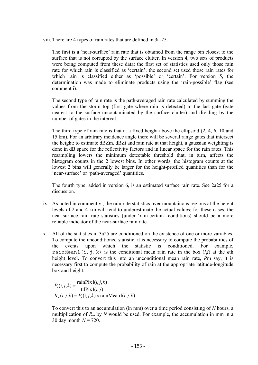viii. There are 4 types of rain rates that are defined in 3a-25.

The first is a 'near-surface' rain rate that is obtained from the range bin closest to the surface that is not corrupted by the surface clutter. In version 4, two sets of products were being computed from these data: the first set of statistics used only those rain rate for which rain is classified as 'certain'; the second set used those rain rates for which rain is classified either as 'possible' or 'certain'. For version 5, the determination was made to eliminate products using the 'rain-possible' flag (see comment i).

The second type of rain rate is the path-averaged rain rate calculated by summing the values from the storm top (first gate where rain is detected) to the last gate (gate nearest to the surface uncontaminated by the surface clutter) and dividing by the number of gates in the interval.

The third type of rain rate is that at a fixed height above the ellipsoid (2, 4, 6, 10 and 15 km). For an arbitrary incidence angle there will be several range gates that intersect the height: to estimate dBZm, dBZt and rain rate at that height, a gaussian weighting is done in dB space for the reflectivity factors and in linear space for the rain rates. This resampling lowers the minimum detectable threshold that, in turn, affects the histogram counts in the 2 lowest bins. In other words, the histogram counts at the lowest 2 bins will generally be larger for the height-profiled quantities than for the 'near-surface' or 'path-averaged' quantities.

The fourth type, added in version 6, is an estimated surface rain rate. See 2a25 for a discussion.

- ix. As noted in comment v., the rain rate statistics over mountainous regions at the height levels of 2 and 4 km will tend to underestimate the actual values; for these cases, the near-surface rain rate statistics (under 'rain-certain' conditions) should be a more reliable indicator of the near-surface rain rate.
- x. All of the statistics in 3a25 are conditioned on the existence of one or more variables. To compute the unconditioned statistic, it is necessary to compute the probabilities of the events upon which the statistic is conditioned. For example, rainMean1(i,j,k) is the conditional mean rain rate in the box  $(i,j)$  at the kth height level. To convert this into an unconditional mean rain rate, *R*m say, it is necessary first to compute the probability of rain at the appropriate latitude-longitude box and height:

$$
P_r(i, j, k) = \frac{\operatorname{rain} \operatorname{Fix} 1(i, j, k)}{\operatorname{ttl} \operatorname{Fix} 1(i, j)}
$$

$$
R_m(i, j, k) = P_r(i, j, k) \times \operatorname{rainMean} 1(i, j, k)
$$

To convert this to an accumulation (in mm) over a time period consisting of *N* hours, a multiplication of  $R_m$  by  $N$  would be used. For example, the accumulation in mm in a 30 day month *N* = 720.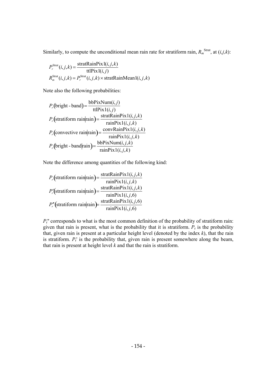Similarly, to compute the unconditional mean rain rate for stratiform rain,  $R_m^{\text{Strat}}$ , at  $(i,j,k)$ :

$$
P_r^{\text{Strat}}(i,j,k) = \frac{\text{stratRainPix1}(i,j,k)}{\text{ttIPix1}(i,j)}
$$

$$
R_m^{\text{Strat}}(i,j,k) = P_r^{\text{Strat}}(i,j,k) \times \text{stratRainMean1}(i,j,k)
$$

Note also the following probabilities:

$$
P_r(\text{bright-band}) = \frac{\text{bbP} \text{fixNum}(i,j)}{\text{ttI} \text{Fix} 1(i,j)}
$$
\n
$$
P_r(\text{stratiform rain}|\text{rain}) = \frac{\text{stratRainFix} 1(i,j,k)}{\text{rainFix} 1(i,j,k)}
$$
\n
$$
P_r(\text{convective rain}|\text{rain}) = \frac{\text{convRainFix} 1(i,j,k)}{\text{rainFix} 1(i,j,k)}
$$
\n
$$
P_r(\text{bright-band}|\text{rain}) = \frac{\text{bbP} \text{fixNum}(i,j,k)}{\text{rainFix} 1(i,j,k)}
$$

Note the difference among quantities of the following kind:

$$
P_r(\text{stratiform rain}|\text{rain}) = \frac{\text{stratRainFix1}(i,j,k)}{\text{rainFix1}(i,j,k)}
$$

$$
P'_r(\text{stratiform rain}|\text{rain}) = \frac{\text{stratRainFix1}(i,j,k)}{\text{rainFix1}(i,j,6)}
$$

$$
P''_r(\text{stratiform rain}|\text{rain}) = \frac{\text{stratRainFix1}(i,j,6)}{\text{rainFix1}(i,j,6)}
$$

 $P_{r}$ <sup>"</sup> corresponds to what is the most common definition of the probability of stratiform rain: given that rain is present, what is the probability that it is stratiform.  $P_r$  is the probability that, given rain is present at a particular height level (denoted by the index *k*), that the rain is stratiform.  $P_r$ <sup>t</sup> is the probability that, given rain is present somewhere along the beam, that rain is present at height level  $k$  and that the rain is stratiform.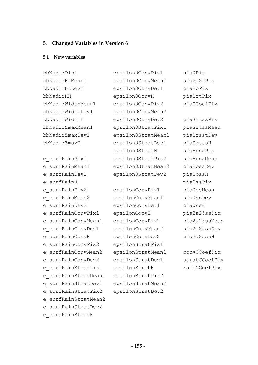#### **5. Changed Variables in Version 6**

#### **5.1 New variables**

bbNadirPix1 bbNadirHtMean1 bbNadirHtDev1 bbNadirHH bbNadirWidthMean1 bbNadirWidthDev1 bbNadirWidthH bbNadirZmaxMean1 bbNadirZmaxDev1 bbNadirZmaxH e\_surfRainPix1 e\_surfRainMean1 e\_surfRainDev1 e\_surfRainH e\_surfRainPix2 e\_surfRainMean2 e\_surfRainDev2 e\_surfRainConvPix1 e\_surfRainConvMean1 e\_surfRainConvDev1 e\_surfRainConvH e\_surfRainConvPix2 e\_surfRainConvMean2 e\_surfRainConvDev2 e\_surfRainStratPix1 e\_surfRainStratMean1 e\_surfRainStratDev1 e\_surfRainStratPix2 e\_surfRainStratMean2 e\_surfRainStratDev2 e\_surfRainStratH

epsilon0ConvPix1 epsilon0ConvMean1 epsilon0ConvDev1 epsilon0ConvH epsilon0ConvPix2 epsilon0ConvMean2 epsilon0ConvDev2 epsilon0StratPix1 epsilon0StratMean1 epsilon0StratDev1 epsilon0StratH epsilon0StratPix2 epsilon0StratMean2 epsilon0StratDev2

epsilonConvPix1 epsilonConvMean1 epsilonConvDev1 epsilonConvH epsilonConvPix2 epsilonConvMean2 epsilonConvDev2 epsilonStratPix1 epsilonStratMean1 epsilonStratDev1 epsilonStratH epsilonStratPix2 epsilonStratMean2 epsilonStratDev2

pia0Pix pia2a25Pix piaHbPix piaSrtPix piaCCoefPix

piaSrtssPix piaSrtssMean piaSrsstDev piaSrtssH piaHbssPix piaHbssMean piaHbssDev piaHbssH pia0ssPix pia0ssMean pia0ssDev pia0ssH pia2a25ssPix pia2a25ssMean pia2a25ssDev pia2a25ssH

convCCoefPix stratCCoefPix rainCCoefPix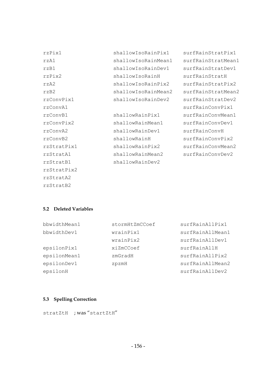| rzPix1      | shallowIsoRainPix1  | surfRainStratPix1  |
|-------------|---------------------|--------------------|
| rzA1        | shallowIsoRainMean1 | surfRainStratMean1 |
| rzB1        | shallowIsoRainDev1  | surfRainStratDev1  |
| rzPix2      | shallowIsoRainH     | surfRainStratH     |
| rzA2        | shallowIsoRainPix2  | surfRainStratPix2  |
| rzB2        | shallowIsoRainMean2 | surfRainStratMean2 |
| rzConvPix1  | shallowIsoRainDev2  | surfRainStratDev2  |
| rzConvA1    |                     | surfRainConvPix1   |
| rzConvB1    | shallowRainPix1     | surfRainConvMean1  |
| rzConvPix2  | shallowRainMean1    | surfRainConvDev1   |
| rzConvA2    | shallowRainDev1     | surfRainConvH      |
| rzConvB2    | shallowRainH        | surfRainConvPix2   |
| rzStratPix1 | shallowRainPix2     | surfRainConvMean2  |
| rzStratA1   | shallowRainMean2    | surfRainConvDev2   |
| rzStratB1   | shallowRainDev2     |                    |
| rzStratPix2 |                     |                    |
| rzStratA2   |                     |                    |
| rzStratB2   |                     |                    |

#### **5.2 Deleted Variables**

| bbwidthMean1 | stormHtZmCCoef | surfRainAllPix1  |
|--------------|----------------|------------------|
| bbwidthDev1  | wrainPix1      | surfRainAllMean1 |
|              | wrainPix2      | surfRainAllDev1  |
| epsilonPix1  | xiZmCCoef      | surfRainAllH     |
| epsilonMean1 | zmGradH        | surfRainAllPix2  |
| epsilonDev1  | zpzmH          | surfRainAllMean2 |
| epsilonH     |                | surfRainAllDev2  |

### **5.3 Spelling Correction**

stratZtH ; was "startZtH"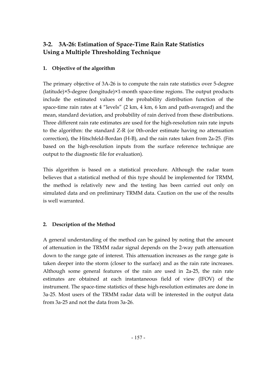# **3-2. 3A-26: Estimation of Space-Time Rain Rate Statistics Using a Multiple Thresholding Technique**

# **1. Objective of the algorithm**

The primary objective of 3A-26 is to compute the rain rate statistics over 5-degree (latitude)×5-degree (longitude)×1-month space-time regions. The output products include the estimated values of the probability distribution function of the space-time rain rates at 4 "levels" (2 km, 4 km, 6 km and path-averaged) and the mean, standard deviation, and probability of rain derived from these distributions. Three different rain rate estimates are used for the high-resolution rain rate inputs to the algorithm: the standard Z-R (or 0th-order estimate having no attenuation correction), the Hitschfeld-Bordan (H-B), and the rain rates taken from 2a-25. (Fits based on the high-resolution inputs from the surface reference technique are output to the diagnostic file for evaluation).

This algorithm is based on a statistical procedure. Although the radar team believes that a statistical method of this type should be implemented for TRMM, the method is relatively new and the testing has been carried out only on simulated data and on preliminary TRMM data. Caution on the use of the results is well warranted.

# **2. Description of the Method**

A general understanding of the method can be gained by noting that the amount of attenuation in the TRMM radar signal depends on the 2-way path attenuation down to the range gate of interest. This attenuation increases as the range gate is taken deeper into the storm (closer to the surface) and as the rain rate increases. Although some general features of the rain are used in 2a-25, the rain rate estimates are obtained at each instantaneous field of view (IFOV) of the instrument. The space-time statistics of these high-resolution estimates are done in 3a-25. Most users of the TRMM radar data will be interested in the output data from 3a-25 and not the data from 3a-26.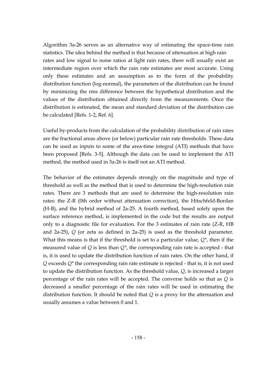Algorithm 3a-26 serves as an alternative way of estimating the space-time rain statistics. The idea behind the method is that because of attenuation at high rain rates and low signal to noise ratios at light rain rates, there will usually exist an intermediate region over which the rain rate estimates are most accurate. Using only these estimates and an assumption as to the form of the probability distribution function (log-normal), the parameters of the distribution can be found by minimizing the rms difference between the hypothetical distribution and the values of the distribution obtained directly from the measurements. Once the distribution is estimated, the mean and standard deviation of the distribution can be calculated [Refs. 1-2, Ref. 6].

Useful by-products from the calculation of the probability distribution of rain rates are the fractional areas above (or below) particular rain rate thresholds. These data can be used as inputs to some of the area-time integral (ATI) methods that have been proposed [Refs. 3-5]. Although the data can be used to implement the ATI method, the method used in 3a-26 is itself not an ATI method.

The behavior of the estimates depends strongly on the magnitude and type of threshold as well as the method that is used to determine the high-resolution rain rates. There are 3 methods that are used to determine the high-resolution rain rates: the Z-R (0th order without attenuation correction), the Hitschfeld-Bordan (H-B), and the hybrid method of 2a-25. A fourth method, based solely upon the surface reference method, is implemented in the code but the results are output only to a diagnostic file for evaluation. For the 3 estimates of rain rate (Z-R, HB and 2a-25), *Q* (or zeta as defined in 2a-25) is used as the threshold parameter. What this means is that if the threshold is set to a particular value, *Q\**, then if the measured value of *Q* is less than *Q\**, the corresponding rain rate is accepted - that is, it is used to update the distribution function of rain rates. On the other hand, if *Q* exceeds *Q\** the corresponding rain rate estimate is rejected - that is, it is not used to update the distribution function. As the threshold value, *Q*, is increased a larger percentage of the rain rates will be accepted. The converse holds so that as *Q* is decreased a smaller percentage of the rain rates will be used in estimating the distribution function. It should be noted that *Q* is a proxy for the attenuation and usually assumes a value between 0 and 1.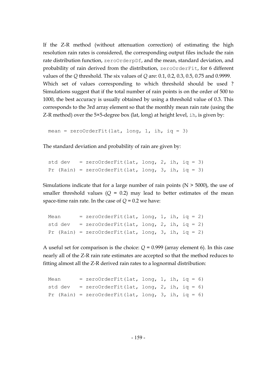If the Z-R method (without attenuation correction) of estimating the high resolution rain rates is considered, the corresponding output files include the rain rate distribution function, zeroOrderpDf, and the mean, standard deviation, and probability of rain derived from the distribution, zeroOrderFit, for 6 different values of the *Q* threshold. The six values of *Q* are: 0.1, 0.2, 0.3, 0.5, 0.75 and 0.9999. Which set of values corresponding to which threshold should be used ? Simulations suggest that if the total number of rain points is on the order of 500 to 1000, the best accuracy is usually obtained by using a threshold value of 0.3. This corresponds to the 3rd array element so that the monthly mean rain rate (using the Z-R method) over the 5×5-degree box (lat, long) at height level, ih, is given by:

mean = zeroOrderFit(lat, long, 1, ih, iq = 3)

The standard deviation and probability of rain are given by:

```
std dev = zeroOrderFit(lat, long, 2, ih, iq = 3)
Pr (Rain) = zeroOrderFit(lat, long, 3, ih, iq = 3)
```
Simulations indicate that for a large number of rain points  $(N > 5000)$ , the use of smaller threshold values  $(Q = 0.2)$  may lead to better estimates of the mean space-time rain rate. In the case of  $Q = 0.2$  we have:

| Mean    | $=$ zeroOrderFit(lat, long, 1, ih, iq = 2)            |  |  |
|---------|-------------------------------------------------------|--|--|
| std dev | $=$ zeroOrderFit(lat, long, 2, ih, iq = 2)            |  |  |
|         | Pr (Rain) = $zeroOrderFit$ (lat, long, 3, ih, iq = 2) |  |  |

A useful set for comparison is the choice:  $Q = 0.999$  (array element 6). In this case nearly all of the Z-R rain rate estimates are accepted so that the method reduces to fitting almost all the Z-R derived rain rates to a lognormal distribution:

| Mean    | $=$ zeroOrderFit(lat, long, 1, ih, iq = 6)         |  |  |
|---------|----------------------------------------------------|--|--|
| std dev | = zeroOrderFit(lat, long, 2, ih, iq = 6)           |  |  |
|         | Pr (Rain) = zeroOrderFit(lat, long, 3, ih, iq = 6) |  |  |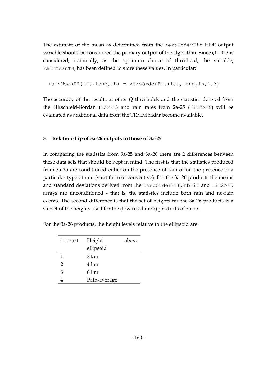The estimate of the mean as determined from the zeroOrderFit HDF output variable should be considered the primary output of the algorithm. Since *Q* = 0.3 is considered, nominally, as the optimum choice of threshold, the variable, rainMeanTH, has been defined to store these values. In particular:

```
 rainMeanTH(lat,long,ih) = zeroOrderFit(lat,long,ih,1,3)
```
The accuracy of the results at other *Q* thresholds and the statistics derived from the Hitschfeld-Bordan (hbFit) and rain rates from 2a-25 (fit2A25) will be evaluated as additional data from the TRMM radar become available.

### **3. Relationship of 3a-26 outputs to those of 3a-25**

In comparing the statistics from 3a-25 and 3a-26 there are 2 differences between these data sets that should be kept in mind. The first is that the statistics produced from 3a-25 are conditioned either on the presence of rain or on the presence of a particular type of rain (stratiform or convective). For the 3a-26 products the means and standard deviations derived from the zeroOrderFit, hbFit and fit2A25 arrays are unconditioned - that is, the statistics include both rain and no-rain events. The second difference is that the set of heights for the 3a-26 products is a subset of the heights used for the (low resolution) products of 3a-25.

| hlevel | Height       | above |
|--------|--------------|-------|
|        | ellipsoid    |       |
| 1      | 2 km         |       |
| 2      | 4 km         |       |
| 3      | 6 km         |       |
|        | Path-average |       |

For the 3a-26 products, the height levels relative to the ellipsoid are: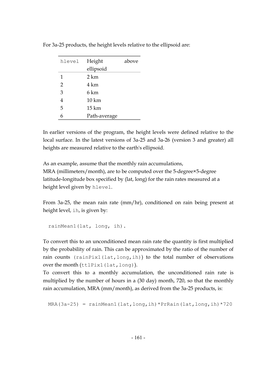| hlevel         | Height           | above |
|----------------|------------------|-------|
|                | ellipsoid        |       |
| 1              | 2 km             |       |
| 2              | 4 km             |       |
| 3              | 6 km             |       |
| $\overline{4}$ | 10 km            |       |
| 5              | $15 \mathrm{km}$ |       |
| 6              | Path-average     |       |

For 3a-25 products, the height levels relative to the ellipsoid are:

In earlier versions of the program, the height levels were defined relative to the local surface. In the latest versions of 3a-25 and 3a-26 (version 3 and greater) all heights are measured relative to the earth's ellipsoid.

As an example, assume that the monthly rain accumulations, MRA (millimeters/month), are to be computed over the 5-degree×5-degree latitude-longitude box specified by (lat, long) for the rain rates measured at a height level given by hlevel.

From 3a-25, the mean rain rate (mm/hr), conditioned on rain being present at height level, ih, is given by:

```
 rainMean1(lat, long, ih).
```
To convert this to an unconditioned mean rain rate the quantity is first multiplied by the probability of rain. This can be approximated by the ratio of the number of rain counts  $(rainPix1(lat,long,ih))$  to the total number of observations over the month (ttlPix1(lat,long)).

To convert this to a monthly accumulation, the unconditioned rain rate is multiplied by the number of hours in a (30 day) month, 720, so that the monthly rain accumulation, MRA (mm/month), as derived from the 3a-25 products, is:

MRA(3a-25) = rainMean1(lat,long,ih)\*PrRain(lat,long,ih)\*720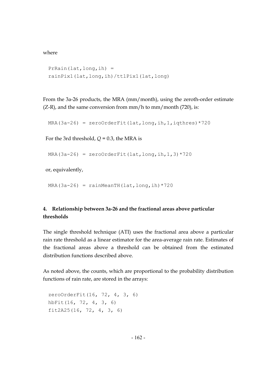where

```
 PrRain(lat,long,ih) = 
 rainPix1(lat,long,ih)/ttlPix1(lat,long)
```
From the 3a-26 products, the MRA (mm/month), using the zeroth-order estimate  $(Z-R)$ , and the same conversion from mm/h to mm/month  $(720)$ , is:

```
MRA(3a-26) = zeroOrderFit(lat,long,ih,1,igthres) *720
```
For the 3rd threshold,  $Q = 0.3$ , the MRA is

```
MRA(3a-26) = zeroOrderFit(lat,long,ih,1,3) *720
```
or, equivalently,

MRA(3a-26) =  $rainMeanTH(lat, long, ih)*720$ 

# **4. Relationship between 3a-26 and the fractional areas above particular thresholds**

The single threshold technique (ATI) uses the fractional area above a particular rain rate threshold as a linear estimator for the area-average rain rate. Estimates of the fractional areas above a threshold can be obtained from the estimated distribution functions described above.

As noted above, the counts, which are proportional to the probability distribution functions of rain rate, are stored in the arrays:

```
 zeroOrderFit(16, 72, 4, 3, 6) 
 hbFit(16, 72, 4, 3, 6) 
 fit2A25(16, 72, 4, 3, 6)
```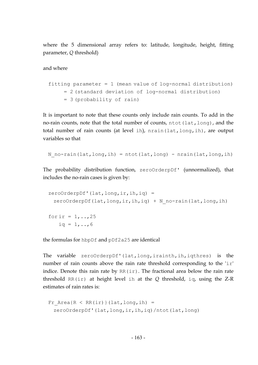where the 5 dimensional array refers to: latitude, longitude, height, fitting parameter, *Q* threshold)

and where

```
fitting parameter = 1 (mean value of log-normal distribution)
      = 2 (standard deviation of log-normal distribution) 
      = 3 (probability of rain)
```
It is important to note that these counts only include rain counts. To add in the no-rain counts, note that the total number of counts, ntot (lat, long), and the total number of rain counts (at level ih), nrain(lat,long,ih), are output variables so that

```
N no-rain(lat,long,ih) = ntot(lat,long) - nrain(lat,long,ih)
```
The probability distribution function, zeroOrderpDf' (unnormalized), that includes the no-rain cases is given by:

```
zeroOrderpDf' (lat, long, ir, ih, iq) =zeroOrderpDf(lat,long,ir,ih,iq) + N_no-rain(lat,long,ih)
for ir = 1, ..., 25iq = 1, . . , 6
```
the formulas for hbpDf and pDf2a25 are identical

The variable zeroOrderpDf'(lat,long,irainth,ih,iqthres) is the number of rain counts above the rain rate threshold corresponding to the 'ir' indice. Denote this rain rate by  $RR(ir)$ . The fractional area below the rain rate threshold RR(ir) at height level ih at the *Q* threshold, iq, using the Z-R estimates of rain rates is:

```
Fr Area{R < RR(ir)}(lat, long, ih) =
  zeroOrderpDf'(lat,long,ir,ih,iq)/ntot(lat,long)
```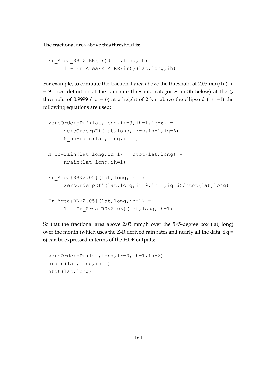The fractional area above this threshold is:

```
Fr Area RR > RR(ir)(lat,long,ih) =
     1 - Fr Area{R < RR(ir)}(lat,long,ih)
```
For example, to compute the fractional area above the threshold of 2.05 mm/h  $(ir)$ = 9 - see definition of the rain rate threshold categories in 3b below) at the *Q* threshold of 0.9999 ( $iq = 6$ ) at a height of 2 km above the ellipsoid (ih =1) the following equations are used:

```
zeroOrderpDf' (lat, long, ir=9, ih=1, iq=6) = zeroOrderpDf(lat,long,ir=9,ih=1,iq=6) + 
     N no-rain(lat, long, ih=1)
N no-rain(lat,long,ih=1) = ntot(lat,long) -
      nrain(lat,long,ih=1) 
Fr Area{RR<2.05}(lat,long,ih=1) =
      zeroOrderpDf'(lat,long,ir=9,ih=1,iq=6)/ntot(lat,long) 
Fr Area{RR>2.05}(lat,long,ih=1) =
     1 - Fr Area{RR<2.05}(lat, long, ih=1)
```
So that the fractional area above 2.05 mm/h over the 5×5-degree box (lat, long) over the month (which uses the Z-R derived rain rates and nearly all the data,  $iq =$ 6) can be expressed in terms of the HDF outputs:

```
 zeroOrderpDf(lat,long,ir=9,ih=1,iq=6) 
 nrain(lat,long,ih=1) 
 ntot(lat,long)
```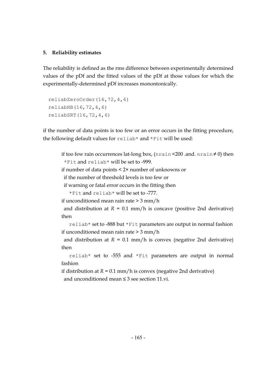### **5. Reliability estimates**

The reliability is defined as the rms difference between experimentally determined values of the pDf and the fitted values of the pDf at those values for which the experimentally-determined pDf increases monontonically.

```
 reliabZeroOrder(16,72,4,6) 
 reliabHB(16,72,4,6) 
 reliabSRT(16,72,4,6)
```
if the number of data points is too few or an error occurs in the fitting procedure, the following default values for reliab\* and \*Fit will be used:

```
if too few rain occurrences lat-long box, (nrain <200 .and. nrain \neq 0) then
 *Fit and reliab* will be set to -999. 
if number of data points < 2× number of unknowns or 
  if the number of threshold levels is too few or 
  if warning or fatal error occurs in the fitting then 
    *Fit and reliab* will be set to -777. 
if unconditioned mean rain rate > 3 mm/h 
 and distribution at R = 0.1 mm/h is concave (positive 2nd derivative)
then 
    reliab* set to -888 but *Fit parameters are output in normal fashion 
if unconditioned mean rain rate > 3 mm/h
```
and distribution at  $R = 0.1$  mm/h is convex (negative 2nd derivative) then

 reliab\* set to -555 and \*Fit parameters are output in normal fashion

if distribution at  $R = 0.1$  mm/h is convex (negative 2nd derivative) and unconditioned mean ≤ 3 see section 11 vi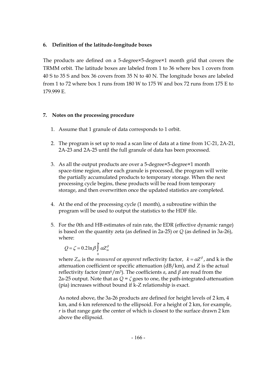### **6. Definition of the latitude-longitude boxes**

The products are defined on a 5-degree×5-degree×1 month grid that covers the TRMM orbit. The latitude boxes are labeled from 1 to 36 where box 1 covers from 40 S to 35 S and box 36 covers from 35 N to 40 N. The longitude boxes are labeled from 1 to 72 where box 1 runs from 180 W to 175 W and box 72 runs from 175 E to 179.999 E.

### **7. Notes on the processing procedure**

- 1. Assume that 1 granule of data corresponds to 1 orbit.
- 2. The program is set up to read a scan line of data at a time from 1C-21, 2A-21, 2A-23 and 2A-25 until the full granule of data has been processed.
- 3. As all the output products are over a 5-degree×5-degree×1 month space-time region, after each granule is processed, the program will write the partially accumulated products to temporary storage. When the next processing cycle begins, these products will be read from temporary storage, and then overwritten once the updated statistics are completed.
- 4. At the end of the processing cycle (1 month), a subroutine within the program will be used to output the statistics to the HDF file.
- 5. For the 0th and HB estimates of rain rate, the EDR (effective dynamic range) is based on the quantity zeta (as defined in 2a-25) or *Q* (as defined in 3a-26), where:

$$
Q = \zeta = 0.2 \ln \beta \int_{0}^{\kappa} \alpha Z_{m}^{\beta}
$$

where  $Z_m$  is the *measured* or *apparent* reflectivity factor,  $k = \alpha Z^{\beta}$ , and k is the attenuation coefficient or specific attenuation (dB/km), and Z is the actual reflectivity factor ( $mm^6/m^3$ ). The coefficients *a*, and  $\beta$  are read from the 2a-25 output. Note that as *Q* = *ζ* goes to one, the path-integrated-attenuation (pia) increases without bound if k-Z relationship is exact.

As noted above, the 3a-26 products are defined for height levels of 2 km, 4 km, and 6 km referenced to the ellipsoid. For a height of 2 km, for example, *r* is that range gate the center of which is closest to the surface drawn 2 km above the ellipsoid.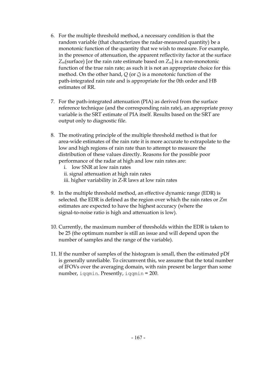- 6. For the multiple threshold method, a necessary condition is that the random variable (that characterizes the radar-measured quantity) be a monotonic function of the quantity that we wish to measure. For example, in the presence of attenuation, the apparent reflectivity factor at the surface *Zm*(surface) [or the rain rate estimate based on *Zm*] is a non-monotonic function of the true rain rate; as such it is not an appropriate choice for this method. On the other hand, *Q* (or *ζ*) is a monotonic function of the path-integrated rain rate and is appropriate for the 0th order and HB estimates of RR.
- 7. For the path-integrated attenuation (PIA) as derived from the surface reference technique (and the corresponding rain rate), an appropriate proxy variable is the SRT estimate of PIA itself. Results based on the SRT are output only to diagnostic file.
- 8. The motivating principle of the multiple threshold method is that for area-wide estimates of the rain rate it is more accurate to extrapolate to the low and high regions of rain rate than to attempt to measure the distribution of these values directly. Reasons for the possible poor performance of the radar at high and low rain rates are:
	- i. low SNR at low rain rates
	- ii. signal attenuation at high rain rates
	- iii. higher variability in Z-R laws at low rain rates
- 9. In the multiple threshold method, an effective dynamic range (EDR) is selected. the EDR is defined as the region over which the rain rates or *Zm* estimates are expected to have the highest accuracy (where the signal-to-noise ratio is high and attenuation is low).
- 10. Currently, the maximum number of thresholds within the EDR is taken to be 25 (the optimum number is still an issue and will depend upon the number of samples and the range of the variable).
- 11. If the number of samples of the histogram is small, then the estimated pDf is generally unreliable. To circumvent this, we assume that the total number of IFOVs over the averaging domain, with rain present be larger than some number, iqqmin. Presently, iqqmin = 200.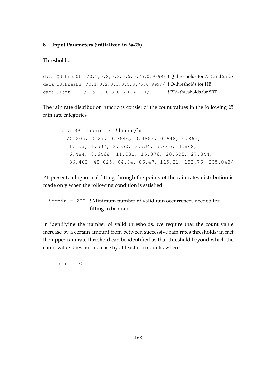### **8. Input Parameters (initialized in 3a-26)**

Thresholds:

```
data QUthres0th /0.1,0.2,0.3,0.5,0.75,0.9999/ ! Q-thresholds for Z-R and 2a-25 
data QUthresHB /0.1,0.2,0.3,0.5,0.75,0.9999/ ! Q-thresholds for HB 
data QLsrt /1.5,1.,0.8,0.6,0.4,0.1/ ! PIA-thresholds for SRT
```
The rain rate distribution functions consist of the count values in the following 25 rain rate categories

```
data RRcategories ! In mm/hr
  /0.205, 0.27, 0.3646, 0.4863, 0.648, 0.865,
    1.153, 1.537, 2.050, 2.734, 3.646, 4.862,
    6.484, 8.6468, 11.531, 15.376, 20.505, 27.344,
    36.463, 48.625, 64.84, 86.47, 115.31, 153.76, 205.048/
```
At present, a lognormal fitting through the points of the rain rates distribution is made only when the following condition is satisfied:

 $i$  iqqmin = 200 ! Minimum number of valid rain occurrences needed for fitting to be done.

In identifying the number of valid thresholds, we require that the count value increase by a certain amount from between successive rain rates thresholds; in fact, the upper rain rate threshold can be identified as that threshold beyond which the count value does not increase by at least nfu counts, where:

 $nfu = 30$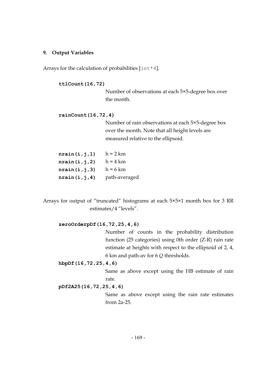#### **9. Output Variables**

Arrays for the calculation of probabilities  $[\text{int} \cdot 4]$ .

#### **ttlCount(16,72)**

Number of observations at each 5×5-degree box over the month.

#### **rainCount(16,72,4)**

Number of rain observations at each 5×5-degree box over the month. Note that all height levels are measured relative to the ellipsoid.

| $h = 2 km$    |
|---------------|
| $h = 4 km$    |
| $h = 6$ km    |
| path-averaged |
|               |

Arrays for output of "truncated" histograms at each 5×5×1 month box for 3 RR estimates/4 "levels".

#### **zeroOrderpDf(16,72,25,4,6)**

Number of counts in the probability distribution function (25 categories) using 0th order (Z-R) rain rate estimate at heights with respect to the ellipsoid of 2, 4, 6 km and path-av for 6 *Q* thresholds.

#### **hbpDf(16,72,25,4,6)**

Same as above except using the HB estimate of rain rate.

#### **pDf2A25(16,72,25,4,6)**

Same as above except using the rain rate estimates from 2a-25.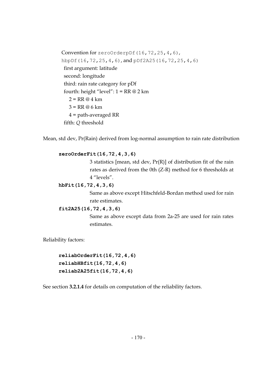Convention for zeroOrderpDf(16,72,25,4,6), hbpDf(16,72,25,4,6), and pDf2A25(16,72,25,4,6) first argument: latitude second: longitude third: rain rate category for pDf fourth: height "level":  $1 = RR @ 2 km$  $2 = RR @ 4 km$  $3 = RR @ 6 km$  4 = path-averaged RR fifth: *Q* threshold

Mean, std dev, Pr(Rain) derived from log-normal assumption to rain rate distribution

#### **zeroOrderFit(16,72,4,3,6)**

3 statistics [mean, std dev, Pr(R)] of distribution fit of the rain rates as derived from the 0th (Z-R) method for 6 thresholds at 4 "levels".

#### **hbFit(16,72,4,3,6)**

Same as above except Hitschfeld-Bordan method used for rain rate estimates.

#### **fit2A25(16,72,4,3,6)**

Same as above except data from 2a-25 are used for rain rates estimates.

Reliability factors:

**reliabOrderFit(16,72,4,6) reliabHBfit(16,72,4,6) reliab2A25fit(16,72,4,6)**

See section **3.2.1.4** for details on computation of the reliability factors.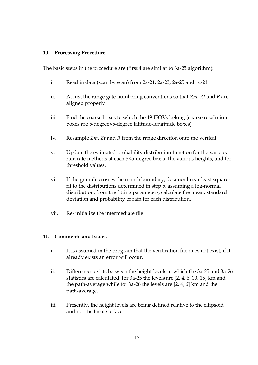### **10. Processing Procedure**

The basic steps in the procedure are (first 4 are similar to 3a-25 algorithm):

- i. Read in data (scan by scan) from 2a-21, 2a-23, 2a-25 and 1c-21
- ii. Adjust the range gate numbering conventions so that *Zm*, *Zt* and *R* are aligned properly
- iii. Find the coarse boxes to which the 49 IFOVs belong (coarse resolution boxes are 5-degree×5-degree latitude-longitude boxes)
- iv. Resample *Zm*, *Zt* and *R* from the range direction onto the vertical
- v. Update the estimated probability distribution function for the various rain rate methods at each 5×5-degree box at the various heights, and for threshold values.
- vi. If the granule crosses the month boundary, do a nonlinear least squares fit to the distributions determined in step 5, assuming a log-normal distribution; from the fitting parameters, calculate the mean, standard deviation and probability of rain for each distribution.
- vii. Re- initialize the intermediate file

### **11. Comments and Issues**

- i. It is assumed in the program that the verification file does not exist; if it already exists an error will occur.
- ii. Differences exists between the height levels at which the 3a-25 and 3a-26 statistics are calculated; for 3a-25 the levels are [2, 4, 6, 10, 15] km and the path-average while for 3a-26 the levels are [2, 4, 6] km and the path-average.
- iii. Presently, the height levels are being defined relative to the ellipsoid and not the local surface.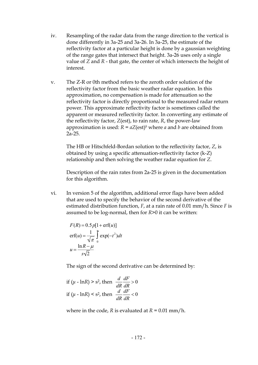- iv. Resampling of the radar data from the range direction to the vertical is done differently in 3a-25 and 3a-26. In 3a-25, the estimate of the reflectivity factor at a particular height is done by a gaussian weighting of the range gates that intersect that height. 3a-26 uses only a single value of *Z* and *R* - that gate, the center of which intersects the height of interest.
- v. The Z-R or 0th method refers to the zeroth order solution of the reflectivity factor from the basic weather radar equation. In this approximation, no compensation is made for attenuation so the reflectivity factor is directly proportional to the measured radar return power. This approximate reflectivity factor is sometimes called the apparent or measured reflectivity factor. In converting any estimate of the reflectivity factor, *Z*(est), to rain rate, *R*, the power-law approximation is used:  $R = aZ(est)<sup>b</sup>$  where *a* and *b* are obtained from 2a-25.

The HB or Hitschfeld-Bordan solution to the reflectivity factor, *Z*, is obtained by using a specific attenuation-reflectivity factor (k-Z) relationship and then solving the weather radar equation for *Z*.

Description of the rain rates from 2a-25 is given in the documentation for this algorithm.

vi. In version 5 of the algorithm, additional error flags have been added that are used to specify the behavior of the second derivative of the estimated distribution function, *F*, at a rain rate of 0.01 mm/h. Since *F* is assumed to be log-normal, then for *R*>0 it can be written:

$$
F(R) = 0.5p[1 + \text{erf}(u)]
$$
  
erf(u) =  $\frac{1}{\sqrt{\pi}} \int_{0}^{\pi} \exp(-t^2) dt$   

$$
u = \frac{\ln R - \mu}{s\sqrt{2}}
$$

The sign of the second derivative can be determined by:

if 
$$
(\mu - \ln R) > s^2
$$
, then  $\frac{d}{dR} \frac{dF}{dR} > 0$   
if  $(\mu - \ln R) < s^2$ , then  $\frac{d}{dR} \frac{dF}{dR} < 0$ 

where in the code,  $R$  is evaluated at  $R = 0.01$  mm/h.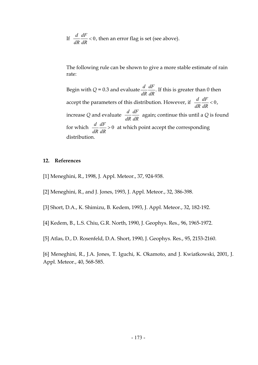If  $\frac{d}{dt}$ *dR dF dR* < 0, then an error flag is set (see above).

The following rule can be shown to give a more stable estimate of rain rate:

Begin with  $Q = 0.3$  and evaluate  $\frac{d}{dt}$ *dR*  $\frac{dF}{dR}$ . If this is greater than 0 then accept the parameters of this distribution. However, if  $\frac{d}{dt}$ *dR dF dR*  $< 0$ , increase *Q* and evaluate *<sup>d</sup> dR dF dR* again; continue this until a *Q* is found for which  $\frac{d}{dt}$ *dR dF dR* > 0 at which point accept the corresponding distribution.

#### **12. References**

- [1] Meneghini, R., 1998, J. Appl. Meteor., 37, 924-938.
- [2] Meneghini, R., and J. Jones, 1993, J. Appl. Meteor., 32, 386-398.
- [3] Short, D.A., K. Shimizu, B. Kedem, 1993, J. Appl. Meteor., 32, 182-192.
- [4] Kedem, B., L.S. Chiu, G.R. North, 1990, J. Geophys. Res., 96, 1965-1972.
- [5] Atlas, D., D. Rosenfeld, D.A. Short, 1990, J. Geophys. Res., 95, 2153-2160.

[6] Meneghini, R., J.A. Jones, T. Iguchi, K. Okamoto, and J. Kwiatkowski, 2001, J. Appl. Meteor., 40, 568-585.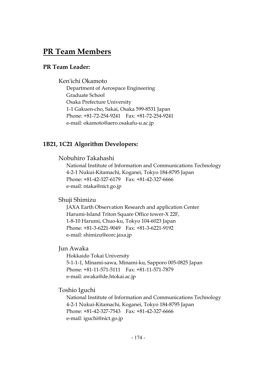# **PR Team Members**

### **PR Team Leader:**

### Ken'ichi Okamoto

Department of Aerospace Engineering Graduate School Osaka Prefecture University 1-1 Gakuen-cho, Sakai, Osaka 599-8531 Japan Phone: +81-72-254-9241 Fax: +81-72-254-9241 e-mail: okamoto@aero.osakafu-u.ac.jp

### **1B21, 1C21 Algorithm Developers:**

Nobuhiro Takahashi

National Institute of Information and Communications Technology 4-2-1 Nukui-Kitamachi, Koganei, Tokyo 184-8795 Japan Phone: +81-42-327-6179 Fax: +81-42-327-6666 e-mail: ntaka@nict.go.jp

#### Shuji Shimizu

JAXA Earth Observation Research and application Center Harumi-Island Triton Square Office tower-X 22F, 1-8-10 Harumi, Chuo-ku, Tokyo 104-6023 Japan Phone: +81-3-6221-9049 Fax: +81-3-6221-9192 e-mail: shimizu@eorc.jaxa.jp

### Jun Awaka

Hokkaido Tokai University 5-1-1-1, Minami-sawa, Minami-ku, Sapporo 005-0825 Japan Phone: +81-11-571-5111 Fax: +81-11-571-7879 e-mail: awaka@de.htokai.ac.jp

#### Toshio Iguchi

National Institute of Information and Communications Technology 4-2-1 Nukui-Kitamachi, Koganei, Tokyo 184-8795 Japan Phone: +81-42-327-7543 Fax: +81-42-327-6666 e-mail: iguchi@nict.go.jp